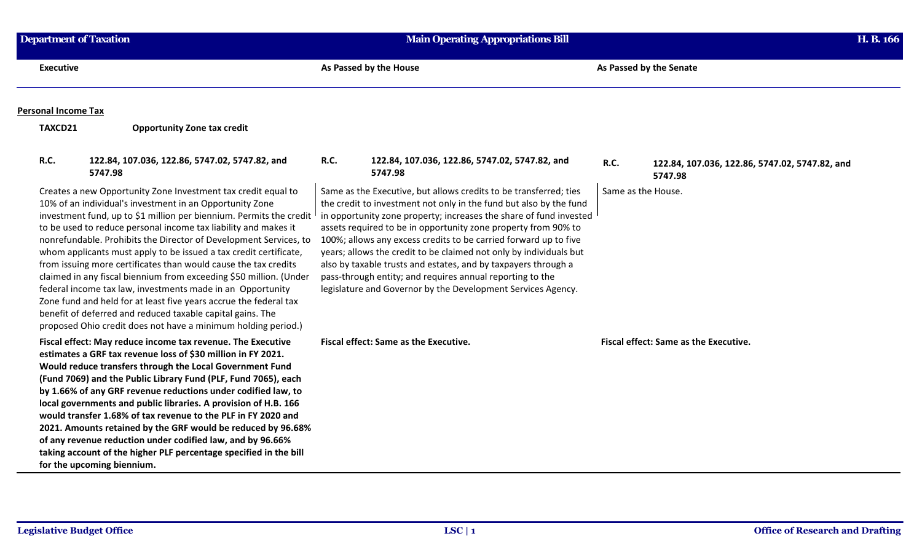| <b>Department of Taxation</b> |                                                                                                                                                                                                                                                                                                                                                                                                                                                                                                                                                                                                                                                                                                                                                                                                                          | <b>Main Operating Appropriations Bill</b>                                                                                                                                                                                                                                                                                                                                                                                                                                                                                                                                                                                  |             | H. B. 166                                                 |  |
|-------------------------------|--------------------------------------------------------------------------------------------------------------------------------------------------------------------------------------------------------------------------------------------------------------------------------------------------------------------------------------------------------------------------------------------------------------------------------------------------------------------------------------------------------------------------------------------------------------------------------------------------------------------------------------------------------------------------------------------------------------------------------------------------------------------------------------------------------------------------|----------------------------------------------------------------------------------------------------------------------------------------------------------------------------------------------------------------------------------------------------------------------------------------------------------------------------------------------------------------------------------------------------------------------------------------------------------------------------------------------------------------------------------------------------------------------------------------------------------------------------|-------------|-----------------------------------------------------------|--|
| <b>Executive</b>              |                                                                                                                                                                                                                                                                                                                                                                                                                                                                                                                                                                                                                                                                                                                                                                                                                          | As Passed by the House                                                                                                                                                                                                                                                                                                                                                                                                                                                                                                                                                                                                     |             | As Passed by the Senate                                   |  |
| <b>Personal Income Tax</b>    |                                                                                                                                                                                                                                                                                                                                                                                                                                                                                                                                                                                                                                                                                                                                                                                                                          |                                                                                                                                                                                                                                                                                                                                                                                                                                                                                                                                                                                                                            |             |                                                           |  |
| TAXCD21                       | <b>Opportunity Zone tax credit</b>                                                                                                                                                                                                                                                                                                                                                                                                                                                                                                                                                                                                                                                                                                                                                                                       |                                                                                                                                                                                                                                                                                                                                                                                                                                                                                                                                                                                                                            |             |                                                           |  |
| <b>R.C.</b>                   | 122.84, 107.036, 122.86, 5747.02, 5747.82, and<br>5747.98                                                                                                                                                                                                                                                                                                                                                                                                                                                                                                                                                                                                                                                                                                                                                                | <b>R.C.</b><br>122.84, 107.036, 122.86, 5747.02, 5747.82, and<br>5747.98                                                                                                                                                                                                                                                                                                                                                                                                                                                                                                                                                   | <b>R.C.</b> | 122.84, 107.036, 122.86, 5747.02, 5747.82, and<br>5747.98 |  |
|                               | Creates a new Opportunity Zone Investment tax credit equal to<br>10% of an individual's investment in an Opportunity Zone<br>investment fund, up to \$1 million per biennium. Permits the credit<br>to be used to reduce personal income tax liability and makes it<br>nonrefundable. Prohibits the Director of Development Services, to<br>whom applicants must apply to be issued a tax credit certificate,<br>from issuing more certificates than would cause the tax credits<br>claimed in any fiscal biennium from exceeding \$50 million. (Under<br>federal income tax law, investments made in an Opportunity<br>Zone fund and held for at least five years accrue the federal tax<br>benefit of deferred and reduced taxable capital gains. The<br>proposed Ohio credit does not have a minimum holding period.) | Same as the Executive, but allows credits to be transferred; ties<br>the credit to investment not only in the fund but also by the fund<br>in opportunity zone property; increases the share of fund invested I<br>assets required to be in opportunity zone property from 90% to<br>100%; allows any excess credits to be carried forward up to five<br>years; allows the credit to be claimed not only by individuals but<br>also by taxable trusts and estates, and by taxpayers through a<br>pass-through entity; and requires annual reporting to the<br>legislature and Governor by the Development Services Agency. |             | Same as the House.                                        |  |
|                               | Fiscal effect: May reduce income tax revenue. The Executive<br>estimates a GRF tax revenue loss of \$30 million in FY 2021.<br>Would reduce transfers through the Local Government Fund<br>(Fund 7069) and the Public Library Fund (PLF, Fund 7065), each<br>by 1.66% of any GRF revenue reductions under codified law, to<br>local governments and public libraries. A provision of H.B. 166<br>would transfer 1.68% of tax revenue to the PLF in FY 2020 and<br>2021. Amounts retained by the GRF would be reduced by 96.68%<br>of any revenue reduction under codified law, and by 96.66%<br>taking account of the higher PLF percentage specified in the bill<br>for the upcoming biennium.                                                                                                                          | Fiscal effect: Same as the Executive.                                                                                                                                                                                                                                                                                                                                                                                                                                                                                                                                                                                      |             | Fiscal effect: Same as the Executive.                     |  |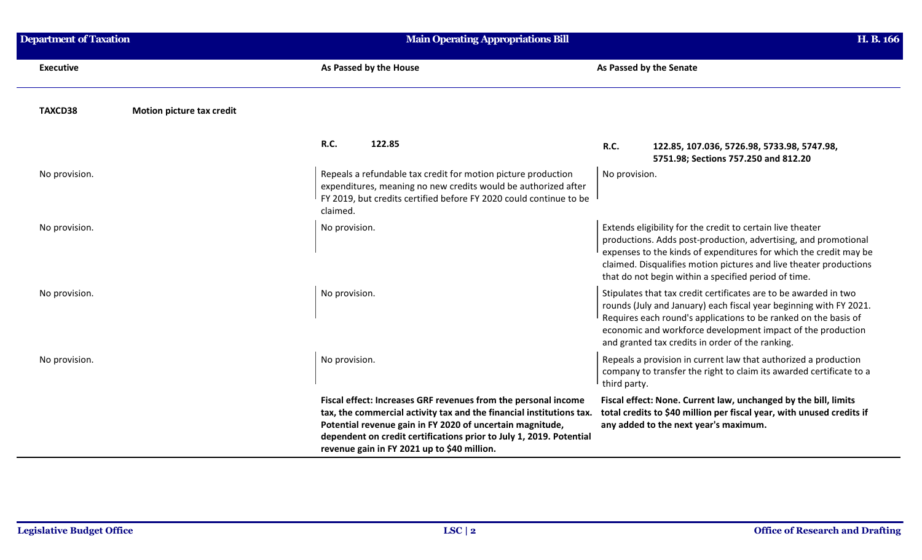| <b>Department of Taxation</b> |                           | <b>Main Operating Appropriations Bill</b>                                                                                                                                                                                                                                                                                 |                                                                                                                                                                                                                                                                                                                                  | H. B. 166 |
|-------------------------------|---------------------------|---------------------------------------------------------------------------------------------------------------------------------------------------------------------------------------------------------------------------------------------------------------------------------------------------------------------------|----------------------------------------------------------------------------------------------------------------------------------------------------------------------------------------------------------------------------------------------------------------------------------------------------------------------------------|-----------|
| <b>Executive</b>              |                           | As Passed by the House                                                                                                                                                                                                                                                                                                    | As Passed by the Senate                                                                                                                                                                                                                                                                                                          |           |
| TAXCD38                       | Motion picture tax credit |                                                                                                                                                                                                                                                                                                                           |                                                                                                                                                                                                                                                                                                                                  |           |
|                               |                           | 122.85<br><b>R.C.</b>                                                                                                                                                                                                                                                                                                     | <b>R.C.</b><br>122.85, 107.036, 5726.98, 5733.98, 5747.98,<br>5751.98; Sections 757.250 and 812.20                                                                                                                                                                                                                               |           |
| No provision.                 |                           | Repeals a refundable tax credit for motion picture production<br>expenditures, meaning no new credits would be authorized after<br>FY 2019, but credits certified before FY 2020 could continue to be<br>claimed.                                                                                                         | No provision.                                                                                                                                                                                                                                                                                                                    |           |
| No provision.                 |                           | No provision.                                                                                                                                                                                                                                                                                                             | Extends eligibility for the credit to certain live theater<br>productions. Adds post-production, advertising, and promotional<br>expenses to the kinds of expenditures for which the credit may be<br>claimed. Disqualifies motion pictures and live theater productions<br>that do not begin within a specified period of time. |           |
| No provision.                 |                           | No provision.                                                                                                                                                                                                                                                                                                             | Stipulates that tax credit certificates are to be awarded in two<br>rounds (July and January) each fiscal year beginning with FY 2021.<br>Requires each round's applications to be ranked on the basis of<br>economic and workforce development impact of the production<br>and granted tax credits in order of the ranking.     |           |
| No provision.                 |                           | No provision.                                                                                                                                                                                                                                                                                                             | Repeals a provision in current law that authorized a production<br>company to transfer the right to claim its awarded certificate to a<br>third party.                                                                                                                                                                           |           |
|                               |                           | Fiscal effect: Increases GRF revenues from the personal income<br>tax, the commercial activity tax and the financial institutions tax.<br>Potential revenue gain in FY 2020 of uncertain magnitude,<br>dependent on credit certifications prior to July 1, 2019. Potential<br>revenue gain in FY 2021 up to \$40 million. | Fiscal effect: None. Current law, unchanged by the bill, limits<br>total credits to \$40 million per fiscal year, with unused credits if<br>any added to the next year's maximum.                                                                                                                                                |           |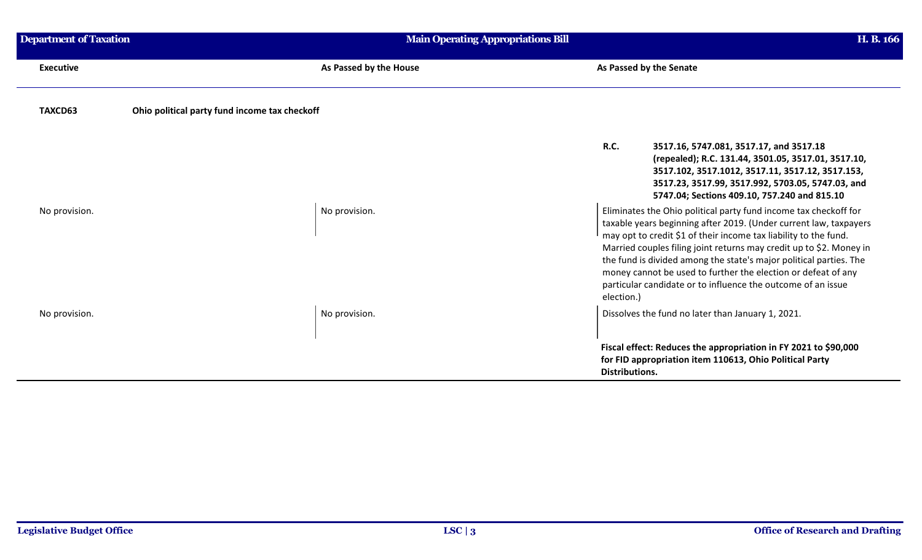| <b>Department of Taxation</b> | <b>Main Operating Appropriations Bill</b>     |                                                                                                                                                                                                                                                                                                                                                                                                                                                                                                       | H. B. 166 |
|-------------------------------|-----------------------------------------------|-------------------------------------------------------------------------------------------------------------------------------------------------------------------------------------------------------------------------------------------------------------------------------------------------------------------------------------------------------------------------------------------------------------------------------------------------------------------------------------------------------|-----------|
| <b>Executive</b>              | As Passed by the House                        | As Passed by the Senate                                                                                                                                                                                                                                                                                                                                                                                                                                                                               |           |
| TAXCD63                       | Ohio political party fund income tax checkoff |                                                                                                                                                                                                                                                                                                                                                                                                                                                                                                       |           |
|                               |                                               | <b>R.C.</b><br>3517.16, 5747.081, 3517.17, and 3517.18<br>(repealed); R.C. 131.44, 3501.05, 3517.01, 3517.10,<br>3517.102, 3517.1012, 3517.11, 3517.12, 3517.153,<br>3517.23, 3517.99, 3517.992, 5703.05, 5747.03, and<br>5747.04; Sections 409.10, 757.240 and 815.10                                                                                                                                                                                                                                |           |
| No provision.                 | No provision.                                 | Eliminates the Ohio political party fund income tax checkoff for<br>taxable years beginning after 2019. (Under current law, taxpayers<br>may opt to credit \$1 of their income tax liability to the fund.<br>Married couples filing joint returns may credit up to \$2. Money in<br>the fund is divided among the state's major political parties. The<br>money cannot be used to further the election or defeat of any<br>particular candidate or to influence the outcome of an issue<br>election.) |           |
| No provision.                 | No provision.                                 | Dissolves the fund no later than January 1, 2021.                                                                                                                                                                                                                                                                                                                                                                                                                                                     |           |
|                               |                                               | Fiscal effect: Reduces the appropriation in FY 2021 to \$90,000<br>for FID appropriation item 110613, Ohio Political Party<br><b>Distributions.</b>                                                                                                                                                                                                                                                                                                                                                   |           |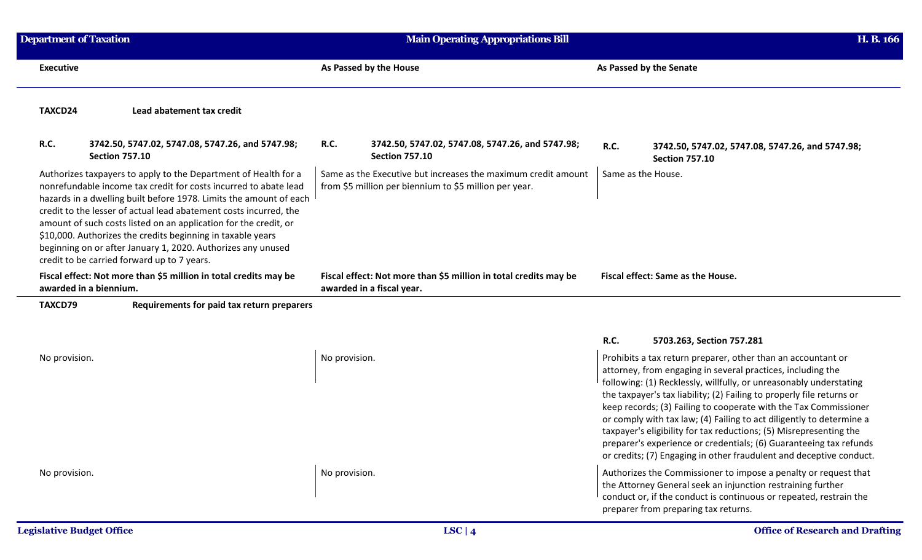| <b>Department of Taxation</b>    |                                                                                                                                                                                                                                                                                                                                                                                                                                                                                                                                  | <b>Main Operating Appropriations Bill</b>                                                                               | H. B. 166                                                                                                                                                                                                                                                                                                                                                                                                                                                                                                                                                                                                                                 |
|----------------------------------|----------------------------------------------------------------------------------------------------------------------------------------------------------------------------------------------------------------------------------------------------------------------------------------------------------------------------------------------------------------------------------------------------------------------------------------------------------------------------------------------------------------------------------|-------------------------------------------------------------------------------------------------------------------------|-------------------------------------------------------------------------------------------------------------------------------------------------------------------------------------------------------------------------------------------------------------------------------------------------------------------------------------------------------------------------------------------------------------------------------------------------------------------------------------------------------------------------------------------------------------------------------------------------------------------------------------------|
| <b>Executive</b>                 |                                                                                                                                                                                                                                                                                                                                                                                                                                                                                                                                  | As Passed by the House                                                                                                  | As Passed by the Senate                                                                                                                                                                                                                                                                                                                                                                                                                                                                                                                                                                                                                   |
| TAXCD24                          | Lead abatement tax credit                                                                                                                                                                                                                                                                                                                                                                                                                                                                                                        |                                                                                                                         |                                                                                                                                                                                                                                                                                                                                                                                                                                                                                                                                                                                                                                           |
| R.C.                             | 3742.50, 5747.02, 5747.08, 5747.26, and 5747.98;<br><b>Section 757.10</b>                                                                                                                                                                                                                                                                                                                                                                                                                                                        | <b>R.C.</b><br>3742.50, 5747.02, 5747.08, 5747.26, and 5747.98;<br><b>Section 757.10</b>                                | R.C.<br>3742.50, 5747.02, 5747.08, 5747.26, and 5747.98;<br><b>Section 757.10</b>                                                                                                                                                                                                                                                                                                                                                                                                                                                                                                                                                         |
|                                  | Authorizes taxpayers to apply to the Department of Health for a<br>nonrefundable income tax credit for costs incurred to abate lead<br>hazards in a dwelling built before 1978. Limits the amount of each<br>credit to the lesser of actual lead abatement costs incurred, the<br>amount of such costs listed on an application for the credit, or<br>\$10,000. Authorizes the credits beginning in taxable years<br>beginning on or after January 1, 2020. Authorizes any unused<br>credit to be carried forward up to 7 years. | Same as the Executive but increases the maximum credit amount<br>from \$5 million per biennium to \$5 million per year. | Same as the House.                                                                                                                                                                                                                                                                                                                                                                                                                                                                                                                                                                                                                        |
|                                  | Fiscal effect: Not more than \$5 million in total credits may be<br>awarded in a biennium.                                                                                                                                                                                                                                                                                                                                                                                                                                       | Fiscal effect: Not more than \$5 million in total credits may be<br>awarded in a fiscal year.                           | Fiscal effect: Same as the House.                                                                                                                                                                                                                                                                                                                                                                                                                                                                                                                                                                                                         |
| TAXCD79                          | Requirements for paid tax return preparers                                                                                                                                                                                                                                                                                                                                                                                                                                                                                       |                                                                                                                         |                                                                                                                                                                                                                                                                                                                                                                                                                                                                                                                                                                                                                                           |
|                                  |                                                                                                                                                                                                                                                                                                                                                                                                                                                                                                                                  |                                                                                                                         | <b>R.C.</b><br>5703.263, Section 757.281                                                                                                                                                                                                                                                                                                                                                                                                                                                                                                                                                                                                  |
| No provision.                    |                                                                                                                                                                                                                                                                                                                                                                                                                                                                                                                                  | No provision.                                                                                                           | Prohibits a tax return preparer, other than an accountant or<br>attorney, from engaging in several practices, including the<br>following: (1) Recklessly, willfully, or unreasonably understating<br>the taxpayer's tax liability; (2) Failing to properly file returns or<br>keep records; (3) Failing to cooperate with the Tax Commissioner<br>or comply with tax law; (4) Failing to act diligently to determine a<br>taxpayer's eligibility for tax reductions; (5) Misrepresenting the<br>preparer's experience or credentials; (6) Guaranteeing tax refunds<br>or credits; (7) Engaging in other fraudulent and deceptive conduct. |
| No provision.                    |                                                                                                                                                                                                                                                                                                                                                                                                                                                                                                                                  | No provision.                                                                                                           | Authorizes the Commissioner to impose a penalty or request that<br>the Attorney General seek an injunction restraining further<br>conduct or, if the conduct is continuous or repeated, restrain the<br>preparer from preparing tax returns.                                                                                                                                                                                                                                                                                                                                                                                              |
| <b>Legislative Budget Office</b> |                                                                                                                                                                                                                                                                                                                                                                                                                                                                                                                                  | LSC   $4$                                                                                                               | <b>Office of Research and Drafting</b>                                                                                                                                                                                                                                                                                                                                                                                                                                                                                                                                                                                                    |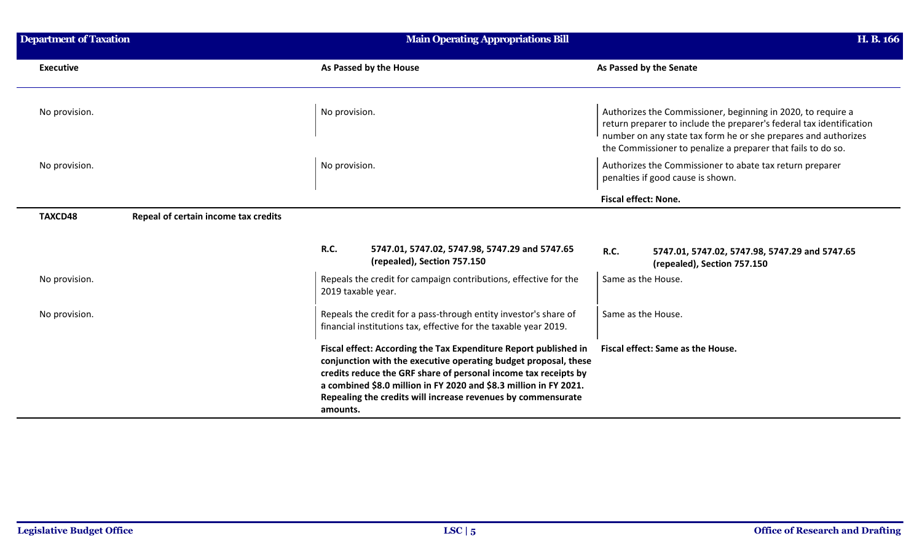| <b>Department of Taxation</b>                   | <b>Main Operating Appropriations Bill</b>                                                                                                                                                                                                                                                                                                               | H. B. 166                                                                                                                                                                                                                                                              |
|-------------------------------------------------|---------------------------------------------------------------------------------------------------------------------------------------------------------------------------------------------------------------------------------------------------------------------------------------------------------------------------------------------------------|------------------------------------------------------------------------------------------------------------------------------------------------------------------------------------------------------------------------------------------------------------------------|
| <b>Executive</b>                                | As Passed by the House                                                                                                                                                                                                                                                                                                                                  | As Passed by the Senate                                                                                                                                                                                                                                                |
| No provision.                                   | No provision.                                                                                                                                                                                                                                                                                                                                           | Authorizes the Commissioner, beginning in 2020, to require a<br>return preparer to include the preparer's federal tax identification<br>number on any state tax form he or she prepares and authorizes<br>the Commissioner to penalize a preparer that fails to do so. |
| No provision.                                   | No provision.                                                                                                                                                                                                                                                                                                                                           | Authorizes the Commissioner to abate tax return preparer<br>penalties if good cause is shown.                                                                                                                                                                          |
|                                                 |                                                                                                                                                                                                                                                                                                                                                         | <b>Fiscal effect: None.</b>                                                                                                                                                                                                                                            |
| Repeal of certain income tax credits<br>TAXCD48 |                                                                                                                                                                                                                                                                                                                                                         |                                                                                                                                                                                                                                                                        |
|                                                 | R.C.<br>5747.01, 5747.02, 5747.98, 5747.29 and 5747.65<br>(repealed), Section 757.150                                                                                                                                                                                                                                                                   | R.C.<br>5747.01, 5747.02, 5747.98, 5747.29 and 5747.65<br>(repealed), Section 757.150                                                                                                                                                                                  |
| No provision.                                   | Repeals the credit for campaign contributions, effective for the<br>2019 taxable year.                                                                                                                                                                                                                                                                  | Same as the House.                                                                                                                                                                                                                                                     |
| No provision.                                   | Repeals the credit for a pass-through entity investor's share of<br>financial institutions tax, effective for the taxable year 2019.                                                                                                                                                                                                                    | Same as the House.                                                                                                                                                                                                                                                     |
|                                                 | Fiscal effect: According the Tax Expenditure Report published in<br>conjunction with the executive operating budget proposal, these<br>credits reduce the GRF share of personal income tax receipts by<br>a combined \$8.0 million in FY 2020 and \$8.3 million in FY 2021.<br>Repealing the credits will increase revenues by commensurate<br>amounts. | Fiscal effect: Same as the House.                                                                                                                                                                                                                                      |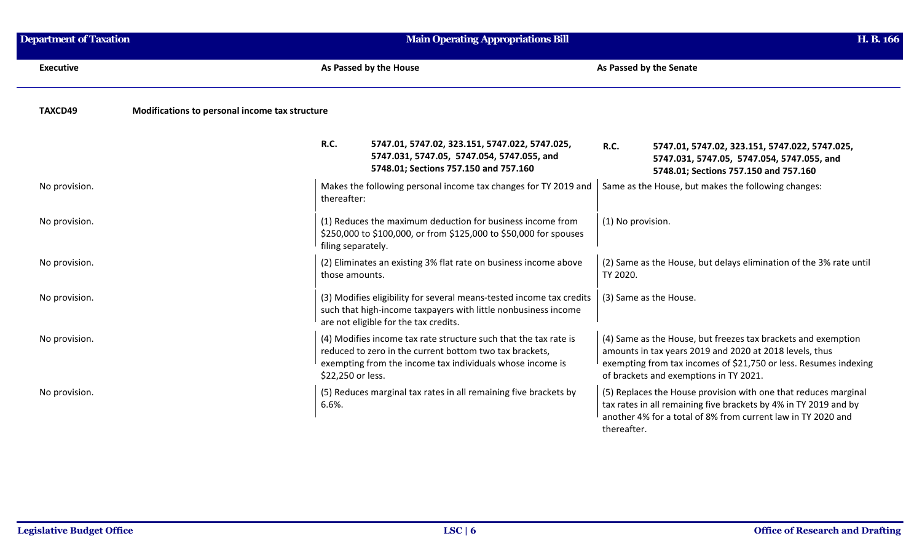| <b>Department of Taxation</b> |                                                | Main Operating Appropriations Bill    |                                                                                                                                                                                          |                   |                                                                                                                                                                                                                                        | H. B. 166 |
|-------------------------------|------------------------------------------------|---------------------------------------|------------------------------------------------------------------------------------------------------------------------------------------------------------------------------------------|-------------------|----------------------------------------------------------------------------------------------------------------------------------------------------------------------------------------------------------------------------------------|-----------|
| <b>Executive</b>              |                                                | As Passed by the House                |                                                                                                                                                                                          |                   | As Passed by the Senate                                                                                                                                                                                                                |           |
| TAXCD49                       | Modifications to personal income tax structure |                                       |                                                                                                                                                                                          |                   |                                                                                                                                                                                                                                        |           |
|                               |                                                | <b>R.C.</b>                           | 5747.01, 5747.02, 323.151, 5747.022, 5747.025,<br>5747.031, 5747.05, 5747.054, 5747.055, and<br>5748.01; Sections 757.150 and 757.160                                                    | <b>R.C.</b>       | 5747.01, 5747.02, 323.151, 5747.022, 5747.025,<br>5747.031, 5747.05, 5747.054, 5747.055, and<br>5748.01; Sections 757.150 and 757.160                                                                                                  |           |
| No provision.                 |                                                | thereafter:                           | Makes the following personal income tax changes for TY 2019 and                                                                                                                          |                   | Same as the House, but makes the following changes:                                                                                                                                                                                    |           |
| No provision.                 |                                                | filing separately.                    | (1) Reduces the maximum deduction for business income from<br>\$250,000 to \$100,000, or from \$125,000 to \$50,000 for spouses                                                          | (1) No provision. |                                                                                                                                                                                                                                        |           |
| No provision.                 |                                                | those amounts.                        | (2) Eliminates an existing 3% flat rate on business income above                                                                                                                         | TY 2020.          | (2) Same as the House, but delays elimination of the 3% rate until                                                                                                                                                                     |           |
| No provision.                 |                                                | are not eligible for the tax credits. | (3) Modifies eligibility for several means-tested income tax credits<br>such that high-income taxpayers with little nonbusiness income                                                   |                   | (3) Same as the House.                                                                                                                                                                                                                 |           |
| No provision.                 |                                                | \$22,250 or less.                     | (4) Modifies income tax rate structure such that the tax rate is<br>reduced to zero in the current bottom two tax brackets,<br>exempting from the income tax individuals whose income is |                   | (4) Same as the House, but freezes tax brackets and exemption<br>amounts in tax years 2019 and 2020 at 2018 levels, thus<br>exempting from tax incomes of \$21,750 or less. Resumes indexing<br>of brackets and exemptions in TY 2021. |           |
| No provision.                 |                                                | 6.6%.                                 | (5) Reduces marginal tax rates in all remaining five brackets by                                                                                                                         | thereafter.       | (5) Replaces the House provision with one that reduces marginal<br>tax rates in all remaining five brackets by 4% in TY 2019 and by<br>another 4% for a total of 8% from current law in TY 2020 and                                    |           |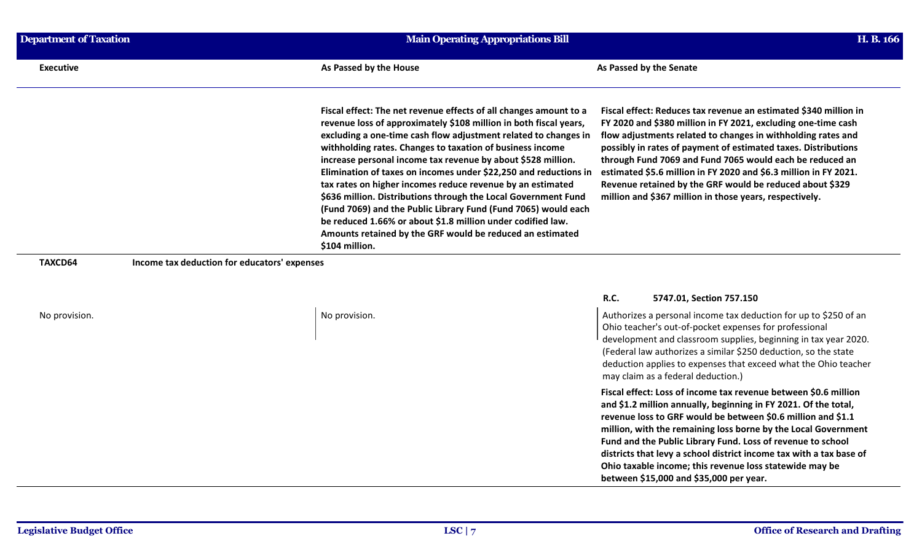| Department of Taxation | <b>Main Operating Appropriations Bill</b>                                                                                                                                                                                                                                                                                                                                                                                                                                                                                                                                                                                                                                                                                                                                                                                                                                                                                                                                                                                                                                                                                                                                                                                                                                                | H. B. 166 |
|------------------------|------------------------------------------------------------------------------------------------------------------------------------------------------------------------------------------------------------------------------------------------------------------------------------------------------------------------------------------------------------------------------------------------------------------------------------------------------------------------------------------------------------------------------------------------------------------------------------------------------------------------------------------------------------------------------------------------------------------------------------------------------------------------------------------------------------------------------------------------------------------------------------------------------------------------------------------------------------------------------------------------------------------------------------------------------------------------------------------------------------------------------------------------------------------------------------------------------------------------------------------------------------------------------------------|-----------|
| <b>Executive</b>       | As Passed by the House<br>As Passed by the Senate                                                                                                                                                                                                                                                                                                                                                                                                                                                                                                                                                                                                                                                                                                                                                                                                                                                                                                                                                                                                                                                                                                                                                                                                                                        |           |
|                        | Fiscal effect: The net revenue effects of all changes amount to a<br>Fiscal effect: Reduces tax revenue an estimated \$340 million in<br>revenue loss of approximately \$108 million in both fiscal years,<br>FY 2020 and \$380 million in FY 2021, excluding one-time cash<br>excluding a one-time cash flow adjustment related to changes in<br>flow adjustments related to changes in withholding rates and<br>withholding rates. Changes to taxation of business income<br>possibly in rates of payment of estimated taxes. Distributions<br>increase personal income tax revenue by about \$528 million.<br>through Fund 7069 and Fund 7065 would each be reduced an<br>Elimination of taxes on incomes under \$22,250 and reductions in<br>estimated \$5.6 million in FY 2020 and \$6.3 million in FY 2021.<br>tax rates on higher incomes reduce revenue by an estimated<br>Revenue retained by the GRF would be reduced about \$329<br>\$636 million. Distributions through the Local Government Fund<br>million and \$367 million in those years, respectively.<br>(Fund 7069) and the Public Library Fund (Fund 7065) would each<br>be reduced 1.66% or about \$1.8 million under codified law.<br>Amounts retained by the GRF would be reduced an estimated<br>\$104 million. |           |
| TAXCD64                | Income tax deduction for educators' expenses                                                                                                                                                                                                                                                                                                                                                                                                                                                                                                                                                                                                                                                                                                                                                                                                                                                                                                                                                                                                                                                                                                                                                                                                                                             |           |
| No provision.          | R.C.<br>5747.01, Section 757.150<br>Authorizes a personal income tax deduction for up to \$250 of an<br>No provision.                                                                                                                                                                                                                                                                                                                                                                                                                                                                                                                                                                                                                                                                                                                                                                                                                                                                                                                                                                                                                                                                                                                                                                    |           |

## Ohio teacher's out-of-pocket expenses for professional development and classroom supplies, beginning in tax year 2020. (Federal law authorizes a similar \$250 deduction, so the state deduction applies to expenses that exceed what the Ohio teacher

may claim as a federal deduction.)

**Fiscal effect: Loss of income tax revenue between \$0.6 million and \$1.2 million annually, beginning in FY 2021. Of the total, revenue loss to GRF would be between \$0.6 million and \$1.1 million, with the remaining loss borne by the Local Government Fund and the Public Library Fund. Loss of revenue to school districts that levy a school district income tax with a tax base of Ohio taxable income; this revenue loss statewide may be between \$15,000 and \$35,000 per year.**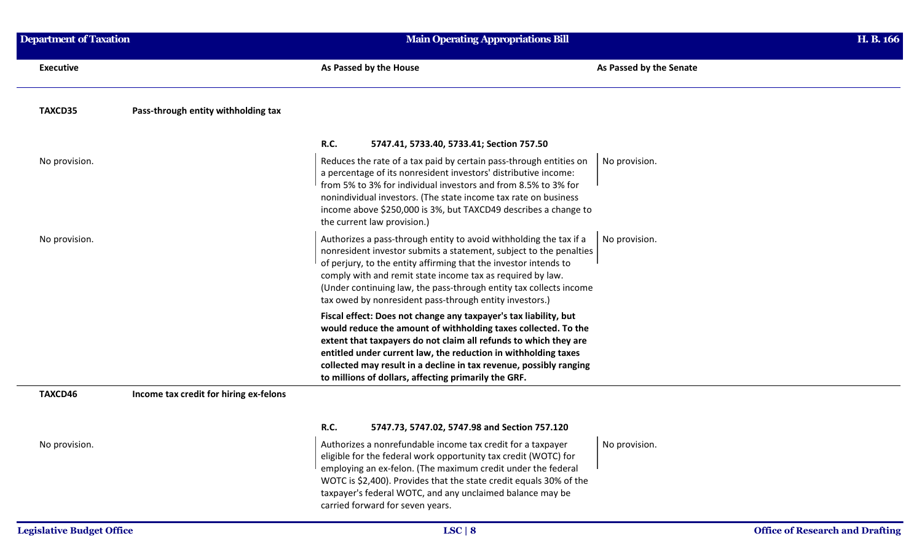| <b>Department of Taxation</b>    |                                        | <b>Main Operating Appropriations Bill</b>                                                                                                                                                                                                                                                                                                                                                                   | H. B. 166     |                                        |
|----------------------------------|----------------------------------------|-------------------------------------------------------------------------------------------------------------------------------------------------------------------------------------------------------------------------------------------------------------------------------------------------------------------------------------------------------------------------------------------------------------|---------------|----------------------------------------|
| <b>Executive</b>                 |                                        | As Passed by the House<br>As Passed by the Senate                                                                                                                                                                                                                                                                                                                                                           |               |                                        |
| TAXCD35                          | Pass-through entity withholding tax    |                                                                                                                                                                                                                                                                                                                                                                                                             |               |                                        |
|                                  |                                        | R.C.<br>5747.41, 5733.40, 5733.41; Section 757.50                                                                                                                                                                                                                                                                                                                                                           |               |                                        |
| No provision.                    |                                        | Reduces the rate of a tax paid by certain pass-through entities on<br>a percentage of its nonresident investors' distributive income:<br>from 5% to 3% for individual investors and from 8.5% to 3% for<br>nonindividual investors. (The state income tax rate on business<br>income above \$250,000 is 3%, but TAXCD49 describes a change to<br>the current law provision.)                                | No provision. |                                        |
| No provision.                    |                                        | Authorizes a pass-through entity to avoid withholding the tax if a<br>nonresident investor submits a statement, subject to the penalties<br>of perjury, to the entity affirming that the investor intends to<br>comply with and remit state income tax as required by law.<br>(Under continuing law, the pass-through entity tax collects income<br>tax owed by nonresident pass-through entity investors.) | No provision. |                                        |
|                                  |                                        | Fiscal effect: Does not change any taxpayer's tax liability, but<br>would reduce the amount of withholding taxes collected. To the<br>extent that taxpayers do not claim all refunds to which they are<br>entitled under current law, the reduction in withholding taxes<br>collected may result in a decline in tax revenue, possibly ranging<br>to millions of dollars, affecting primarily the GRF.      |               |                                        |
| TAXCD46                          | Income tax credit for hiring ex-felons |                                                                                                                                                                                                                                                                                                                                                                                                             |               |                                        |
|                                  |                                        | R.C.<br>5747.73, 5747.02, 5747.98 and Section 757.120                                                                                                                                                                                                                                                                                                                                                       |               |                                        |
| No provision.                    |                                        | Authorizes a nonrefundable income tax credit for a taxpayer<br>eligible for the federal work opportunity tax credit (WOTC) for<br>employing an ex-felon. (The maximum credit under the federal<br>WOTC is \$2,400). Provides that the state credit equals 30% of the<br>taxpayer's federal WOTC, and any unclaimed balance may be<br>carried forward for seven years.                                       | No provision. |                                        |
| <b>Legislative Budget Office</b> |                                        | LSC   8                                                                                                                                                                                                                                                                                                                                                                                                     |               | <b>Office of Research and Drafting</b> |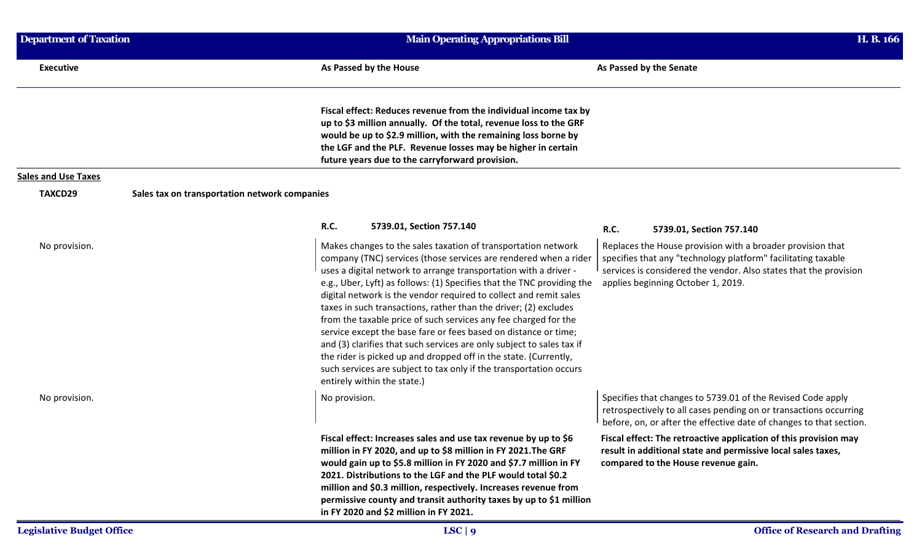| <b>Department of Taxation</b> |                                               | <b>Main Operating Appropriations Bill</b> |                                                                                                                                                                                                                                                                                                                                                                                                                                                                                                                                                                                                                                                                                                                                                                                                                  |             |                                                                                                                                                                                                                                        | H. B. 166 |
|-------------------------------|-----------------------------------------------|-------------------------------------------|------------------------------------------------------------------------------------------------------------------------------------------------------------------------------------------------------------------------------------------------------------------------------------------------------------------------------------------------------------------------------------------------------------------------------------------------------------------------------------------------------------------------------------------------------------------------------------------------------------------------------------------------------------------------------------------------------------------------------------------------------------------------------------------------------------------|-------------|----------------------------------------------------------------------------------------------------------------------------------------------------------------------------------------------------------------------------------------|-----------|
| <b>Executive</b>              |                                               |                                           | As Passed by the House                                                                                                                                                                                                                                                                                                                                                                                                                                                                                                                                                                                                                                                                                                                                                                                           |             | As Passed by the Senate                                                                                                                                                                                                                |           |
|                               |                                               |                                           | Fiscal effect: Reduces revenue from the individual income tax by<br>up to \$3 million annually. Of the total, revenue loss to the GRF<br>would be up to \$2.9 million, with the remaining loss borne by<br>the LGF and the PLF. Revenue losses may be higher in certain<br>future years due to the carryforward provision.                                                                                                                                                                                                                                                                                                                                                                                                                                                                                       |             |                                                                                                                                                                                                                                        |           |
| <b>Sales and Use Taxes</b>    |                                               |                                           |                                                                                                                                                                                                                                                                                                                                                                                                                                                                                                                                                                                                                                                                                                                                                                                                                  |             |                                                                                                                                                                                                                                        |           |
| TAXCD29                       | Sales tax on transportation network companies |                                           |                                                                                                                                                                                                                                                                                                                                                                                                                                                                                                                                                                                                                                                                                                                                                                                                                  |             |                                                                                                                                                                                                                                        |           |
|                               |                                               | <b>R.C.</b>                               | 5739.01, Section 757.140                                                                                                                                                                                                                                                                                                                                                                                                                                                                                                                                                                                                                                                                                                                                                                                         | <b>R.C.</b> | 5739.01, Section 757.140                                                                                                                                                                                                               |           |
| No provision.                 |                                               |                                           | Makes changes to the sales taxation of transportation network<br>company (TNC) services (those services are rendered when a rider<br>uses a digital network to arrange transportation with a driver -<br>e.g., Uber, Lyft) as follows: (1) Specifies that the TNC providing the<br>digital network is the vendor required to collect and remit sales<br>taxes in such transactions, rather than the driver; (2) excludes<br>from the taxable price of such services any fee charged for the<br>service except the base fare or fees based on distance or time;<br>and (3) clarifies that such services are only subject to sales tax if<br>the rider is picked up and dropped off in the state. (Currently,<br>such services are subject to tax only if the transportation occurs<br>entirely within the state.) |             | Replaces the House provision with a broader provision that<br>specifies that any "technology platform" facilitating taxable<br>services is considered the vendor. Also states that the provision<br>applies beginning October 1, 2019. |           |
| No provision.                 |                                               | No provision.                             |                                                                                                                                                                                                                                                                                                                                                                                                                                                                                                                                                                                                                                                                                                                                                                                                                  |             | Specifies that changes to 5739.01 of the Revised Code apply<br>retrospectively to all cases pending on or transactions occurring<br>before, on, or after the effective date of changes to that section.                                |           |
|                               |                                               |                                           | Fiscal effect: Increases sales and use tax revenue by up to \$6<br>million in FY 2020, and up to \$8 million in FY 2021. The GRF<br>would gain up to \$5.8 million in FY 2020 and \$7.7 million in FY<br>2021. Distributions to the LGF and the PLF would total \$0.2<br>million and \$0.3 million, respectively. Increases revenue from<br>permissive county and transit authority taxes by up to \$1 million<br>in FY 2020 and \$2 million in FY 2021.                                                                                                                                                                                                                                                                                                                                                         |             | Fiscal effect: The retroactive application of this provision may<br>result in additional state and permissive local sales taxes,<br>compared to the House revenue gain.                                                                |           |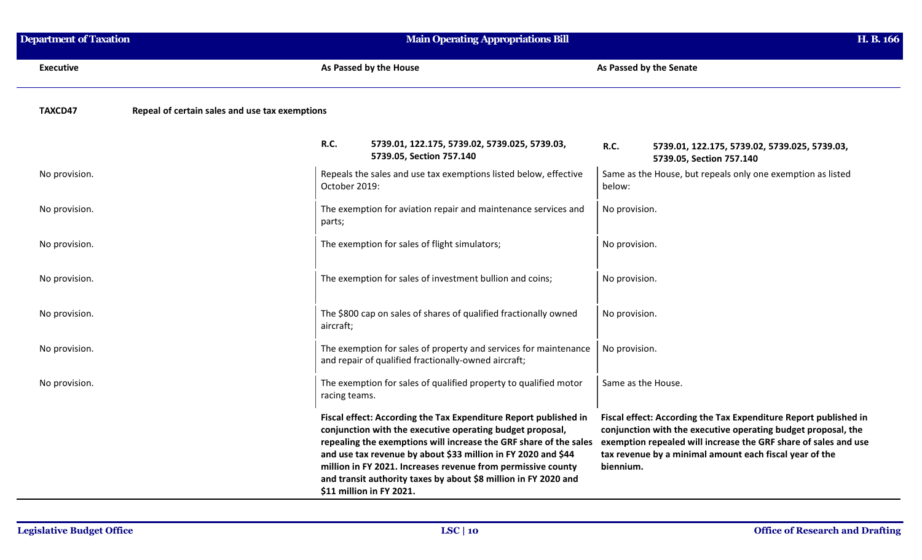| <b>Department of Taxation</b> |                                                | <b>Main Operating Appropriations Bill</b> |                                                                                                                                                                                                                                                                                                                                                                                                                                    |                         |                                                                                                                                                                                                                                                                 | H. B. 166 |
|-------------------------------|------------------------------------------------|-------------------------------------------|------------------------------------------------------------------------------------------------------------------------------------------------------------------------------------------------------------------------------------------------------------------------------------------------------------------------------------------------------------------------------------------------------------------------------------|-------------------------|-----------------------------------------------------------------------------------------------------------------------------------------------------------------------------------------------------------------------------------------------------------------|-----------|
| <b>Executive</b>              |                                                |                                           | As Passed by the House                                                                                                                                                                                                                                                                                                                                                                                                             | As Passed by the Senate |                                                                                                                                                                                                                                                                 |           |
| TAXCD47                       | Repeal of certain sales and use tax exemptions |                                           |                                                                                                                                                                                                                                                                                                                                                                                                                                    |                         |                                                                                                                                                                                                                                                                 |           |
|                               |                                                | R.C.                                      | 5739.01, 122.175, 5739.02, 5739.025, 5739.03,<br>5739.05, Section 757.140                                                                                                                                                                                                                                                                                                                                                          | R.C.                    | 5739.01, 122.175, 5739.02, 5739.025, 5739.03,<br>5739.05, Section 757.140                                                                                                                                                                                       |           |
| No provision.                 |                                                | October 2019:                             | Repeals the sales and use tax exemptions listed below, effective                                                                                                                                                                                                                                                                                                                                                                   | below:                  | Same as the House, but repeals only one exemption as listed                                                                                                                                                                                                     |           |
| No provision.                 |                                                | parts;                                    | The exemption for aviation repair and maintenance services and                                                                                                                                                                                                                                                                                                                                                                     | No provision.           |                                                                                                                                                                                                                                                                 |           |
| No provision.                 |                                                |                                           | The exemption for sales of flight simulators;                                                                                                                                                                                                                                                                                                                                                                                      | No provision.           |                                                                                                                                                                                                                                                                 |           |
| No provision.                 |                                                |                                           | The exemption for sales of investment bullion and coins;                                                                                                                                                                                                                                                                                                                                                                           | No provision.           |                                                                                                                                                                                                                                                                 |           |
| No provision.                 |                                                | aircraft;                                 | The \$800 cap on sales of shares of qualified fractionally owned                                                                                                                                                                                                                                                                                                                                                                   | No provision.           |                                                                                                                                                                                                                                                                 |           |
| No provision.                 |                                                |                                           | The exemption for sales of property and services for maintenance<br>and repair of qualified fractionally-owned aircraft;                                                                                                                                                                                                                                                                                                           | No provision.           |                                                                                                                                                                                                                                                                 |           |
| No provision.                 |                                                | racing teams.                             | The exemption for sales of qualified property to qualified motor                                                                                                                                                                                                                                                                                                                                                                   | Same as the House.      |                                                                                                                                                                                                                                                                 |           |
|                               |                                                |                                           | Fiscal effect: According the Tax Expenditure Report published in<br>conjunction with the executive operating budget proposal,<br>repealing the exemptions will increase the GRF share of the sales<br>and use tax revenue by about \$33 million in FY 2020 and \$44<br>million in FY 2021. Increases revenue from permissive county<br>and transit authority taxes by about \$8 million in FY 2020 and<br>\$11 million in FY 2021. | biennium.               | Fiscal effect: According the Tax Expenditure Report published in<br>conjunction with the executive operating budget proposal, the<br>exemption repealed will increase the GRF share of sales and use<br>tax revenue by a minimal amount each fiscal year of the |           |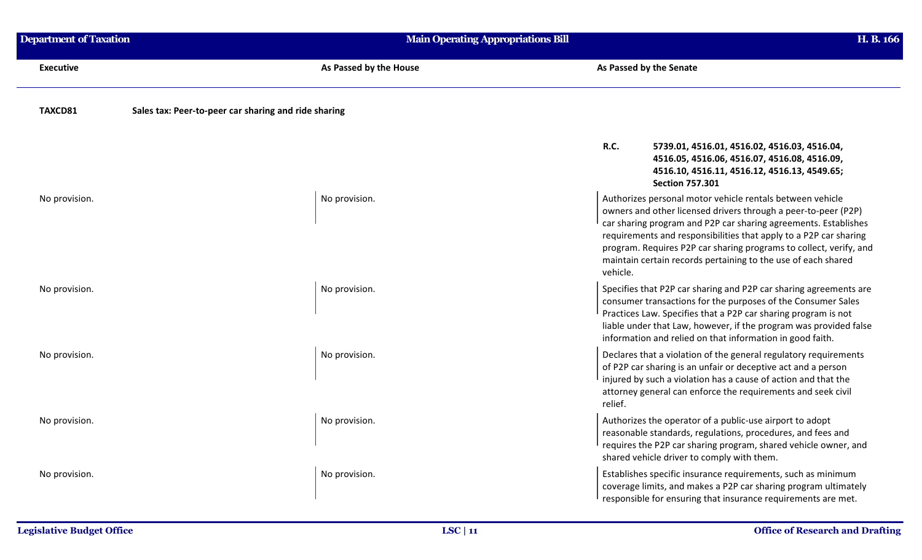| <b>Department of Taxation</b> | <b>Main Operating Appropriations Bill</b>            |                                                                                                                                                                                                                                                                                                                                                                                                                        | H. B. 166 |
|-------------------------------|------------------------------------------------------|------------------------------------------------------------------------------------------------------------------------------------------------------------------------------------------------------------------------------------------------------------------------------------------------------------------------------------------------------------------------------------------------------------------------|-----------|
| <b>Executive</b>              | As Passed by the House                               | As Passed by the Senate                                                                                                                                                                                                                                                                                                                                                                                                |           |
| TAXCD81                       | Sales tax: Peer-to-peer car sharing and ride sharing |                                                                                                                                                                                                                                                                                                                                                                                                                        |           |
|                               |                                                      | R.C.<br>5739.01, 4516.01, 4516.02, 4516.03, 4516.04,<br>4516.05, 4516.06, 4516.07, 4516.08, 4516.09,<br>4516.10, 4516.11, 4516.12, 4516.13, 4549.65;<br><b>Section 757.301</b>                                                                                                                                                                                                                                         |           |
| No provision.                 | No provision.                                        | Authorizes personal motor vehicle rentals between vehicle<br>owners and other licensed drivers through a peer-to-peer (P2P)<br>car sharing program and P2P car sharing agreements. Establishes<br>requirements and responsibilities that apply to a P2P car sharing<br>program. Requires P2P car sharing programs to collect, verify, and<br>maintain certain records pertaining to the use of each shared<br>vehicle. |           |
| No provision.                 | No provision.                                        | Specifies that P2P car sharing and P2P car sharing agreements are<br>consumer transactions for the purposes of the Consumer Sales<br>Practices Law. Specifies that a P2P car sharing program is not<br>liable under that Law, however, if the program was provided false<br>information and relied on that information in good faith.                                                                                  |           |
| No provision.                 | No provision.                                        | Declares that a violation of the general regulatory requirements<br>of P2P car sharing is an unfair or deceptive act and a person<br>injured by such a violation has a cause of action and that the<br>attorney general can enforce the requirements and seek civil<br>relief.                                                                                                                                         |           |
| No provision.                 | No provision.                                        | Authorizes the operator of a public-use airport to adopt<br>reasonable standards, regulations, procedures, and fees and<br>requires the P2P car sharing program, shared vehicle owner, and<br>shared vehicle driver to comply with them.                                                                                                                                                                               |           |
| No provision.                 | No provision.                                        | Establishes specific insurance requirements, such as minimum<br>coverage limits, and makes a P2P car sharing program ultimately<br>responsible for ensuring that insurance requirements are met.                                                                                                                                                                                                                       |           |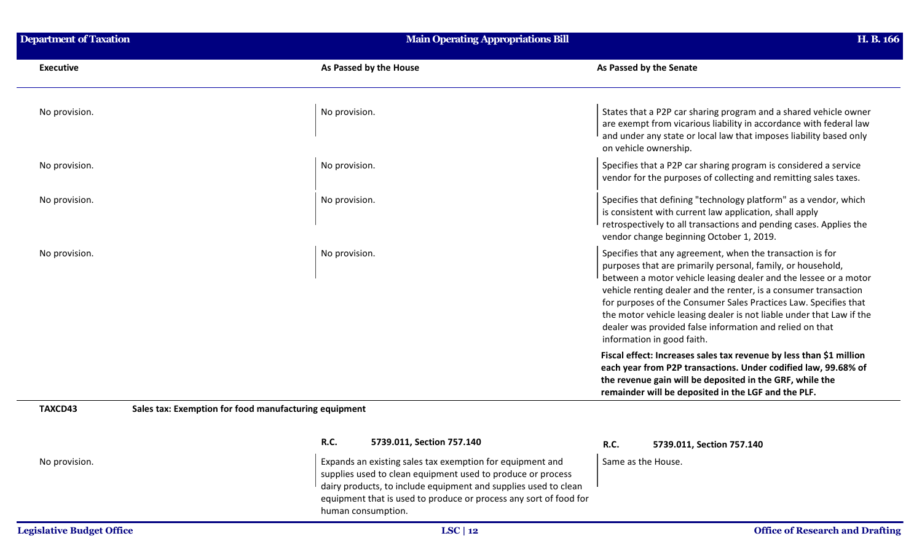| <b>Department of Taxation</b> | <b>Main Operating Appropriations Bill</b>                                                                                                                                                                                                                                              | H. B. 166                                                                                                                                                                                                                                                                                                                                                                                                                                                                                              |
|-------------------------------|----------------------------------------------------------------------------------------------------------------------------------------------------------------------------------------------------------------------------------------------------------------------------------------|--------------------------------------------------------------------------------------------------------------------------------------------------------------------------------------------------------------------------------------------------------------------------------------------------------------------------------------------------------------------------------------------------------------------------------------------------------------------------------------------------------|
| <b>Executive</b>              | As Passed by the House                                                                                                                                                                                                                                                                 | As Passed by the Senate                                                                                                                                                                                                                                                                                                                                                                                                                                                                                |
| No provision.                 | No provision.                                                                                                                                                                                                                                                                          | States that a P2P car sharing program and a shared vehicle owner<br>are exempt from vicarious liability in accordance with federal law<br>and under any state or local law that imposes liability based only<br>on vehicle ownership.                                                                                                                                                                                                                                                                  |
| No provision.                 | No provision.                                                                                                                                                                                                                                                                          | Specifies that a P2P car sharing program is considered a service<br>vendor for the purposes of collecting and remitting sales taxes.                                                                                                                                                                                                                                                                                                                                                                   |
| No provision.                 | No provision.                                                                                                                                                                                                                                                                          | Specifies that defining "technology platform" as a vendor, which<br>is consistent with current law application, shall apply<br>retrospectively to all transactions and pending cases. Applies the<br>vendor change beginning October 1, 2019.                                                                                                                                                                                                                                                          |
| No provision.                 | No provision.                                                                                                                                                                                                                                                                          | Specifies that any agreement, when the transaction is for<br>purposes that are primarily personal, family, or household,<br>between a motor vehicle leasing dealer and the lessee or a motor<br>vehicle renting dealer and the renter, is a consumer transaction<br>for purposes of the Consumer Sales Practices Law. Specifies that<br>the motor vehicle leasing dealer is not liable under that Law if the<br>dealer was provided false information and relied on that<br>information in good faith. |
|                               |                                                                                                                                                                                                                                                                                        | Fiscal effect: Increases sales tax revenue by less than \$1 million<br>each year from P2P transactions. Under codified law, 99.68% of<br>the revenue gain will be deposited in the GRF, while the<br>remainder will be deposited in the LGF and the PLF.                                                                                                                                                                                                                                               |
| TAXCD43                       | Sales tax: Exemption for food manufacturing equipment                                                                                                                                                                                                                                  |                                                                                                                                                                                                                                                                                                                                                                                                                                                                                                        |
|                               | R.C.<br>5739.011, Section 757.140                                                                                                                                                                                                                                                      | <b>R.C.</b><br>5739.011, Section 757.140                                                                                                                                                                                                                                                                                                                                                                                                                                                               |
| No provision.                 | Expands an existing sales tax exemption for equipment and<br>supplies used to clean equipment used to produce or process<br>dairy products, to include equipment and supplies used to clean<br>equipment that is used to produce or process any sort of food for<br>human consumption. | Same as the House.                                                                                                                                                                                                                                                                                                                                                                                                                                                                                     |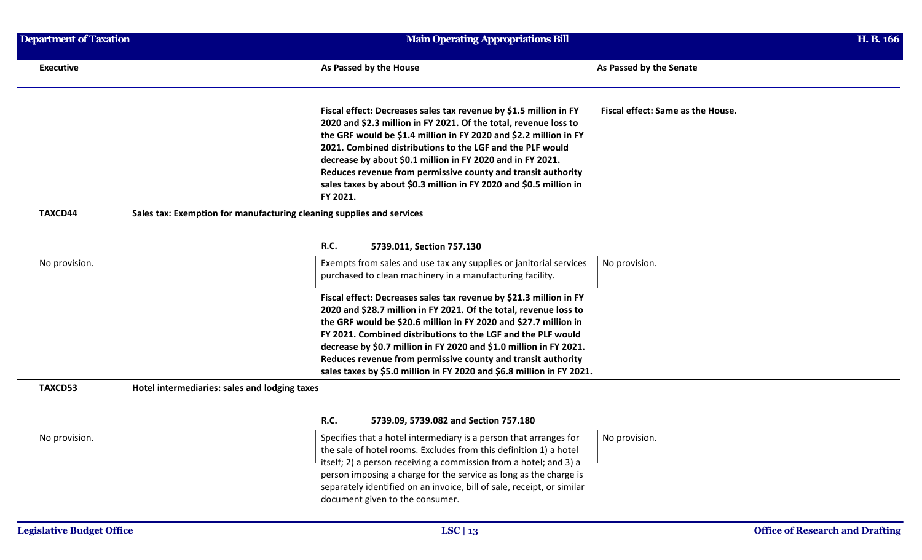| <b>Department of Taxation</b><br><b>Main Operating Appropriations Bill</b> |                                                                                                                                                                                                                                                                                                                                                                                                                                                                                         |                                                                                                                        | H. B. 166                                                             |
|----------------------------------------------------------------------------|-----------------------------------------------------------------------------------------------------------------------------------------------------------------------------------------------------------------------------------------------------------------------------------------------------------------------------------------------------------------------------------------------------------------------------------------------------------------------------------------|------------------------------------------------------------------------------------------------------------------------|-----------------------------------------------------------------------|
|                                                                            | As Passed by the House                                                                                                                                                                                                                                                                                                                                                                                                                                                                  | As Passed by the Senate                                                                                                |                                                                       |
|                                                                            | Fiscal effect: Decreases sales tax revenue by \$1.5 million in FY<br>2020 and \$2.3 million in FY 2021. Of the total, revenue loss to<br>the GRF would be \$1.4 million in FY 2020 and \$2.2 million in FY<br>2021. Combined distributions to the LGF and the PLF would<br>decrease by about \$0.1 million in FY 2020 and in FY 2021.<br>Reduces revenue from permissive county and transit authority<br>sales taxes by about \$0.3 million in FY 2020 and \$0.5 million in<br>FY 2021. | Fiscal effect: Same as the House.                                                                                      |                                                                       |
|                                                                            |                                                                                                                                                                                                                                                                                                                                                                                                                                                                                         |                                                                                                                        |                                                                       |
|                                                                            | <b>R.C.</b><br>5739.011, Section 757.130                                                                                                                                                                                                                                                                                                                                                                                                                                                |                                                                                                                        |                                                                       |
|                                                                            | Exempts from sales and use tax any supplies or janitorial services<br>purchased to clean machinery in a manufacturing facility.                                                                                                                                                                                                                                                                                                                                                         | No provision.                                                                                                          |                                                                       |
|                                                                            | Fiscal effect: Decreases sales tax revenue by \$21.3 million in FY<br>2020 and \$28.7 million in FY 2021. Of the total, revenue loss to<br>the GRF would be \$20.6 million in FY 2020 and \$27.7 million in<br>FY 2021. Combined distributions to the LGF and the PLF would<br>decrease by \$0.7 million in FY 2020 and \$1.0 million in FY 2021.<br>Reduces revenue from permissive county and transit authority                                                                       |                                                                                                                        |                                                                       |
|                                                                            |                                                                                                                                                                                                                                                                                                                                                                                                                                                                                         |                                                                                                                        |                                                                       |
|                                                                            | R.C.<br>5739.09, 5739.082 and Section 757.180                                                                                                                                                                                                                                                                                                                                                                                                                                           |                                                                                                                        |                                                                       |
|                                                                            | Specifies that a hotel intermediary is a person that arranges for<br>the sale of hotel rooms. Excludes from this definition 1) a hotel<br>itself; 2) a person receiving a commission from a hotel; and 3) a<br>person imposing a charge for the service as long as the charge is<br>separately identified on an invoice, bill of sale, receipt, or similar<br>document given to the consumer.                                                                                           | No provision.                                                                                                          |                                                                       |
|                                                                            |                                                                                                                                                                                                                                                                                                                                                                                                                                                                                         | Sales tax: Exemption for manufacturing cleaning supplies and services<br>Hotel intermediaries: sales and lodging taxes | sales taxes by \$5.0 million in FY 2020 and \$6.8 million in FY 2021. |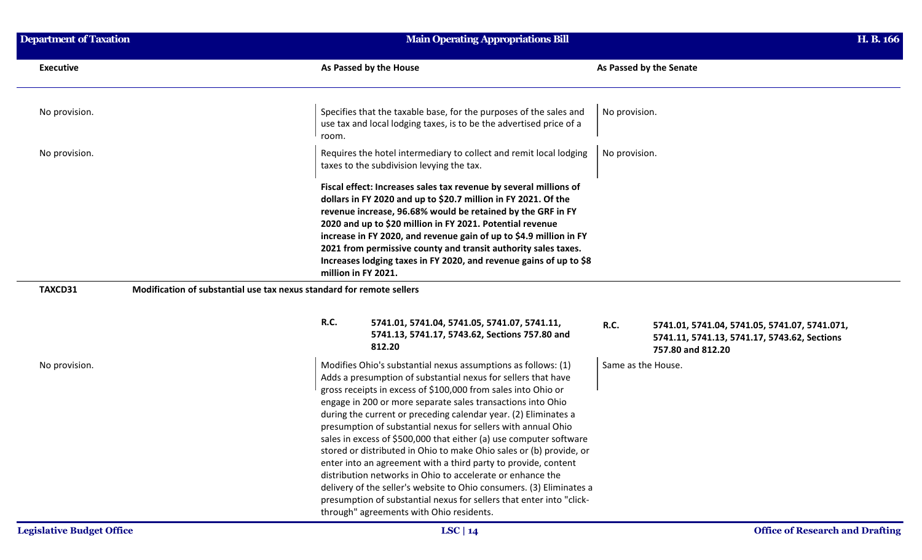| <b>Department of Taxation</b> | <b>Main Operating Appropriations Bill</b>                                                                                                                                                                                                                                                                                                                                                                                                                                                                                                                                                                                                                                                                                                                                                                                                                                   |                                                                                                                                   | H. B. 166 |
|-------------------------------|-----------------------------------------------------------------------------------------------------------------------------------------------------------------------------------------------------------------------------------------------------------------------------------------------------------------------------------------------------------------------------------------------------------------------------------------------------------------------------------------------------------------------------------------------------------------------------------------------------------------------------------------------------------------------------------------------------------------------------------------------------------------------------------------------------------------------------------------------------------------------------|-----------------------------------------------------------------------------------------------------------------------------------|-----------|
| <b>Executive</b>              | As Passed by the House                                                                                                                                                                                                                                                                                                                                                                                                                                                                                                                                                                                                                                                                                                                                                                                                                                                      | As Passed by the Senate                                                                                                           |           |
| No provision.                 | Specifies that the taxable base, for the purposes of the sales and<br>use tax and local lodging taxes, is to be the advertised price of a<br>room.                                                                                                                                                                                                                                                                                                                                                                                                                                                                                                                                                                                                                                                                                                                          | No provision.                                                                                                                     |           |
| No provision.                 | Requires the hotel intermediary to collect and remit local lodging<br>taxes to the subdivision levying the tax.                                                                                                                                                                                                                                                                                                                                                                                                                                                                                                                                                                                                                                                                                                                                                             | No provision.                                                                                                                     |           |
|                               | Fiscal effect: Increases sales tax revenue by several millions of<br>dollars in FY 2020 and up to \$20.7 million in FY 2021. Of the<br>revenue increase, 96.68% would be retained by the GRF in FY<br>2020 and up to \$20 million in FY 2021. Potential revenue<br>increase in FY 2020, and revenue gain of up to \$4.9 million in FY<br>2021 from permissive county and transit authority sales taxes.<br>Increases lodging taxes in FY 2020, and revenue gains of up to \$8<br>million in FY 2021.                                                                                                                                                                                                                                                                                                                                                                        |                                                                                                                                   |           |
| TAXCD31                       | Modification of substantial use tax nexus standard for remote sellers                                                                                                                                                                                                                                                                                                                                                                                                                                                                                                                                                                                                                                                                                                                                                                                                       |                                                                                                                                   |           |
|                               | R.C.<br>5741.01, 5741.04, 5741.05, 5741.07, 5741.11,<br>5741.13, 5741.17, 5743.62, Sections 757.80 and<br>812.20                                                                                                                                                                                                                                                                                                                                                                                                                                                                                                                                                                                                                                                                                                                                                            | <b>R.C.</b><br>5741.01, 5741.04, 5741.05, 5741.07, 5741.071,<br>5741.11, 5741.13, 5741.17, 5743.62, Sections<br>757.80 and 812.20 |           |
| No provision.                 | Modifies Ohio's substantial nexus assumptions as follows: (1)<br>Adds a presumption of substantial nexus for sellers that have<br>gross receipts in excess of \$100,000 from sales into Ohio or<br>engage in 200 or more separate sales transactions into Ohio<br>during the current or preceding calendar year. (2) Eliminates a<br>presumption of substantial nexus for sellers with annual Ohio<br>sales in excess of \$500,000 that either (a) use computer software<br>stored or distributed in Ohio to make Ohio sales or (b) provide, or<br>enter into an agreement with a third party to provide, content<br>distribution networks in Ohio to accelerate or enhance the<br>delivery of the seller's website to Ohio consumers. (3) Eliminates a<br>presumption of substantial nexus for sellers that enter into "click-<br>through" agreements with Ohio residents. | Same as the House.                                                                                                                |           |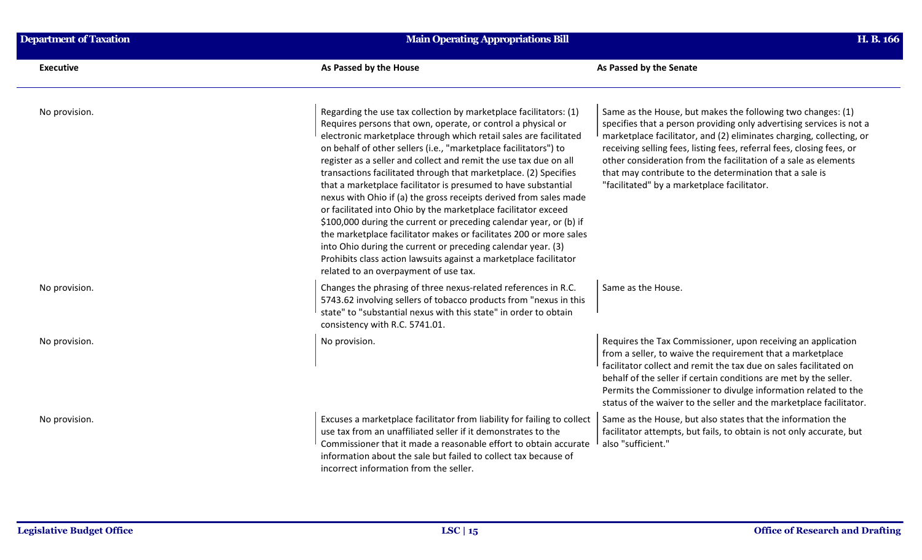| <b>Executive</b> | As Passed by the House                                                                                                                                                                                                                                                                                                                                                                                                                                                                                                                                                                                                                                                                                                                                                                                            | As Passed by the Senate                                                                                                                                                                                                                                                                                                                                                                                       |
|------------------|-------------------------------------------------------------------------------------------------------------------------------------------------------------------------------------------------------------------------------------------------------------------------------------------------------------------------------------------------------------------------------------------------------------------------------------------------------------------------------------------------------------------------------------------------------------------------------------------------------------------------------------------------------------------------------------------------------------------------------------------------------------------------------------------------------------------|---------------------------------------------------------------------------------------------------------------------------------------------------------------------------------------------------------------------------------------------------------------------------------------------------------------------------------------------------------------------------------------------------------------|
| No provision.    | Regarding the use tax collection by marketplace facilitators: (1)<br>Requires persons that own, operate, or control a physical or                                                                                                                                                                                                                                                                                                                                                                                                                                                                                                                                                                                                                                                                                 | Same as the House, but makes the following two changes: (1)<br>specifies that a person providing only advertising services is not a                                                                                                                                                                                                                                                                           |
|                  | electronic marketplace through which retail sales are facilitated<br>on behalf of other sellers (i.e., "marketplace facilitators") to<br>register as a seller and collect and remit the use tax due on all<br>transactions facilitated through that marketplace. (2) Specifies<br>that a marketplace facilitator is presumed to have substantial<br>nexus with Ohio if (a) the gross receipts derived from sales made<br>or facilitated into Ohio by the marketplace facilitator exceed<br>\$100,000 during the current or preceding calendar year, or (b) if<br>the marketplace facilitator makes or facilitates 200 or more sales<br>into Ohio during the current or preceding calendar year. (3)<br>Prohibits class action lawsuits against a marketplace facilitator<br>related to an overpayment of use tax. | marketplace facilitator, and (2) eliminates charging, collecting, or<br>receiving selling fees, listing fees, referral fees, closing fees, or<br>other consideration from the facilitation of a sale as elements<br>that may contribute to the determination that a sale is<br>"facilitated" by a marketplace facilitator.                                                                                    |
| No provision.    | Changes the phrasing of three nexus-related references in R.C.<br>5743.62 involving sellers of tobacco products from "nexus in this<br>state" to "substantial nexus with this state" in order to obtain<br>consistency with R.C. 5741.01.                                                                                                                                                                                                                                                                                                                                                                                                                                                                                                                                                                         | Same as the House.                                                                                                                                                                                                                                                                                                                                                                                            |
| No provision.    | No provision.                                                                                                                                                                                                                                                                                                                                                                                                                                                                                                                                                                                                                                                                                                                                                                                                     | Requires the Tax Commissioner, upon receiving an application<br>from a seller, to waive the requirement that a marketplace<br>facilitator collect and remit the tax due on sales facilitated on<br>behalf of the seller if certain conditions are met by the seller.<br>Permits the Commissioner to divulge information related to the<br>status of the waiver to the seller and the marketplace facilitator. |
| No provision.    | Excuses a marketplace facilitator from liability for failing to collect<br>use tax from an unaffiliated seller if it demonstrates to the<br>Commissioner that it made a reasonable effort to obtain accurate<br>information about the sale but failed to collect tax because of<br>incorrect information from the seller.                                                                                                                                                                                                                                                                                                                                                                                                                                                                                         | Same as the House, but also states that the information the<br>facilitator attempts, but fails, to obtain is not only accurate, but<br>also "sufficient."                                                                                                                                                                                                                                                     |

**Department of Taxation H. B. 166 Main Operating Appropriations Bill**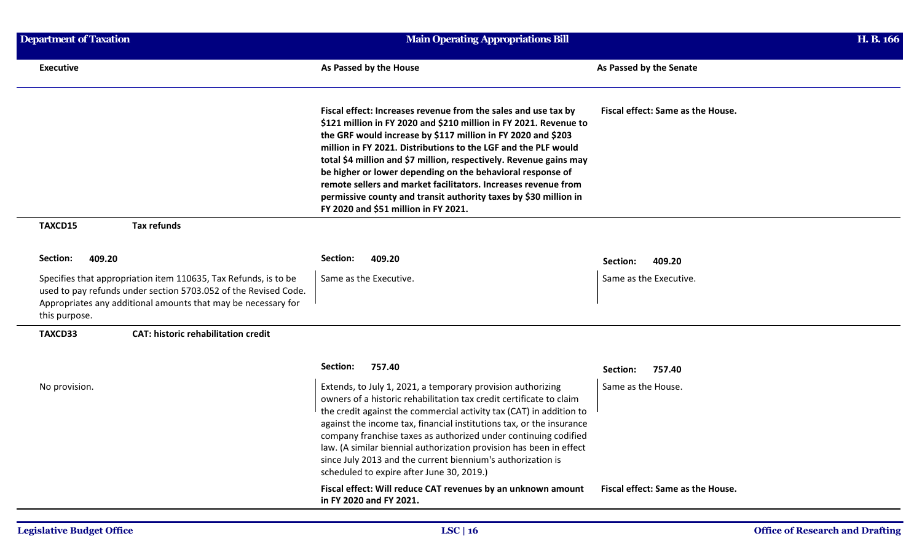| <b>Department of Taxation</b>                                                                                                                                                                                        | <b>Main Operating Appropriations Bill</b>                                                                                                                                                                                                                                                                                                                                                                                                                                                                                                                                               |                                   |
|----------------------------------------------------------------------------------------------------------------------------------------------------------------------------------------------------------------------|-----------------------------------------------------------------------------------------------------------------------------------------------------------------------------------------------------------------------------------------------------------------------------------------------------------------------------------------------------------------------------------------------------------------------------------------------------------------------------------------------------------------------------------------------------------------------------------------|-----------------------------------|
| <b>Executive</b>                                                                                                                                                                                                     | As Passed by the House                                                                                                                                                                                                                                                                                                                                                                                                                                                                                                                                                                  | As Passed by the Senate           |
|                                                                                                                                                                                                                      | Fiscal effect: Increases revenue from the sales and use tax by<br>\$121 million in FY 2020 and \$210 million in FY 2021. Revenue to<br>the GRF would increase by \$117 million in FY 2020 and \$203<br>million in FY 2021. Distributions to the LGF and the PLF would<br>total \$4 million and \$7 million, respectively. Revenue gains may<br>be higher or lower depending on the behavioral response of<br>remote sellers and market facilitators. Increases revenue from<br>permissive county and transit authority taxes by \$30 million in<br>FY 2020 and \$51 million in FY 2021. | Fiscal effect: Same as the House. |
| <b>Tax refunds</b><br>TAXCD15                                                                                                                                                                                        |                                                                                                                                                                                                                                                                                                                                                                                                                                                                                                                                                                                         |                                   |
| 409.20<br>Section:                                                                                                                                                                                                   | 409.20<br>Section:                                                                                                                                                                                                                                                                                                                                                                                                                                                                                                                                                                      | 409.20<br>Section:                |
| Specifies that appropriation item 110635, Tax Refunds, is to be<br>used to pay refunds under section 5703.052 of the Revised Code.<br>Appropriates any additional amounts that may be necessary for<br>this purpose. | Same as the Executive.                                                                                                                                                                                                                                                                                                                                                                                                                                                                                                                                                                  | Same as the Executive.            |
| <b>CAT: historic rehabilitation credit</b><br>TAXCD33                                                                                                                                                                |                                                                                                                                                                                                                                                                                                                                                                                                                                                                                                                                                                                         |                                   |
|                                                                                                                                                                                                                      | 757.40<br>Section:                                                                                                                                                                                                                                                                                                                                                                                                                                                                                                                                                                      | 757.40<br>Section:                |
| No provision.                                                                                                                                                                                                        | Extends, to July 1, 2021, a temporary provision authorizing<br>owners of a historic rehabilitation tax credit certificate to claim<br>the credit against the commercial activity tax (CAT) in addition to<br>against the income tax, financial institutions tax, or the insurance<br>company franchise taxes as authorized under continuing codified<br>law. (A similar biennial authorization provision has been in effect<br>since July 2013 and the current biennium's authorization is<br>scheduled to expire after June 30, 2019.)                                                 | Same as the House.                |
|                                                                                                                                                                                                                      | Fiscal effect: Will reduce CAT revenues by an unknown amount<br>in FY 2020 and FY 2021.                                                                                                                                                                                                                                                                                                                                                                                                                                                                                                 | Fiscal effect: Same as the House. |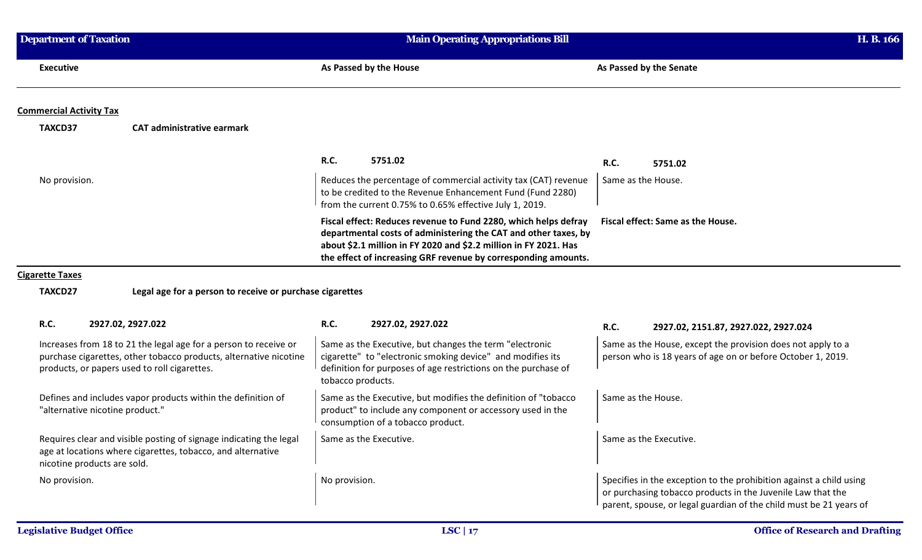| <b>Department of Taxation</b>                                                                                                                                                         | Main Operating Appropriations Bill                                                                                                                                                                                                                                       |                                                                                                                                                                                                          | H. B. 166 |
|---------------------------------------------------------------------------------------------------------------------------------------------------------------------------------------|--------------------------------------------------------------------------------------------------------------------------------------------------------------------------------------------------------------------------------------------------------------------------|----------------------------------------------------------------------------------------------------------------------------------------------------------------------------------------------------------|-----------|
| <b>Executive</b>                                                                                                                                                                      | As Passed by the House                                                                                                                                                                                                                                                   | As Passed by the Senate                                                                                                                                                                                  |           |
| <b>Commercial Activity Tax</b>                                                                                                                                                        |                                                                                                                                                                                                                                                                          |                                                                                                                                                                                                          |           |
| TAXCD37<br><b>CAT administrative earmark</b>                                                                                                                                          |                                                                                                                                                                                                                                                                          |                                                                                                                                                                                                          |           |
|                                                                                                                                                                                       | R.C.<br>5751.02                                                                                                                                                                                                                                                          | <b>R.C.</b><br>5751.02                                                                                                                                                                                   |           |
| No provision.                                                                                                                                                                         | Reduces the percentage of commercial activity tax (CAT) revenue<br>to be credited to the Revenue Enhancement Fund (Fund 2280)<br>from the current 0.75% to 0.65% effective July 1, 2019.                                                                                 | Same as the House.                                                                                                                                                                                       |           |
|                                                                                                                                                                                       | Fiscal effect: Reduces revenue to Fund 2280, which helps defray<br>departmental costs of administering the CAT and other taxes, by<br>about \$2.1 million in FY 2020 and \$2.2 million in FY 2021. Has<br>the effect of increasing GRF revenue by corresponding amounts. | Fiscal effect: Same as the House.                                                                                                                                                                        |           |
| <b>Cigarette Taxes</b>                                                                                                                                                                |                                                                                                                                                                                                                                                                          |                                                                                                                                                                                                          |           |
| Legal age for a person to receive or purchase cigarettes<br>TAXCD27                                                                                                                   |                                                                                                                                                                                                                                                                          |                                                                                                                                                                                                          |           |
| R.C.<br>2927.02, 2927.022                                                                                                                                                             | R.C.<br>2927.02, 2927.022                                                                                                                                                                                                                                                | <b>R.C.</b><br>2927.02, 2151.87, 2927.022, 2927.024                                                                                                                                                      |           |
| Increases from 18 to 21 the legal age for a person to receive or<br>purchase cigarettes, other tobacco products, alternative nicotine<br>products, or papers used to roll cigarettes. | Same as the Executive, but changes the term "electronic<br>cigarette" to "electronic smoking device" and modifies its<br>definition for purposes of age restrictions on the purchase of<br>tobacco products.                                                             | Same as the House, except the provision does not apply to a<br>person who is 18 years of age on or before October 1, 2019.                                                                               |           |
| Defines and includes vapor products within the definition of<br>"alternative nicotine product."                                                                                       | Same as the Executive, but modifies the definition of "tobacco<br>product" to include any component or accessory used in the<br>consumption of a tobacco product.                                                                                                        | Same as the House.                                                                                                                                                                                       |           |
| Requires clear and visible posting of signage indicating the legal<br>age at locations where cigarettes, tobacco, and alternative<br>nicotine products are sold.                      | Same as the Executive.                                                                                                                                                                                                                                                   | Same as the Executive.                                                                                                                                                                                   |           |
| No provision.                                                                                                                                                                         | No provision.                                                                                                                                                                                                                                                            | Specifies in the exception to the prohibition against a child using<br>or purchasing tobacco products in the Juvenile Law that the<br>parent, spouse, or legal guardian of the child must be 21 years of |           |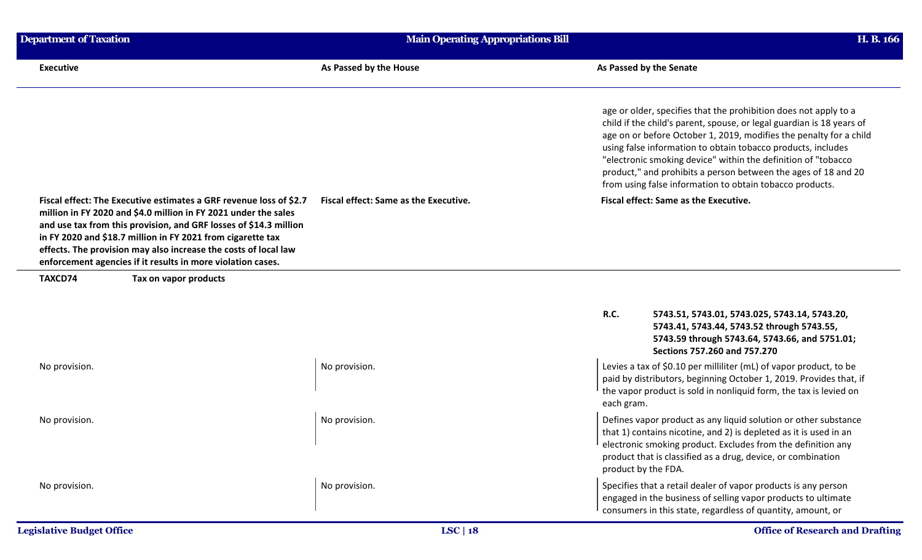| <b>Department of Taxation</b> |                                                                                                                                                                                                                                                                                                                                                                                                             | <b>Main Operating Appropriations Bill</b> | H. B. 166                                                                                                                                                                                                                                                                                                                                                                                                                                                                      |  |
|-------------------------------|-------------------------------------------------------------------------------------------------------------------------------------------------------------------------------------------------------------------------------------------------------------------------------------------------------------------------------------------------------------------------------------------------------------|-------------------------------------------|--------------------------------------------------------------------------------------------------------------------------------------------------------------------------------------------------------------------------------------------------------------------------------------------------------------------------------------------------------------------------------------------------------------------------------------------------------------------------------|--|
| <b>Executive</b>              |                                                                                                                                                                                                                                                                                                                                                                                                             | As Passed by the House                    | As Passed by the Senate                                                                                                                                                                                                                                                                                                                                                                                                                                                        |  |
|                               |                                                                                                                                                                                                                                                                                                                                                                                                             |                                           | age or older, specifies that the prohibition does not apply to a<br>child if the child's parent, spouse, or legal guardian is 18 years of<br>age on or before October 1, 2019, modifies the penalty for a child<br>using false information to obtain tobacco products, includes<br>"electronic smoking device" within the definition of "tobacco<br>product," and prohibits a person between the ages of 18 and 20<br>from using false information to obtain tobacco products. |  |
|                               | Fiscal effect: The Executive estimates a GRF revenue loss of \$2.7<br>million in FY 2020 and \$4.0 million in FY 2021 under the sales<br>and use tax from this provision, and GRF losses of \$14.3 million<br>in FY 2020 and \$18.7 million in FY 2021 from cigarette tax<br>effects. The provision may also increase the costs of local law<br>enforcement agencies if it results in more violation cases. | Fiscal effect: Same as the Executive.     | Fiscal effect: Same as the Executive.                                                                                                                                                                                                                                                                                                                                                                                                                                          |  |
| TAXCD74                       | Tax on vapor products                                                                                                                                                                                                                                                                                                                                                                                       |                                           |                                                                                                                                                                                                                                                                                                                                                                                                                                                                                |  |
|                               |                                                                                                                                                                                                                                                                                                                                                                                                             |                                           | R.C.<br>5743.51, 5743.01, 5743.025, 5743.14, 5743.20,<br>5743.41, 5743.44, 5743.52 through 5743.55,<br>5743.59 through 5743.64, 5743.66, and 5751.01;<br>Sections 757.260 and 757.270                                                                                                                                                                                                                                                                                          |  |
| No provision.                 |                                                                                                                                                                                                                                                                                                                                                                                                             | No provision.                             | Levies a tax of \$0.10 per milliliter (mL) of vapor product, to be<br>paid by distributors, beginning October 1, 2019. Provides that, if<br>the vapor product is sold in nonliquid form, the tax is levied on<br>each gram.                                                                                                                                                                                                                                                    |  |
| No provision.                 |                                                                                                                                                                                                                                                                                                                                                                                                             | No provision.                             | Defines vapor product as any liquid solution or other substance<br>that 1) contains nicotine, and 2) is depleted as it is used in an<br><sup>1</sup> electronic smoking product. Excludes from the definition any<br>product that is classified as a drug, device, or combination<br>product by the FDA.                                                                                                                                                                       |  |
| No provision.                 |                                                                                                                                                                                                                                                                                                                                                                                                             | No provision.                             | Specifies that a retail dealer of vapor products is any person<br>engaged in the business of selling vapor products to ultimate<br>consumers in this state, regardless of quantity, amount, or                                                                                                                                                                                                                                                                                 |  |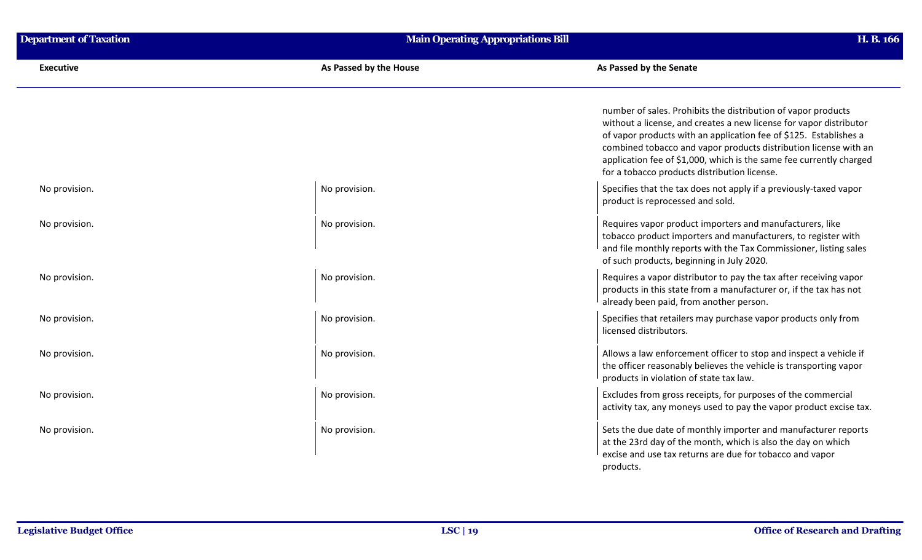| <b>Department of Taxation</b> | <b>Main Operating Appropriations Bill</b> | H. B. 166                                                                                                                                                                                                                                                                                                                                                                                           |
|-------------------------------|-------------------------------------------|-----------------------------------------------------------------------------------------------------------------------------------------------------------------------------------------------------------------------------------------------------------------------------------------------------------------------------------------------------------------------------------------------------|
| <b>Executive</b>              | As Passed by the House                    | As Passed by the Senate                                                                                                                                                                                                                                                                                                                                                                             |
|                               |                                           | number of sales. Prohibits the distribution of vapor products<br>without a license, and creates a new license for vapor distributor<br>of vapor products with an application fee of \$125. Establishes a<br>combined tobacco and vapor products distribution license with an<br>application fee of \$1,000, which is the same fee currently charged<br>for a tobacco products distribution license. |
| No provision.                 | No provision.                             | Specifies that the tax does not apply if a previously-taxed vapor<br>product is reprocessed and sold.                                                                                                                                                                                                                                                                                               |
| No provision.                 | No provision.                             | Requires vapor product importers and manufacturers, like<br>tobacco product importers and manufacturers, to register with<br>and file monthly reports with the Tax Commissioner, listing sales<br>of such products, beginning in July 2020.                                                                                                                                                         |
| No provision.                 | No provision.                             | Requires a vapor distributor to pay the tax after receiving vapor<br>products in this state from a manufacturer or, if the tax has not<br>already been paid, from another person.                                                                                                                                                                                                                   |
| No provision.                 | No provision.                             | Specifies that retailers may purchase vapor products only from<br>licensed distributors.                                                                                                                                                                                                                                                                                                            |
| No provision.                 | No provision.                             | Allows a law enforcement officer to stop and inspect a vehicle if<br>the officer reasonably believes the vehicle is transporting vapor<br>products in violation of state tax law.                                                                                                                                                                                                                   |
| No provision.                 | No provision.                             | Excludes from gross receipts, for purposes of the commercial<br>activity tax, any moneys used to pay the vapor product excise tax.                                                                                                                                                                                                                                                                  |
| No provision.                 | No provision.                             | Sets the due date of monthly importer and manufacturer reports<br>at the 23rd day of the month, which is also the day on which<br>excise and use tax returns are due for tobacco and vapor<br>products.                                                                                                                                                                                             |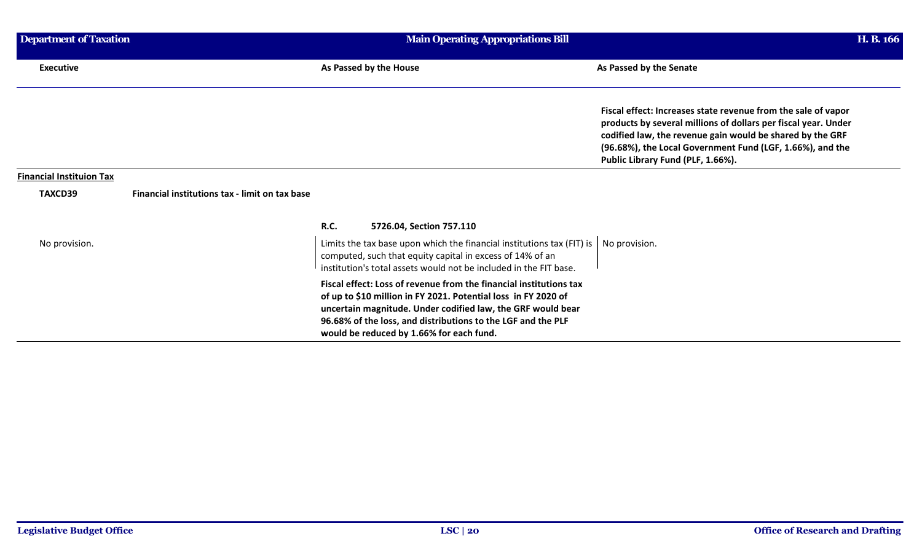| Department of Taxation          |                                                | <b>Main Operating Appropriations Bill</b>                                                                                                                                                                                                                                                                       |                                                                                                                                                                                                                                                                                                | H. B. 166 |
|---------------------------------|------------------------------------------------|-----------------------------------------------------------------------------------------------------------------------------------------------------------------------------------------------------------------------------------------------------------------------------------------------------------------|------------------------------------------------------------------------------------------------------------------------------------------------------------------------------------------------------------------------------------------------------------------------------------------------|-----------|
| <b>Executive</b>                |                                                | As Passed by the House                                                                                                                                                                                                                                                                                          | As Passed by the Senate                                                                                                                                                                                                                                                                        |           |
|                                 |                                                |                                                                                                                                                                                                                                                                                                                 | Fiscal effect: Increases state revenue from the sale of vapor<br>products by several millions of dollars per fiscal year. Under<br>codified law, the revenue gain would be shared by the GRF<br>(96.68%), the Local Government Fund (LGF, 1.66%), and the<br>Public Library Fund (PLF, 1.66%). |           |
| <b>Financial Instituion Tax</b> |                                                |                                                                                                                                                                                                                                                                                                                 |                                                                                                                                                                                                                                                                                                |           |
| TAXCD39                         | Financial institutions tax - limit on tax base |                                                                                                                                                                                                                                                                                                                 |                                                                                                                                                                                                                                                                                                |           |
|                                 |                                                | R.C.<br>5726.04, Section 757.110                                                                                                                                                                                                                                                                                |                                                                                                                                                                                                                                                                                                |           |
| No provision.                   |                                                | Limits the tax base upon which the financial institutions tax (FIT) is $\parallel$<br>computed, such that equity capital in excess of 14% of an<br>institution's total assets would not be included in the FIT base.                                                                                            | No provision.                                                                                                                                                                                                                                                                                  |           |
|                                 |                                                | Fiscal effect: Loss of revenue from the financial institutions tax<br>of up to \$10 million in FY 2021. Potential loss in FY 2020 of<br>uncertain magnitude. Under codified law, the GRF would bear<br>96.68% of the loss, and distributions to the LGF and the PLF<br>would be reduced by 1.66% for each fund. |                                                                                                                                                                                                                                                                                                |           |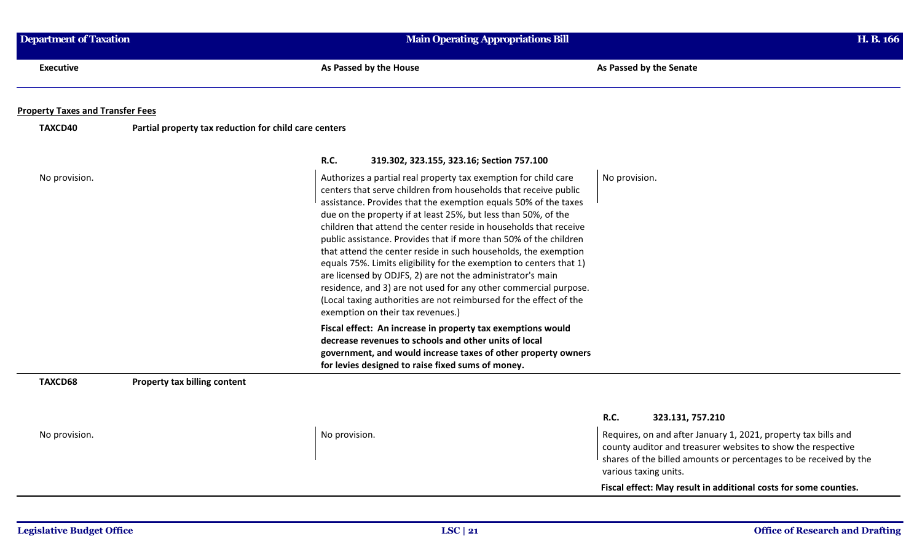| <b>Department of Taxation</b>           |                                                       | <b>Main Operating Appropriations Bill</b>                                                                                                                                                                                                                                                                                                                                                                                                                                                                                                                                                                                                                                                                                                                                                                |                                                                                                                                                                                                                              |
|-----------------------------------------|-------------------------------------------------------|----------------------------------------------------------------------------------------------------------------------------------------------------------------------------------------------------------------------------------------------------------------------------------------------------------------------------------------------------------------------------------------------------------------------------------------------------------------------------------------------------------------------------------------------------------------------------------------------------------------------------------------------------------------------------------------------------------------------------------------------------------------------------------------------------------|------------------------------------------------------------------------------------------------------------------------------------------------------------------------------------------------------------------------------|
| <b>Executive</b>                        |                                                       | As Passed by the House                                                                                                                                                                                                                                                                                                                                                                                                                                                                                                                                                                                                                                                                                                                                                                                   | As Passed by the Senate                                                                                                                                                                                                      |
| <b>Property Taxes and Transfer Fees</b> |                                                       |                                                                                                                                                                                                                                                                                                                                                                                                                                                                                                                                                                                                                                                                                                                                                                                                          |                                                                                                                                                                                                                              |
| TAXCD40                                 | Partial property tax reduction for child care centers |                                                                                                                                                                                                                                                                                                                                                                                                                                                                                                                                                                                                                                                                                                                                                                                                          |                                                                                                                                                                                                                              |
|                                         |                                                       | <b>R.C.</b><br>319.302, 323.155, 323.16; Section 757.100                                                                                                                                                                                                                                                                                                                                                                                                                                                                                                                                                                                                                                                                                                                                                 |                                                                                                                                                                                                                              |
| No provision.                           |                                                       | Authorizes a partial real property tax exemption for child care<br>centers that serve children from households that receive public<br>assistance. Provides that the exemption equals 50% of the taxes<br>due on the property if at least 25%, but less than 50%, of the<br>children that attend the center reside in households that receive<br>public assistance. Provides that if more than 50% of the children<br>that attend the center reside in such households, the exemption<br>equals 75%. Limits eligibility for the exemption to centers that 1)<br>are licensed by ODJFS, 2) are not the administrator's main<br>residence, and 3) are not used for any other commercial purpose.<br>(Local taxing authorities are not reimbursed for the effect of the<br>exemption on their tax revenues.) | No provision.                                                                                                                                                                                                                |
|                                         |                                                       | Fiscal effect: An increase in property tax exemptions would<br>decrease revenues to schools and other units of local<br>government, and would increase taxes of other property owners<br>for levies designed to raise fixed sums of money.                                                                                                                                                                                                                                                                                                                                                                                                                                                                                                                                                               |                                                                                                                                                                                                                              |
| TAXCD68                                 | Property tax billing content                          |                                                                                                                                                                                                                                                                                                                                                                                                                                                                                                                                                                                                                                                                                                                                                                                                          |                                                                                                                                                                                                                              |
|                                         |                                                       |                                                                                                                                                                                                                                                                                                                                                                                                                                                                                                                                                                                                                                                                                                                                                                                                          | R.C.<br>323.131, 757.210                                                                                                                                                                                                     |
| No provision.                           |                                                       | No provision.                                                                                                                                                                                                                                                                                                                                                                                                                                                                                                                                                                                                                                                                                                                                                                                            | Requires, on and after January 1, 2021, property tax bills and<br>county auditor and treasurer websites to show the respective<br>shares of the billed amounts or percentages to be received by the<br>various taxing units. |
|                                         |                                                       |                                                                                                                                                                                                                                                                                                                                                                                                                                                                                                                                                                                                                                                                                                                                                                                                          | Fiscal effect: May result in additional costs for some counties.                                                                                                                                                             |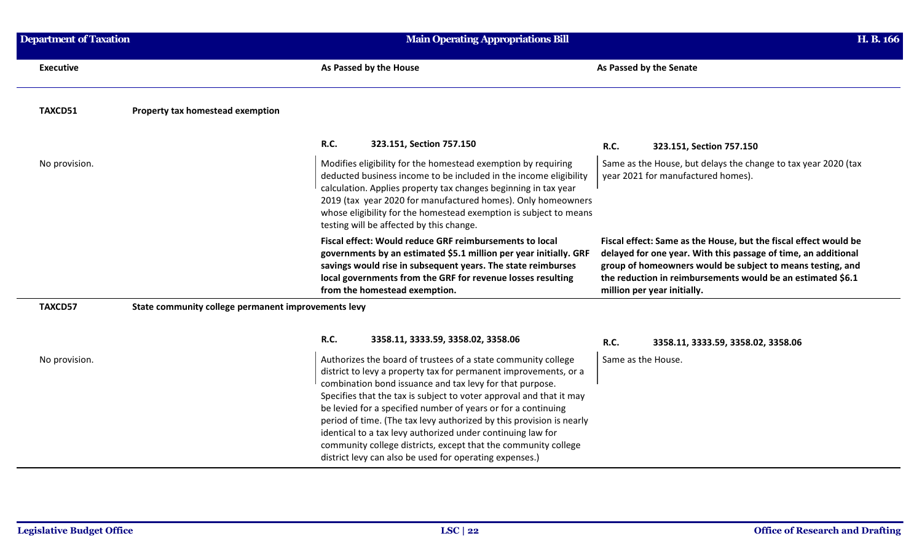| <b>Department of Taxation</b> |                                                     | <b>Main Operating Appropriations Bill</b>                                                                                                                                                                                                                                                                                                                                                                                                                                                                                                                                                                 |                                                                                                                                                                                                                                                                                                | H. B. 166 |
|-------------------------------|-----------------------------------------------------|-----------------------------------------------------------------------------------------------------------------------------------------------------------------------------------------------------------------------------------------------------------------------------------------------------------------------------------------------------------------------------------------------------------------------------------------------------------------------------------------------------------------------------------------------------------------------------------------------------------|------------------------------------------------------------------------------------------------------------------------------------------------------------------------------------------------------------------------------------------------------------------------------------------------|-----------|
| <b>Executive</b>              |                                                     | As Passed by the House                                                                                                                                                                                                                                                                                                                                                                                                                                                                                                                                                                                    | As Passed by the Senate                                                                                                                                                                                                                                                                        |           |
| TAXCD51                       | Property tax homestead exemption                    |                                                                                                                                                                                                                                                                                                                                                                                                                                                                                                                                                                                                           |                                                                                                                                                                                                                                                                                                |           |
|                               |                                                     | R.C.<br>323.151, Section 757.150                                                                                                                                                                                                                                                                                                                                                                                                                                                                                                                                                                          | R.C.<br>323.151, Section 757.150                                                                                                                                                                                                                                                               |           |
| No provision.                 |                                                     | Modifies eligibility for the homestead exemption by requiring<br>deducted business income to be included in the income eligibility<br>calculation. Applies property tax changes beginning in tax year<br>2019 (tax year 2020 for manufactured homes). Only homeowners<br>whose eligibility for the homestead exemption is subject to means<br>testing will be affected by this change.                                                                                                                                                                                                                    | Same as the House, but delays the change to tax year 2020 (tax<br>year 2021 for manufactured homes).                                                                                                                                                                                           |           |
|                               |                                                     | Fiscal effect: Would reduce GRF reimbursements to local<br>governments by an estimated \$5.1 million per year initially. GRF<br>savings would rise in subsequent years. The state reimburses<br>local governments from the GRF for revenue losses resulting<br>from the homestead exemption.                                                                                                                                                                                                                                                                                                              | Fiscal effect: Same as the House, but the fiscal effect would be<br>delayed for one year. With this passage of time, an additional<br>group of homeowners would be subject to means testing, and<br>the reduction in reimbursements would be an estimated \$6.1<br>million per year initially. |           |
| TAXCD57                       | State community college permanent improvements levy |                                                                                                                                                                                                                                                                                                                                                                                                                                                                                                                                                                                                           |                                                                                                                                                                                                                                                                                                |           |
|                               |                                                     | R.C.<br>3358.11, 3333.59, 3358.02, 3358.06                                                                                                                                                                                                                                                                                                                                                                                                                                                                                                                                                                | R.C.<br>3358.11, 3333.59, 3358.02, 3358.06                                                                                                                                                                                                                                                     |           |
| No provision.                 |                                                     | Authorizes the board of trustees of a state community college<br>district to levy a property tax for permanent improvements, or a<br>combination bond issuance and tax levy for that purpose.<br>Specifies that the tax is subject to voter approval and that it may<br>be levied for a specified number of years or for a continuing<br>period of time. (The tax levy authorized by this provision is nearly<br>identical to a tax levy authorized under continuing law for<br>community college districts, except that the community college<br>district levy can also be used for operating expenses.) | Same as the House.                                                                                                                                                                                                                                                                             |           |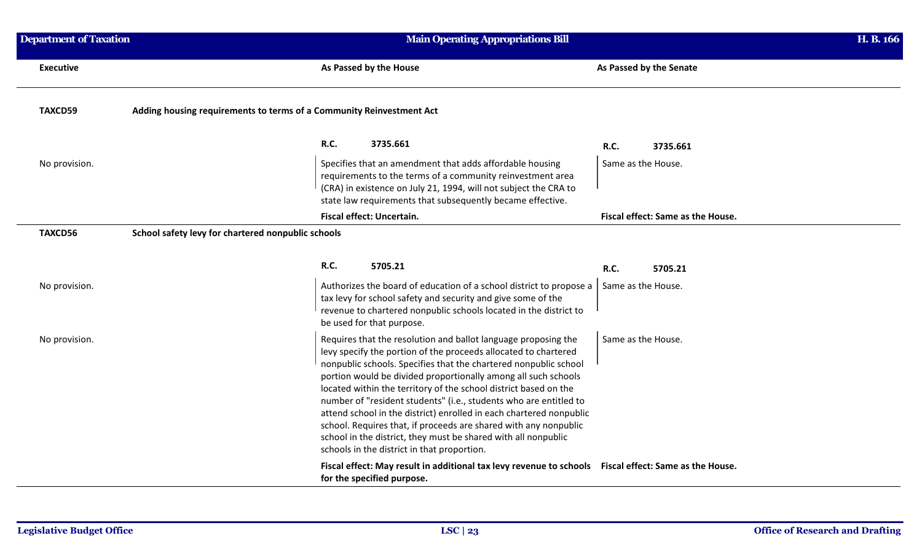| <b>Department of Taxation</b> | <b>Main Operating Appropriations Bill</b>                                                                                                                                                                                                                                                                                                                                                                                                                                                                                                                                                                                                                                    |                                   | H. B. 166 |
|-------------------------------|------------------------------------------------------------------------------------------------------------------------------------------------------------------------------------------------------------------------------------------------------------------------------------------------------------------------------------------------------------------------------------------------------------------------------------------------------------------------------------------------------------------------------------------------------------------------------------------------------------------------------------------------------------------------------|-----------------------------------|-----------|
| <b>Executive</b>              | As Passed by the House                                                                                                                                                                                                                                                                                                                                                                                                                                                                                                                                                                                                                                                       | As Passed by the Senate           |           |
| TAXCD59                       | Adding housing requirements to terms of a Community Reinvestment Act                                                                                                                                                                                                                                                                                                                                                                                                                                                                                                                                                                                                         |                                   |           |
|                               | <b>R.C.</b><br>3735.661                                                                                                                                                                                                                                                                                                                                                                                                                                                                                                                                                                                                                                                      | <b>R.C.</b><br>3735.661           |           |
| No provision.                 | Specifies that an amendment that adds affordable housing<br>requirements to the terms of a community reinvestment area<br>(CRA) in existence on July 21, 1994, will not subject the CRA to<br>state law requirements that subsequently became effective.                                                                                                                                                                                                                                                                                                                                                                                                                     | Same as the House.                |           |
|                               | Fiscal effect: Uncertain.                                                                                                                                                                                                                                                                                                                                                                                                                                                                                                                                                                                                                                                    | Fiscal effect: Same as the House. |           |
| TAXCD56                       | School safety levy for chartered nonpublic schools                                                                                                                                                                                                                                                                                                                                                                                                                                                                                                                                                                                                                           |                                   |           |
|                               | <b>R.C.</b><br>5705.21                                                                                                                                                                                                                                                                                                                                                                                                                                                                                                                                                                                                                                                       | <b>R.C.</b><br>5705.21            |           |
| No provision.                 | Authorizes the board of education of a school district to propose a<br>tax levy for school safety and security and give some of the<br>revenue to chartered nonpublic schools located in the district to<br>be used for that purpose.                                                                                                                                                                                                                                                                                                                                                                                                                                        | Same as the House.                |           |
| No provision.                 | Requires that the resolution and ballot language proposing the<br>levy specify the portion of the proceeds allocated to chartered<br>nonpublic schools. Specifies that the chartered nonpublic school<br>portion would be divided proportionally among all such schools<br>located within the territory of the school district based on the<br>number of "resident students" (i.e., students who are entitled to<br>attend school in the district) enrolled in each chartered nonpublic<br>school. Requires that, if proceeds are shared with any nonpublic<br>school in the district, they must be shared with all nonpublic<br>schools in the district in that proportion. | Same as the House.                |           |
|                               | Fiscal effect: May result in additional tax levy revenue to schools Fiscal effect: Same as the House.<br>for the specified purpose.                                                                                                                                                                                                                                                                                                                                                                                                                                                                                                                                          |                                   |           |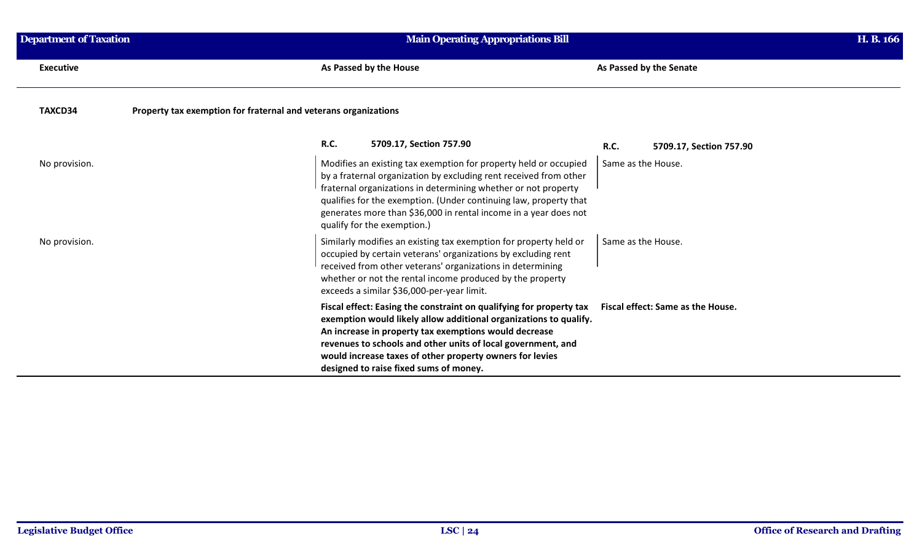| <b>Department of Taxation</b> | <b>Main Operating Appropriations Bill</b>                                                                                                                                                                                                                                                                                                                                       | H. B. 166                                |
|-------------------------------|---------------------------------------------------------------------------------------------------------------------------------------------------------------------------------------------------------------------------------------------------------------------------------------------------------------------------------------------------------------------------------|------------------------------------------|
| <b>Executive</b>              | As Passed by the House                                                                                                                                                                                                                                                                                                                                                          | As Passed by the Senate                  |
| TAXCD34                       | Property tax exemption for fraternal and veterans organizations                                                                                                                                                                                                                                                                                                                 |                                          |
|                               | <b>R.C.</b><br>5709.17, Section 757.90                                                                                                                                                                                                                                                                                                                                          | R.C.<br>5709.17, Section 757.90          |
| No provision.                 | Modifies an existing tax exemption for property held or occupied<br>by a fraternal organization by excluding rent received from other<br>fraternal organizations in determining whether or not property<br>qualifies for the exemption. (Under continuing law, property that<br>generates more than \$36,000 in rental income in a year does not<br>qualify for the exemption.) | Same as the House.                       |
| No provision.                 | Similarly modifies an existing tax exemption for property held or<br>occupied by certain veterans' organizations by excluding rent<br>received from other veterans' organizations in determining<br>whether or not the rental income produced by the property<br>exceeds a similar \$36,000-per-year limit.                                                                     | Same as the House.                       |
|                               | Fiscal effect: Easing the constraint on qualifying for property tax<br>exemption would likely allow additional organizations to qualify.<br>An increase in property tax exemptions would decrease<br>revenues to schools and other units of local government, and<br>would increase taxes of other property owners for levies<br>designed to raise fixed sums of money.         | <b>Fiscal effect: Same as the House.</b> |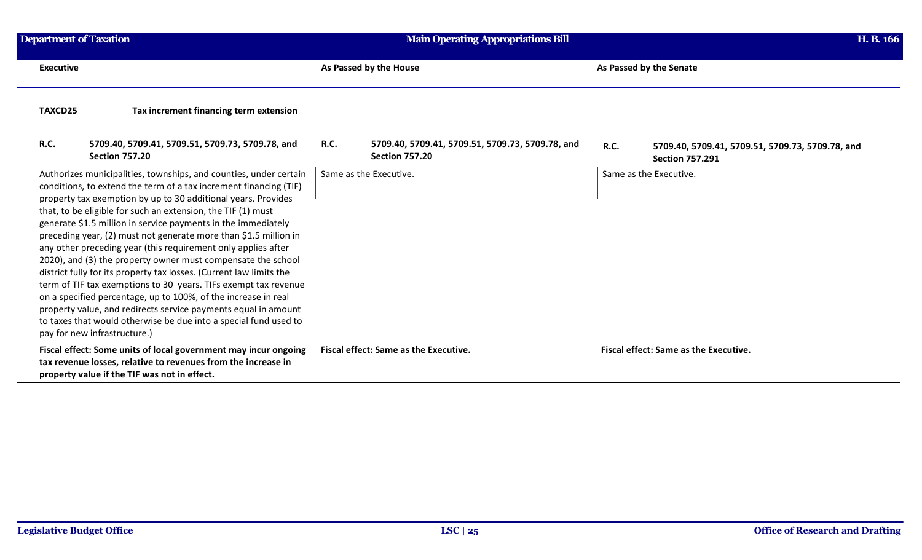| <b>Department of Taxation</b> |                                                                                                                                                                                                                                                                                                                                                                                                                                                                                                                                                                                                                                                                                                                                                                                                                                                                                                                                 |                        | <b>Main Operating Appropriations Bill</b>                                 |             |                                                                            | H. B. 166 |
|-------------------------------|---------------------------------------------------------------------------------------------------------------------------------------------------------------------------------------------------------------------------------------------------------------------------------------------------------------------------------------------------------------------------------------------------------------------------------------------------------------------------------------------------------------------------------------------------------------------------------------------------------------------------------------------------------------------------------------------------------------------------------------------------------------------------------------------------------------------------------------------------------------------------------------------------------------------------------|------------------------|---------------------------------------------------------------------------|-------------|----------------------------------------------------------------------------|-----------|
| <b>Executive</b>              |                                                                                                                                                                                                                                                                                                                                                                                                                                                                                                                                                                                                                                                                                                                                                                                                                                                                                                                                 |                        | As Passed by the House                                                    |             | As Passed by the Senate                                                    |           |
| TAXCD25                       | Tax increment financing term extension                                                                                                                                                                                                                                                                                                                                                                                                                                                                                                                                                                                                                                                                                                                                                                                                                                                                                          |                        |                                                                           |             |                                                                            |           |
| <b>R.C.</b>                   | 5709.40, 5709.41, 5709.51, 5709.73, 5709.78, and<br><b>Section 757.20</b>                                                                                                                                                                                                                                                                                                                                                                                                                                                                                                                                                                                                                                                                                                                                                                                                                                                       | R.C.                   | 5709.40, 5709.41, 5709.51, 5709.73, 5709.78, and<br><b>Section 757.20</b> | <b>R.C.</b> | 5709.40, 5709.41, 5709.51, 5709.73, 5709.78, and<br><b>Section 757.291</b> |           |
|                               | Authorizes municipalities, townships, and counties, under certain<br>conditions, to extend the term of a tax increment financing (TIF)<br>property tax exemption by up to 30 additional years. Provides<br>that, to be eligible for such an extension, the TIF (1) must<br>generate \$1.5 million in service payments in the immediately<br>preceding year, (2) must not generate more than \$1.5 million in<br>any other preceding year (this requirement only applies after<br>2020), and (3) the property owner must compensate the school<br>district fully for its property tax losses. (Current law limits the<br>term of TIF tax exemptions to 30 years. TIFs exempt tax revenue<br>on a specified percentage, up to 100%, of the increase in real<br>property value, and redirects service payments equal in amount<br>to taxes that would otherwise be due into a special fund used to<br>pay for new infrastructure.) | Same as the Executive. |                                                                           |             | Same as the Executive.                                                     |           |
|                               | Fiscal effect: Some units of local government may incur ongoing<br>tax revenue losses, relative to revenues from the increase in<br>property value if the TIF was not in effect.                                                                                                                                                                                                                                                                                                                                                                                                                                                                                                                                                                                                                                                                                                                                                |                        | <b>Fiscal effect: Same as the Executive.</b>                              |             | <b>Fiscal effect: Same as the Executive.</b>                               |           |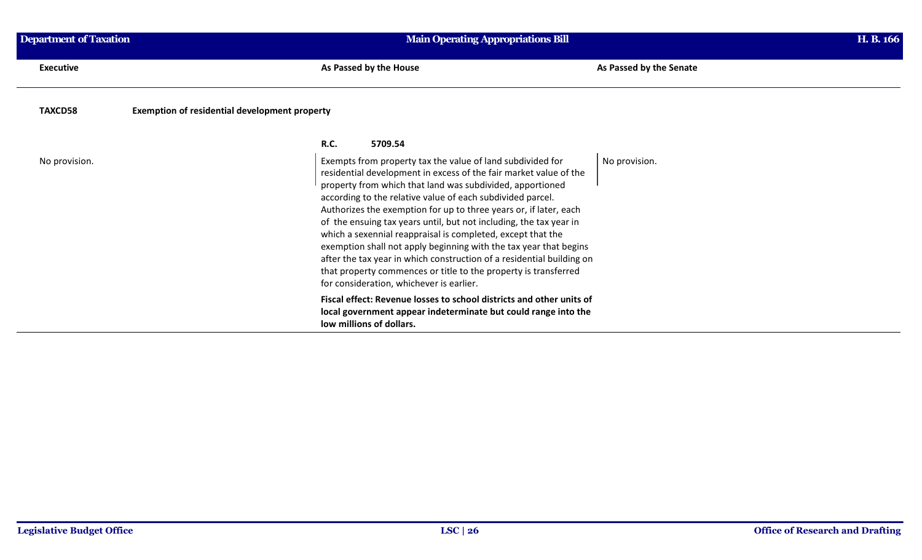| <b>Department of Taxation</b> | <b>Main Operating Appropriations Bill</b>                                                                                                                                                                                                                                                                                                                                                                                                                                                                                                                                                                                                                                                                                         |                         | H. B. 166 |
|-------------------------------|-----------------------------------------------------------------------------------------------------------------------------------------------------------------------------------------------------------------------------------------------------------------------------------------------------------------------------------------------------------------------------------------------------------------------------------------------------------------------------------------------------------------------------------------------------------------------------------------------------------------------------------------------------------------------------------------------------------------------------------|-------------------------|-----------|
| <b>Executive</b>              | As Passed by the House                                                                                                                                                                                                                                                                                                                                                                                                                                                                                                                                                                                                                                                                                                            | As Passed by the Senate |           |
| TAXCD58                       | <b>Exemption of residential development property</b>                                                                                                                                                                                                                                                                                                                                                                                                                                                                                                                                                                                                                                                                              |                         |           |
|                               | <b>R.C.</b><br>5709.54                                                                                                                                                                                                                                                                                                                                                                                                                                                                                                                                                                                                                                                                                                            |                         |           |
| No provision.                 | Exempts from property tax the value of land subdivided for<br>residential development in excess of the fair market value of the<br>property from which that land was subdivided, apportioned<br>according to the relative value of each subdivided parcel.<br>Authorizes the exemption for up to three years or, if later, each<br>of the ensuing tax years until, but not including, the tax year in<br>which a sexennial reappraisal is completed, except that the<br>exemption shall not apply beginning with the tax year that begins<br>after the tax year in which construction of a residential building on<br>that property commences or title to the property is transferred<br>for consideration, whichever is earlier. | No provision.           |           |
|                               | Fiscal effect: Revenue losses to school districts and other units of<br>local government appear indeterminate but could range into the<br>low millions of dollars.                                                                                                                                                                                                                                                                                                                                                                                                                                                                                                                                                                |                         |           |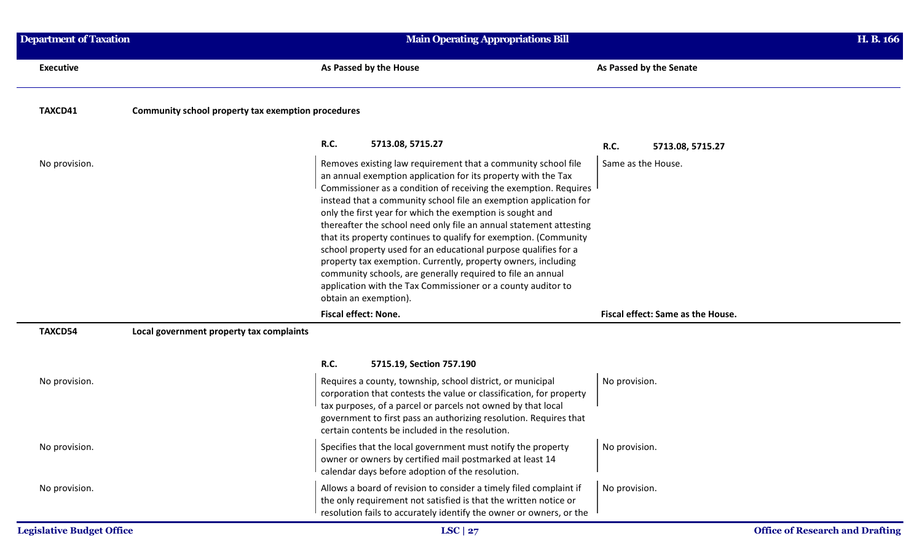| <b>Department of Taxation</b>    |                                                    | <b>Main Operating Appropriations Bill</b>                                                                                                                                                                                                                                                                                                                                                                                                                                                                                                                                                                                                                                                                                                                                  |                                   |                                        |
|----------------------------------|----------------------------------------------------|----------------------------------------------------------------------------------------------------------------------------------------------------------------------------------------------------------------------------------------------------------------------------------------------------------------------------------------------------------------------------------------------------------------------------------------------------------------------------------------------------------------------------------------------------------------------------------------------------------------------------------------------------------------------------------------------------------------------------------------------------------------------------|-----------------------------------|----------------------------------------|
| <b>Executive</b>                 |                                                    | As Passed by the House                                                                                                                                                                                                                                                                                                                                                                                                                                                                                                                                                                                                                                                                                                                                                     | As Passed by the Senate           |                                        |
| TAXCD41                          | Community school property tax exemption procedures |                                                                                                                                                                                                                                                                                                                                                                                                                                                                                                                                                                                                                                                                                                                                                                            |                                   |                                        |
|                                  |                                                    | <b>R.C.</b><br>5713.08, 5715.27                                                                                                                                                                                                                                                                                                                                                                                                                                                                                                                                                                                                                                                                                                                                            | <b>R.C.</b><br>5713.08, 5715.27   |                                        |
| No provision.                    |                                                    | Removes existing law requirement that a community school file<br>an annual exemption application for its property with the Tax<br>Commissioner as a condition of receiving the exemption. Requires<br>instead that a community school file an exemption application for<br>only the first year for which the exemption is sought and<br>thereafter the school need only file an annual statement attesting<br>that its property continues to qualify for exemption. (Community<br>school property used for an educational purpose qualifies for a<br>property tax exemption. Currently, property owners, including<br>community schools, are generally required to file an annual<br>application with the Tax Commissioner or a county auditor to<br>obtain an exemption). | Same as the House.                |                                        |
|                                  |                                                    | <b>Fiscal effect: None.</b>                                                                                                                                                                                                                                                                                                                                                                                                                                                                                                                                                                                                                                                                                                                                                | Fiscal effect: Same as the House. |                                        |
| TAXCD54                          | Local government property tax complaints           |                                                                                                                                                                                                                                                                                                                                                                                                                                                                                                                                                                                                                                                                                                                                                                            |                                   |                                        |
|                                  |                                                    | <b>R.C.</b><br>5715.19, Section 757.190                                                                                                                                                                                                                                                                                                                                                                                                                                                                                                                                                                                                                                                                                                                                    |                                   |                                        |
| No provision.                    |                                                    | Requires a county, township, school district, or municipal<br>corporation that contests the value or classification, for property<br>tax purposes, of a parcel or parcels not owned by that local<br>government to first pass an authorizing resolution. Requires that<br>certain contents be included in the resolution.                                                                                                                                                                                                                                                                                                                                                                                                                                                  | No provision.                     |                                        |
| No provision.                    |                                                    | Specifies that the local government must notify the property<br>owner or owners by certified mail postmarked at least 14<br>calendar days before adoption of the resolution.                                                                                                                                                                                                                                                                                                                                                                                                                                                                                                                                                                                               | No provision.                     |                                        |
| No provision.                    |                                                    | Allows a board of revision to consider a timely filed complaint if<br>the only requirement not satisfied is that the written notice or<br>resolution fails to accurately identify the owner or owners, or the                                                                                                                                                                                                                                                                                                                                                                                                                                                                                                                                                              | No provision.                     |                                        |
| <b>Legislative Budget Office</b> |                                                    | LSC $ 27$                                                                                                                                                                                                                                                                                                                                                                                                                                                                                                                                                                                                                                                                                                                                                                  |                                   | <b>Office of Research and Drafting</b> |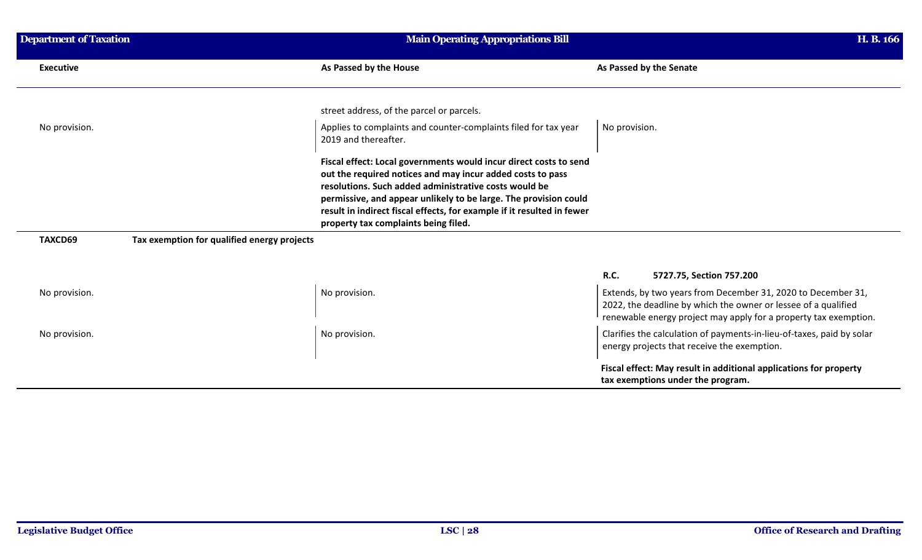| <b>Department of Taxation</b> |                                             | <b>Main Operating Appropriations Bill</b>                                                                                                                                                                                                                                                                                                                                      |                                                                                                                                                                                                    |
|-------------------------------|---------------------------------------------|--------------------------------------------------------------------------------------------------------------------------------------------------------------------------------------------------------------------------------------------------------------------------------------------------------------------------------------------------------------------------------|----------------------------------------------------------------------------------------------------------------------------------------------------------------------------------------------------|
| <b>Executive</b>              |                                             | As Passed by the House                                                                                                                                                                                                                                                                                                                                                         | As Passed by the Senate                                                                                                                                                                            |
|                               |                                             | street address, of the parcel or parcels.                                                                                                                                                                                                                                                                                                                                      |                                                                                                                                                                                                    |
| No provision.                 |                                             | Applies to complaints and counter-complaints filed for tax year<br>2019 and thereafter.                                                                                                                                                                                                                                                                                        | No provision.                                                                                                                                                                                      |
|                               |                                             | Fiscal effect: Local governments would incur direct costs to send<br>out the required notices and may incur added costs to pass<br>resolutions. Such added administrative costs would be<br>permissive, and appear unlikely to be large. The provision could<br>result in indirect fiscal effects, for example if it resulted in fewer<br>property tax complaints being filed. |                                                                                                                                                                                                    |
| TAXCD69                       | Tax exemption for qualified energy projects |                                                                                                                                                                                                                                                                                                                                                                                |                                                                                                                                                                                                    |
|                               |                                             |                                                                                                                                                                                                                                                                                                                                                                                | R.C.<br>5727.75, Section 757.200                                                                                                                                                                   |
| No provision.                 |                                             | No provision.                                                                                                                                                                                                                                                                                                                                                                  | Extends, by two years from December 31, 2020 to December 31,<br>2022, the deadline by which the owner or lessee of a qualified<br>renewable energy project may apply for a property tax exemption. |
| No provision.                 |                                             | No provision.                                                                                                                                                                                                                                                                                                                                                                  | Clarifies the calculation of payments-in-lieu-of-taxes, paid by solar<br>energy projects that receive the exemption.                                                                               |
|                               |                                             |                                                                                                                                                                                                                                                                                                                                                                                | Fiscal effect: May result in additional applications for property<br>tax exemptions under the program.                                                                                             |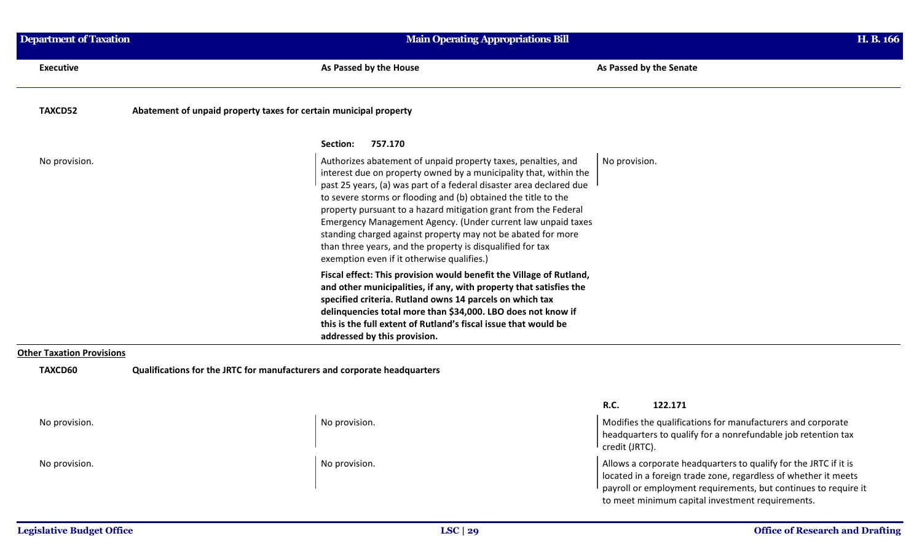| <b>Department of Taxation</b>    |                                                                                                                                                                                                                                                                                                                                                                                                                                                                                                                                                                                            | <b>Main Operating Appropriations Bill</b> |  |
|----------------------------------|--------------------------------------------------------------------------------------------------------------------------------------------------------------------------------------------------------------------------------------------------------------------------------------------------------------------------------------------------------------------------------------------------------------------------------------------------------------------------------------------------------------------------------------------------------------------------------------------|-------------------------------------------|--|
| <b>Executive</b>                 | As Passed by the House                                                                                                                                                                                                                                                                                                                                                                                                                                                                                                                                                                     | As Passed by the Senate                   |  |
| TAXCD52                          | Abatement of unpaid property taxes for certain municipal property                                                                                                                                                                                                                                                                                                                                                                                                                                                                                                                          |                                           |  |
|                                  | 757.170<br>Section:                                                                                                                                                                                                                                                                                                                                                                                                                                                                                                                                                                        |                                           |  |
| No provision.                    | Authorizes abatement of unpaid property taxes, penalties, and<br>interest due on property owned by a municipality that, within the<br>past 25 years, (a) was part of a federal disaster area declared due<br>to severe storms or flooding and (b) obtained the title to the<br>property pursuant to a hazard mitigation grant from the Federal<br>Emergency Management Agency. (Under current law unpaid taxes<br>standing charged against property may not be abated for more<br>than three years, and the property is disqualified for tax<br>exemption even if it otherwise qualifies.) | No provision.                             |  |
|                                  | Fiscal effect: This provision would benefit the Village of Rutland,<br>and other municipalities, if any, with property that satisfies the<br>specified criteria. Rutland owns 14 parcels on which tax<br>delinquencies total more than \$34,000. LBO does not know if<br>this is the full extent of Rutland's fiscal issue that would be<br>addressed by this provision.                                                                                                                                                                                                                   |                                           |  |
| <b>Other Taxation Provisions</b> |                                                                                                                                                                                                                                                                                                                                                                                                                                                                                                                                                                                            |                                           |  |
| TAXCD60                          | Qualifications for the JRTC for manufacturers and corporate headquarters                                                                                                                                                                                                                                                                                                                                                                                                                                                                                                                   |                                           |  |

|               |               | <b>R.C.</b><br>122.171                                                                                                                                                                                                                                     |  |
|---------------|---------------|------------------------------------------------------------------------------------------------------------------------------------------------------------------------------------------------------------------------------------------------------------|--|
| No provision. | No provision. | Modifies the qualifications for manufacturers and corporate<br>headquarters to qualify for a nonrefundable job retention tax<br>credit (JRTC).                                                                                                             |  |
| No provision. | No provision. | Allows a corporate headquarters to qualify for the JRTC if it is<br>located in a foreign trade zone, regardless of whether it meets<br>payroll or employment requirements, but continues to require it<br>to meet minimum capital investment requirements. |  |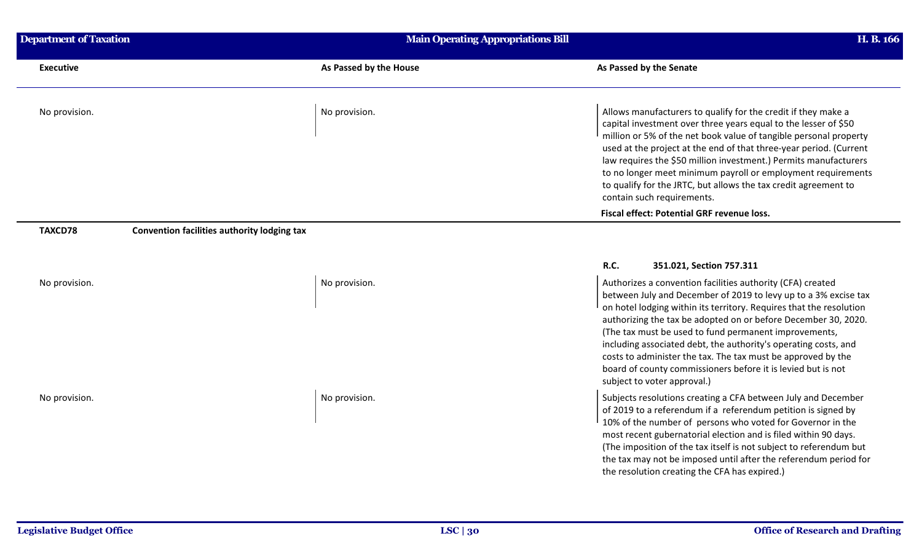| <b>Department of Taxation</b> | Main Operating Appropriations Bill                           | H. B. 166                                                                                                                                                                                                                                                                                                                                                                                                                                                                                                                                                                                                    |
|-------------------------------|--------------------------------------------------------------|--------------------------------------------------------------------------------------------------------------------------------------------------------------------------------------------------------------------------------------------------------------------------------------------------------------------------------------------------------------------------------------------------------------------------------------------------------------------------------------------------------------------------------------------------------------------------------------------------------------|
| <b>Executive</b>              | As Passed by the House                                       | As Passed by the Senate                                                                                                                                                                                                                                                                                                                                                                                                                                                                                                                                                                                      |
| No provision.                 | No provision.                                                | Allows manufacturers to qualify for the credit if they make a<br>capital investment over three years equal to the lesser of \$50<br>million or 5% of the net book value of tangible personal property<br>used at the project at the end of that three-year period. (Current<br>law requires the \$50 million investment.) Permits manufacturers<br>to no longer meet minimum payroll or employment requirements<br>to qualify for the JRTC, but allows the tax credit agreement to<br>contain such requirements.                                                                                             |
|                               |                                                              | Fiscal effect: Potential GRF revenue loss.                                                                                                                                                                                                                                                                                                                                                                                                                                                                                                                                                                   |
| TAXCD78<br>No provision.      | Convention facilities authority lodging tax<br>No provision. | <b>R.C.</b><br>351.021, Section 757.311<br>Authorizes a convention facilities authority (CFA) created<br>between July and December of 2019 to levy up to a 3% excise tax<br>on hotel lodging within its territory. Requires that the resolution<br>authorizing the tax be adopted on or before December 30, 2020.<br>(The tax must be used to fund permanent improvements,<br>including associated debt, the authority's operating costs, and<br>costs to administer the tax. The tax must be approved by the<br>board of county commissioners before it is levied but is not<br>subject to voter approval.) |
| No provision.                 | No provision.                                                | Subjects resolutions creating a CFA between July and December<br>of 2019 to a referendum if a referendum petition is signed by<br>10% of the number of persons who voted for Governor in the<br>most recent gubernatorial election and is filed within 90 days.<br>(The imposition of the tax itself is not subject to referendum but<br>the tax may not be imposed until after the referendum period for<br>the resolution creating the CFA has expired.)                                                                                                                                                   |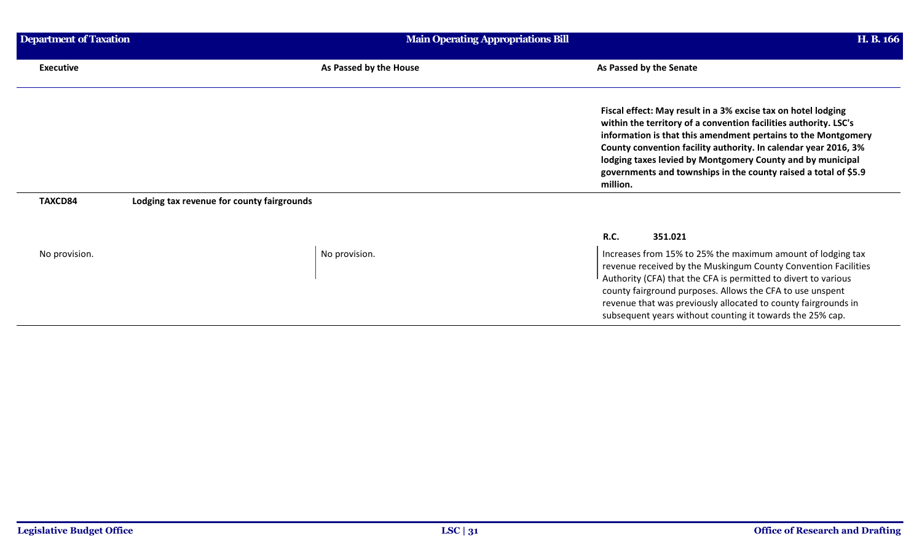| Department of Taxation | <b>Main Operating Appropriations Bill</b>  |                                                                                                                                                                                                                                                                                                                                                                                                                    |
|------------------------|--------------------------------------------|--------------------------------------------------------------------------------------------------------------------------------------------------------------------------------------------------------------------------------------------------------------------------------------------------------------------------------------------------------------------------------------------------------------------|
| <b>Executive</b>       | As Passed by the House                     | As Passed by the Senate                                                                                                                                                                                                                                                                                                                                                                                            |
|                        |                                            | Fiscal effect: May result in a 3% excise tax on hotel lodging<br>within the territory of a convention facilities authority. LSC's<br>information is that this amendment pertains to the Montgomery<br>County convention facility authority. In calendar year 2016, 3%<br>lodging taxes levied by Montgomery County and by municipal<br>governments and townships in the county raised a total of \$5.9<br>million. |
| TAXCD84                | Lodging tax revenue for county fairgrounds |                                                                                                                                                                                                                                                                                                                                                                                                                    |
|                        |                                            | <b>R.C.</b><br>351.021                                                                                                                                                                                                                                                                                                                                                                                             |
| No provision.          | No provision.                              | Increases from 15% to 25% the maximum amount of lodging tax<br>revenue received by the Muskingum County Convention Facilities<br>Authority (CFA) that the CFA is permitted to divert to various<br>county fairground purposes. Allows the CFA to use unspent<br>revenue that was previously allocated to county fairgrounds in<br>subsequent years without counting it towards the 25% cap.                        |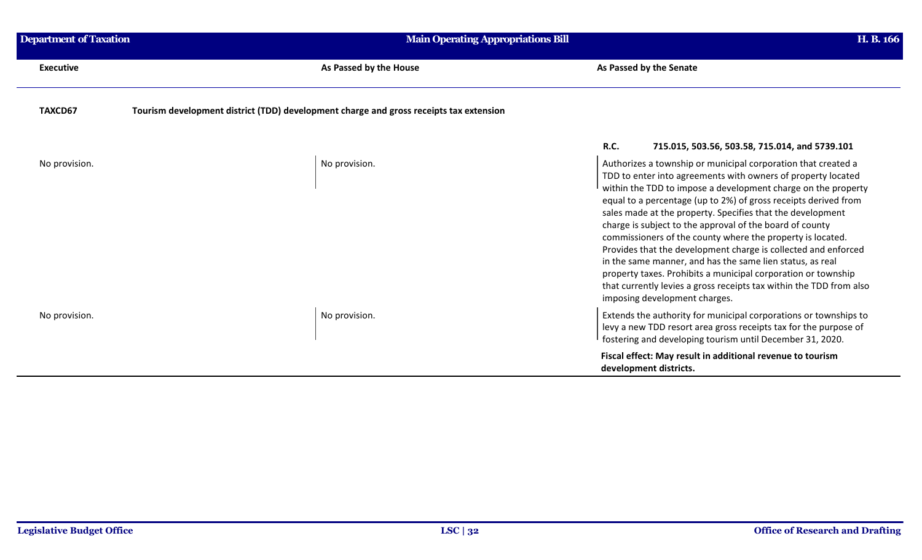| <b>Department of Taxation</b> |                                                                                        | <b>Main Operating Appropriations Bill</b>                                                                                                                                                                                                                                                                                                                                                                                                                                                                                                                                                                                                                                                                                                                         |  |
|-------------------------------|----------------------------------------------------------------------------------------|-------------------------------------------------------------------------------------------------------------------------------------------------------------------------------------------------------------------------------------------------------------------------------------------------------------------------------------------------------------------------------------------------------------------------------------------------------------------------------------------------------------------------------------------------------------------------------------------------------------------------------------------------------------------------------------------------------------------------------------------------------------------|--|
| <b>Executive</b>              | As Passed by the House                                                                 | As Passed by the Senate                                                                                                                                                                                                                                                                                                                                                                                                                                                                                                                                                                                                                                                                                                                                           |  |
| TAXCD67                       | Tourism development district (TDD) development charge and gross receipts tax extension |                                                                                                                                                                                                                                                                                                                                                                                                                                                                                                                                                                                                                                                                                                                                                                   |  |
|                               |                                                                                        | <b>R.C.</b><br>715.015, 503.56, 503.58, 715.014, and 5739.101                                                                                                                                                                                                                                                                                                                                                                                                                                                                                                                                                                                                                                                                                                     |  |
| No provision.                 | No provision.                                                                          | Authorizes a township or municipal corporation that created a<br>TDD to enter into agreements with owners of property located<br>within the TDD to impose a development charge on the property<br>equal to a percentage (up to 2%) of gross receipts derived from<br>sales made at the property. Specifies that the development<br>charge is subject to the approval of the board of county<br>commissioners of the county where the property is located.<br>Provides that the development charge is collected and enforced<br>in the same manner, and has the same lien status, as real<br>property taxes. Prohibits a municipal corporation or township<br>that currently levies a gross receipts tax within the TDD from also<br>imposing development charges. |  |
| No provision.                 | No provision.                                                                          | Extends the authority for municipal corporations or townships to<br>levy a new TDD resort area gross receipts tax for the purpose of<br>fostering and developing tourism until December 31, 2020.                                                                                                                                                                                                                                                                                                                                                                                                                                                                                                                                                                 |  |
|                               |                                                                                        | Fiscal effect: May result in additional revenue to tourism<br>development districts.                                                                                                                                                                                                                                                                                                                                                                                                                                                                                                                                                                                                                                                                              |  |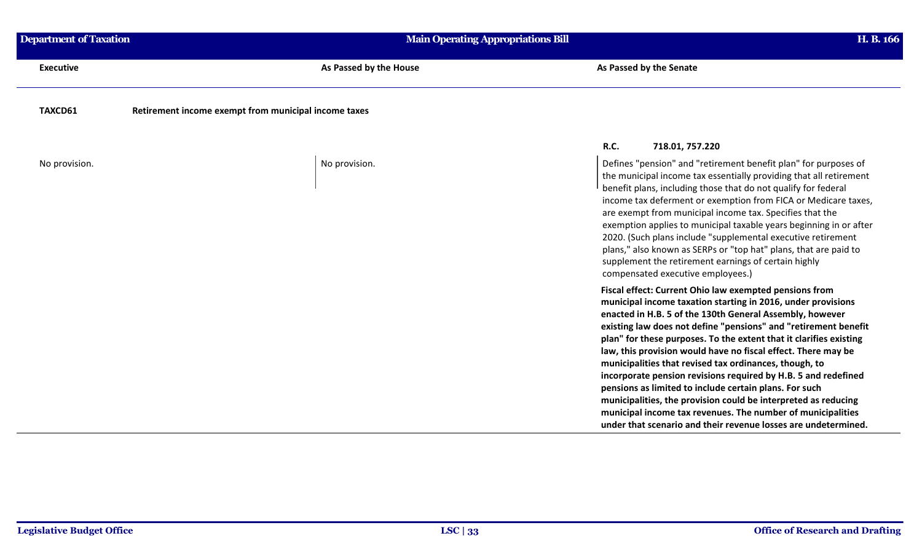| <b>Department of Taxation</b> | <b>Main Operating Appropriations Bill</b>            | H. B. 166                                                                                                                                                                                                                                                                                                                                                                                                                                                                                                                                                                                                                                                                                                           |
|-------------------------------|------------------------------------------------------|---------------------------------------------------------------------------------------------------------------------------------------------------------------------------------------------------------------------------------------------------------------------------------------------------------------------------------------------------------------------------------------------------------------------------------------------------------------------------------------------------------------------------------------------------------------------------------------------------------------------------------------------------------------------------------------------------------------------|
| <b>Executive</b>              | As Passed by the House                               | As Passed by the Senate                                                                                                                                                                                                                                                                                                                                                                                                                                                                                                                                                                                                                                                                                             |
| TAXCD61                       | Retirement income exempt from municipal income taxes |                                                                                                                                                                                                                                                                                                                                                                                                                                                                                                                                                                                                                                                                                                                     |
|                               |                                                      | <b>R.C.</b><br>718.01, 757.220                                                                                                                                                                                                                                                                                                                                                                                                                                                                                                                                                                                                                                                                                      |
| No provision.                 | No provision.                                        | Defines "pension" and "retirement benefit plan" for purposes of<br>the municipal income tax essentially providing that all retirement<br>benefit plans, including those that do not qualify for federal<br>income tax deferment or exemption from FICA or Medicare taxes,<br>are exempt from municipal income tax. Specifies that the<br>exemption applies to municipal taxable years beginning in or after<br>2020. (Such plans include "supplemental executive retirement<br>plans," also known as SERPs or "top hat" plans, that are paid to<br>supplement the retirement earnings of certain highly<br>compensated executive employees.)                                                                        |
|                               |                                                      | Fiscal effect: Current Ohio law exempted pensions from<br>municipal income taxation starting in 2016, under provisions<br>enacted in H.B. 5 of the 130th General Assembly, however<br>existing law does not define "pensions" and "retirement benefit<br>plan" for these purposes. To the extent that it clarifies existing<br>law, this provision would have no fiscal effect. There may be<br>municipalities that revised tax ordinances, though, to<br>incorporate pension revisions required by H.B. 5 and redefined<br>pensions as limited to include certain plans. For such<br>municipalities, the provision could be interpreted as reducing<br>municipal income tax revenues. The number of municipalities |

**under that scenario and their revenue losses are undetermined.**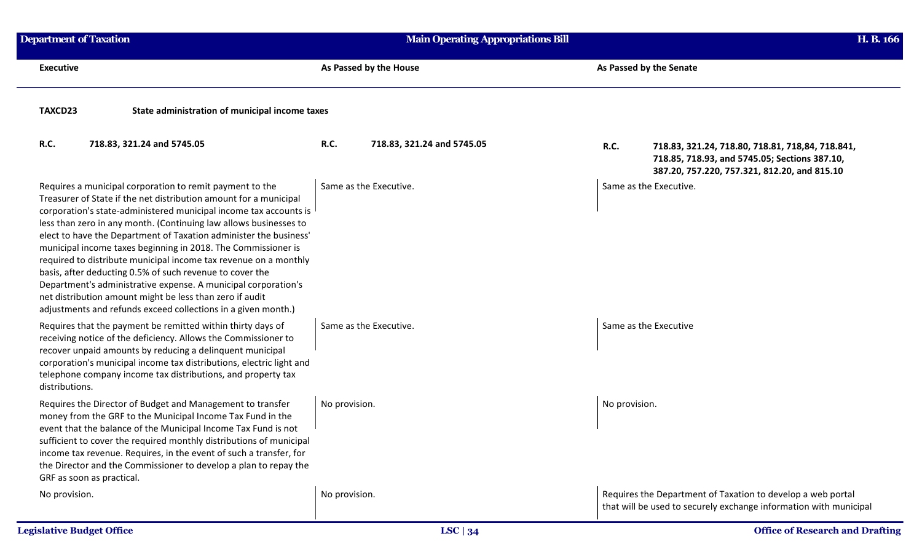| <b>Department of Taxation</b>                                                                                                                                                                                                                                                                                                                                                                                                                                                                                                                                                                                                                                                                                                                | <b>Main Operating Appropriations Bill</b> | H. B. 166                                                                                                                                                        |
|----------------------------------------------------------------------------------------------------------------------------------------------------------------------------------------------------------------------------------------------------------------------------------------------------------------------------------------------------------------------------------------------------------------------------------------------------------------------------------------------------------------------------------------------------------------------------------------------------------------------------------------------------------------------------------------------------------------------------------------------|-------------------------------------------|------------------------------------------------------------------------------------------------------------------------------------------------------------------|
| <b>Executive</b>                                                                                                                                                                                                                                                                                                                                                                                                                                                                                                                                                                                                                                                                                                                             | As Passed by the House                    | As Passed by the Senate                                                                                                                                          |
| TAXCD23<br>State administration of municipal income taxes                                                                                                                                                                                                                                                                                                                                                                                                                                                                                                                                                                                                                                                                                    |                                           |                                                                                                                                                                  |
| R.C.<br>718.83, 321.24 and 5745.05                                                                                                                                                                                                                                                                                                                                                                                                                                                                                                                                                                                                                                                                                                           | R.C.<br>718.83, 321.24 and 5745.05        | <b>R.C.</b><br>718.83, 321.24, 718.80, 718.81, 718,84, 718.841,<br>718.85, 718.93, and 5745.05; Sections 387.10,<br>387.20, 757.220, 757.321, 812.20, and 815.10 |
| Requires a municipal corporation to remit payment to the<br>Treasurer of State if the net distribution amount for a municipal<br>corporation's state-administered municipal income tax accounts is<br>less than zero in any month. (Continuing law allows businesses to<br>elect to have the Department of Taxation administer the business'<br>municipal income taxes beginning in 2018. The Commissioner is<br>required to distribute municipal income tax revenue on a monthly<br>basis, after deducting 0.5% of such revenue to cover the<br>Department's administrative expense. A municipal corporation's<br>net distribution amount might be less than zero if audit<br>adjustments and refunds exceed collections in a given month.) | Same as the Executive.                    | Same as the Executive.                                                                                                                                           |
| Requires that the payment be remitted within thirty days of<br>receiving notice of the deficiency. Allows the Commissioner to<br>recover unpaid amounts by reducing a delinquent municipal<br>corporation's municipal income tax distributions, electric light and<br>telephone company income tax distributions, and property tax<br>distributions.                                                                                                                                                                                                                                                                                                                                                                                         | Same as the Executive.                    | Same as the Executive                                                                                                                                            |
| Requires the Director of Budget and Management to transfer<br>money from the GRF to the Municipal Income Tax Fund in the<br>event that the balance of the Municipal Income Tax Fund is not<br>sufficient to cover the required monthly distributions of municipal<br>income tax revenue. Requires, in the event of such a transfer, for<br>the Director and the Commissioner to develop a plan to repay the<br>GRF as soon as practical.                                                                                                                                                                                                                                                                                                     | No provision.                             | No provision.                                                                                                                                                    |
| No provision.                                                                                                                                                                                                                                                                                                                                                                                                                                                                                                                                                                                                                                                                                                                                | No provision.                             | Requires the Department of Taxation to develop a web portal<br>that will be used to securely exchange information with municipal                                 |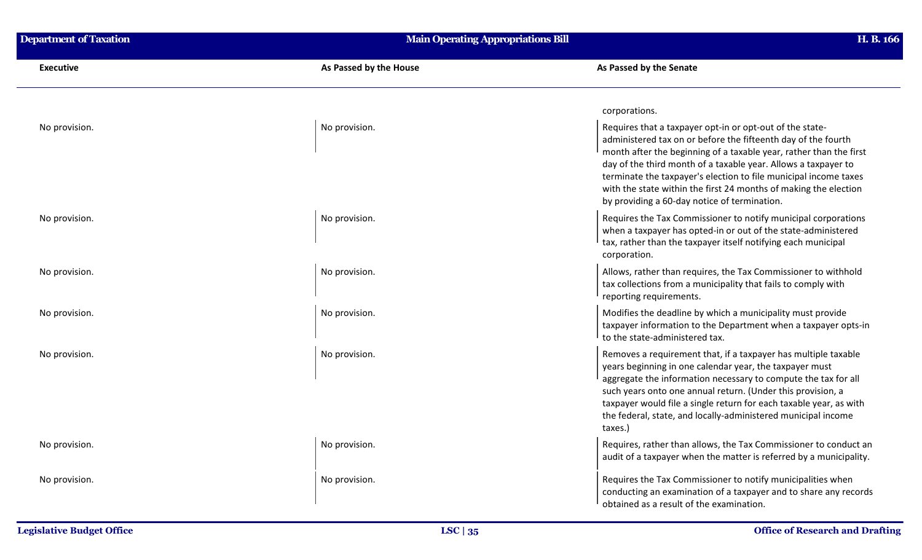| <b>Department of Taxation</b> | <b>Main Operating Appropriations Bill</b> | H. B. 166                                                                                                                                                                                                                                                                                                                                                                                                                                                 |
|-------------------------------|-------------------------------------------|-----------------------------------------------------------------------------------------------------------------------------------------------------------------------------------------------------------------------------------------------------------------------------------------------------------------------------------------------------------------------------------------------------------------------------------------------------------|
| <b>Executive</b>              | As Passed by the House                    | As Passed by the Senate                                                                                                                                                                                                                                                                                                                                                                                                                                   |
|                               |                                           | corporations.                                                                                                                                                                                                                                                                                                                                                                                                                                             |
| No provision.                 | No provision.                             | Requires that a taxpayer opt-in or opt-out of the state-<br>administered tax on or before the fifteenth day of the fourth<br>month after the beginning of a taxable year, rather than the first<br>day of the third month of a taxable year. Allows a taxpayer to<br>terminate the taxpayer's election to file municipal income taxes<br>with the state within the first 24 months of making the election<br>by providing a 60-day notice of termination. |
| No provision.                 | No provision.                             | Requires the Tax Commissioner to notify municipal corporations<br>when a taxpayer has opted-in or out of the state-administered<br>tax, rather than the taxpayer itself notifying each municipal<br>corporation.                                                                                                                                                                                                                                          |
| No provision.                 | No provision.                             | Allows, rather than requires, the Tax Commissioner to withhold<br>tax collections from a municipality that fails to comply with<br>reporting requirements.                                                                                                                                                                                                                                                                                                |
| No provision.                 | No provision.                             | Modifies the deadline by which a municipality must provide<br>taxpayer information to the Department when a taxpayer opts-in<br>to the state-administered tax.                                                                                                                                                                                                                                                                                            |
| No provision.                 | No provision.                             | Removes a requirement that, if a taxpayer has multiple taxable<br>years beginning in one calendar year, the taxpayer must<br>aggregate the information necessary to compute the tax for all<br>such years onto one annual return. (Under this provision, a<br>taxpayer would file a single return for each taxable year, as with<br>the federal, state, and locally-administered municipal income<br>taxes.)                                              |
| No provision.                 | No provision.                             | Requires, rather than allows, the Tax Commissioner to conduct an<br>audit of a taxpayer when the matter is referred by a municipality.                                                                                                                                                                                                                                                                                                                    |
| No provision.                 | No provision.                             | Requires the Tax Commissioner to notify municipalities when<br>conducting an examination of a taxpayer and to share any records<br>obtained as a result of the examination.                                                                                                                                                                                                                                                                               |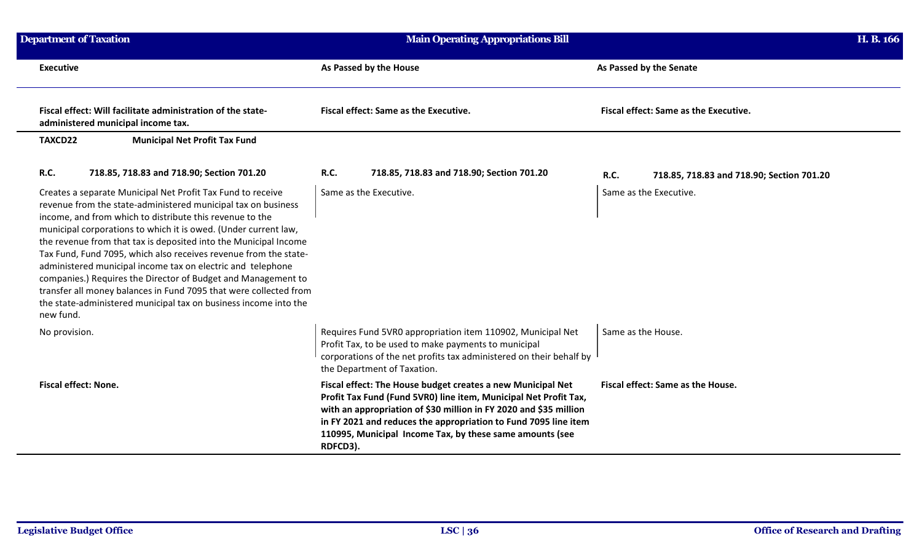| <b>Department of Taxation</b>                                                                     |                                                                                                                                                                                                                                                                                                                                                                                                                                                                                                                                                                                                                                                                              | <b>Main Operating Appropriations Bill</b>                                                                                                                                                                                                                                                                                                       |                                                          | H. B. 166 |
|---------------------------------------------------------------------------------------------------|------------------------------------------------------------------------------------------------------------------------------------------------------------------------------------------------------------------------------------------------------------------------------------------------------------------------------------------------------------------------------------------------------------------------------------------------------------------------------------------------------------------------------------------------------------------------------------------------------------------------------------------------------------------------------|-------------------------------------------------------------------------------------------------------------------------------------------------------------------------------------------------------------------------------------------------------------------------------------------------------------------------------------------------|----------------------------------------------------------|-----------|
| <b>Executive</b>                                                                                  |                                                                                                                                                                                                                                                                                                                                                                                                                                                                                                                                                                                                                                                                              | As Passed by the House                                                                                                                                                                                                                                                                                                                          | As Passed by the Senate                                  |           |
| Fiscal effect: Will facilitate administration of the state-<br>administered municipal income tax. |                                                                                                                                                                                                                                                                                                                                                                                                                                                                                                                                                                                                                                                                              | Fiscal effect: Same as the Executive.                                                                                                                                                                                                                                                                                                           | <b>Fiscal effect: Same as the Executive.</b>             |           |
| TAXCD22                                                                                           | <b>Municipal Net Profit Tax Fund</b>                                                                                                                                                                                                                                                                                                                                                                                                                                                                                                                                                                                                                                         |                                                                                                                                                                                                                                                                                                                                                 |                                                          |           |
| R.C.                                                                                              | 718.85, 718.83 and 718.90; Section 701.20                                                                                                                                                                                                                                                                                                                                                                                                                                                                                                                                                                                                                                    | <b>R.C.</b><br>718.85, 718.83 and 718.90; Section 701.20                                                                                                                                                                                                                                                                                        | <b>R.C.</b><br>718.85, 718.83 and 718.90; Section 701.20 |           |
| new fund.                                                                                         | Creates a separate Municipal Net Profit Tax Fund to receive<br>revenue from the state-administered municipal tax on business<br>income, and from which to distribute this revenue to the<br>municipal corporations to which it is owed. (Under current law,<br>the revenue from that tax is deposited into the Municipal Income<br>Tax Fund, Fund 7095, which also receives revenue from the state-<br>administered municipal income tax on electric and telephone<br>companies.) Requires the Director of Budget and Management to<br>transfer all money balances in Fund 7095 that were collected from<br>the state-administered municipal tax on business income into the | Same as the Executive.                                                                                                                                                                                                                                                                                                                          | Same as the Executive.                                   |           |
| No provision.                                                                                     |                                                                                                                                                                                                                                                                                                                                                                                                                                                                                                                                                                                                                                                                              | Requires Fund 5VR0 appropriation item 110902, Municipal Net<br>Profit Tax, to be used to make payments to municipal<br>corporations of the net profits tax administered on their behalf by<br>the Department of Taxation.                                                                                                                       | Same as the House.                                       |           |
| <b>Fiscal effect: None.</b>                                                                       |                                                                                                                                                                                                                                                                                                                                                                                                                                                                                                                                                                                                                                                                              | Fiscal effect: The House budget creates a new Municipal Net<br>Profit Tax Fund (Fund 5VR0) line item, Municipal Net Profit Tax,<br>with an appropriation of \$30 million in FY 2020 and \$35 million<br>in FY 2021 and reduces the appropriation to Fund 7095 line item<br>110995, Municipal Income Tax, by these same amounts (see<br>RDFCD3). | Fiscal effect: Same as the House.                        |           |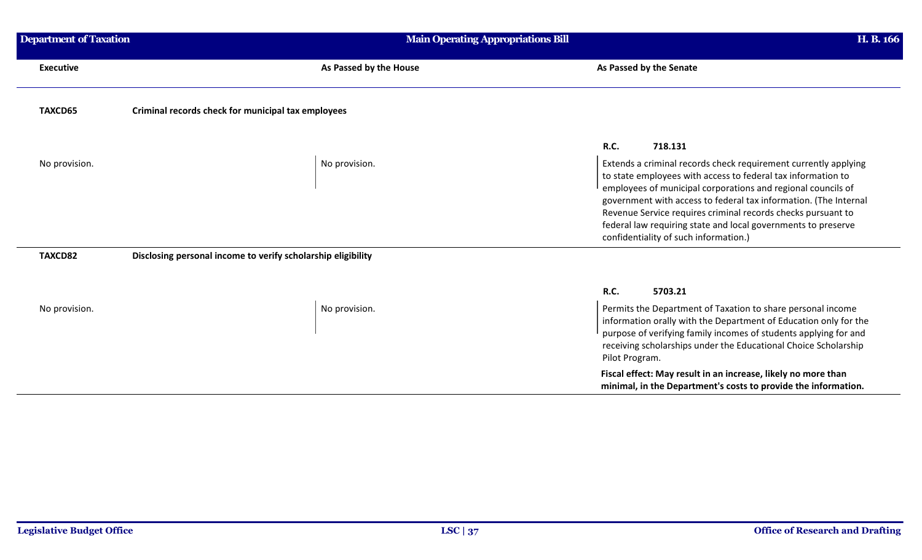| <b>Department of Taxation</b> | <b>Main Operating Appropriations Bill</b>                    | H. B. 166                                                                                                                                                                                                                                                                                                                                                                                                                                     |
|-------------------------------|--------------------------------------------------------------|-----------------------------------------------------------------------------------------------------------------------------------------------------------------------------------------------------------------------------------------------------------------------------------------------------------------------------------------------------------------------------------------------------------------------------------------------|
| <b>Executive</b>              | As Passed by the House                                       | As Passed by the Senate                                                                                                                                                                                                                                                                                                                                                                                                                       |
| TAXCD65                       | Criminal records check for municipal tax employees           |                                                                                                                                                                                                                                                                                                                                                                                                                                               |
|                               |                                                              | <b>R.C.</b><br>718.131                                                                                                                                                                                                                                                                                                                                                                                                                        |
| No provision.                 | No provision.                                                | Extends a criminal records check requirement currently applying<br>to state employees with access to federal tax information to<br>employees of municipal corporations and regional councils of<br>government with access to federal tax information. (The Internal<br>Revenue Service requires criminal records checks pursuant to<br>federal law requiring state and local governments to preserve<br>confidentiality of such information.) |
| TAXCD82                       | Disclosing personal income to verify scholarship eligibility |                                                                                                                                                                                                                                                                                                                                                                                                                                               |
|                               |                                                              | <b>R.C.</b><br>5703.21                                                                                                                                                                                                                                                                                                                                                                                                                        |
| No provision.                 | No provision.                                                | Permits the Department of Taxation to share personal income<br>information orally with the Department of Education only for the<br>purpose of verifying family incomes of students applying for and<br>receiving scholarships under the Educational Choice Scholarship<br>Pilot Program.                                                                                                                                                      |
|                               |                                                              | Fiscal effect: May result in an increase, likely no more than<br>minimal, in the Department's costs to provide the information.                                                                                                                                                                                                                                                                                                               |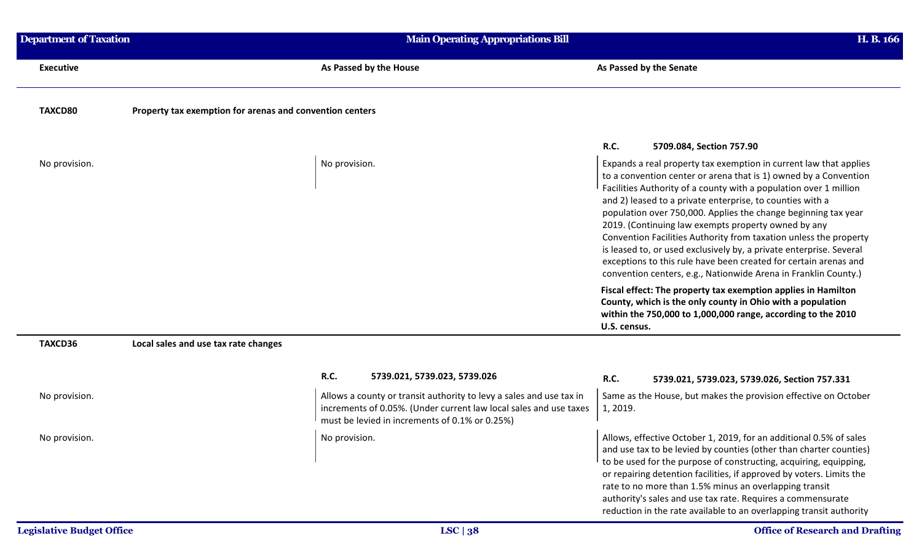| <b>Department of Taxation</b> |                                                          | <b>Main Operating Appropriations Bill</b>                                                                                                                                                  | H. B. 166                                                                                                                                                                                                                                                                                                                                                                                                                                                                                                                                                                                                                                                                           |
|-------------------------------|----------------------------------------------------------|--------------------------------------------------------------------------------------------------------------------------------------------------------------------------------------------|-------------------------------------------------------------------------------------------------------------------------------------------------------------------------------------------------------------------------------------------------------------------------------------------------------------------------------------------------------------------------------------------------------------------------------------------------------------------------------------------------------------------------------------------------------------------------------------------------------------------------------------------------------------------------------------|
| <b>Executive</b>              |                                                          | As Passed by the House                                                                                                                                                                     | As Passed by the Senate                                                                                                                                                                                                                                                                                                                                                                                                                                                                                                                                                                                                                                                             |
| TAXCD80                       | Property tax exemption for arenas and convention centers |                                                                                                                                                                                            |                                                                                                                                                                                                                                                                                                                                                                                                                                                                                                                                                                                                                                                                                     |
|                               |                                                          |                                                                                                                                                                                            | R.C.<br>5709.084, Section 757.90                                                                                                                                                                                                                                                                                                                                                                                                                                                                                                                                                                                                                                                    |
| No provision.                 |                                                          | No provision.                                                                                                                                                                              | Expands a real property tax exemption in current law that applies<br>to a convention center or arena that is 1) owned by a Convention<br>Facilities Authority of a county with a population over 1 million<br>and 2) leased to a private enterprise, to counties with a<br>population over 750,000. Applies the change beginning tax year<br>2019. (Continuing law exempts property owned by any<br>Convention Facilities Authority from taxation unless the property<br>is leased to, or used exclusively by, a private enterprise. Several<br>exceptions to this rule have been created for certain arenas and<br>convention centers, e.g., Nationwide Arena in Franklin County.) |
|                               |                                                          |                                                                                                                                                                                            | Fiscal effect: The property tax exemption applies in Hamilton<br>County, which is the only county in Ohio with a population<br>within the 750,000 to 1,000,000 range, according to the 2010<br>U.S. census.                                                                                                                                                                                                                                                                                                                                                                                                                                                                         |
| TAXCD36                       | Local sales and use tax rate changes                     |                                                                                                                                                                                            |                                                                                                                                                                                                                                                                                                                                                                                                                                                                                                                                                                                                                                                                                     |
|                               |                                                          | R.C.<br>5739.021, 5739.023, 5739.026                                                                                                                                                       | R.C.<br>5739.021, 5739.023, 5739.026, Section 757.331                                                                                                                                                                                                                                                                                                                                                                                                                                                                                                                                                                                                                               |
| No provision.                 |                                                          | Allows a county or transit authority to levy a sales and use tax in<br>increments of 0.05%. (Under current law local sales and use taxes<br>must be levied in increments of 0.1% or 0.25%) | Same as the House, but makes the provision effective on October<br>1, 2019.                                                                                                                                                                                                                                                                                                                                                                                                                                                                                                                                                                                                         |
| No provision.                 |                                                          | No provision.                                                                                                                                                                              | Allows, effective October 1, 2019, for an additional 0.5% of sales<br>and use tax to be levied by counties (other than charter counties)<br>to be used for the purpose of constructing, acquiring, equipping,<br>or repairing detention facilities, if approved by voters. Limits the<br>rate to no more than 1.5% minus an overlapping transit<br>authority's sales and use tax rate. Requires a commensurate<br>reduction in the rate available to an overlapping transit authority                                                                                                                                                                                               |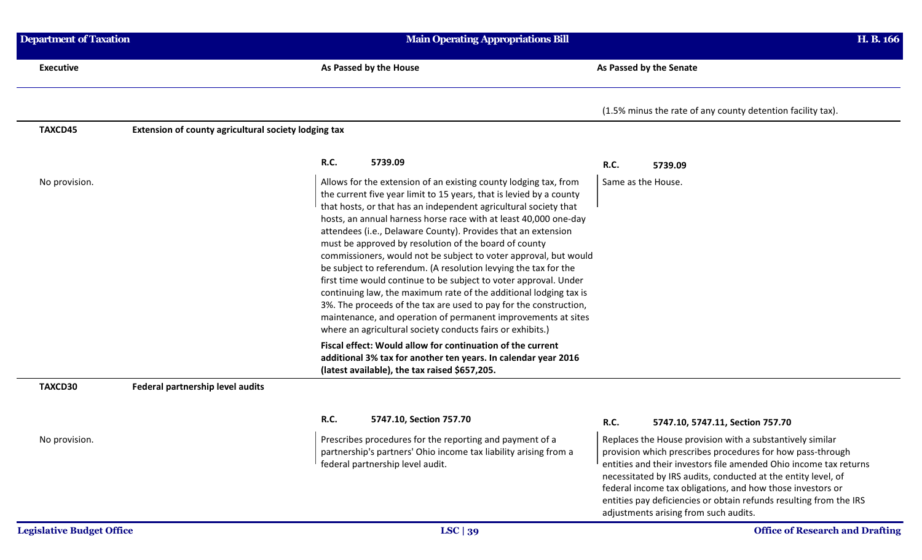| <b>Department of Taxation</b>    |                                                      | <b>Main Operating Appropriations Bill</b>                                                                                                                                                                                                                                                                                                                                                                                                                                                                                                                                                                                                                                                                                                                                                                                                                                                     |                                                                                                                                                                                                                                                                                                                                                                                                                                            | H. B. 166                              |  |
|----------------------------------|------------------------------------------------------|-----------------------------------------------------------------------------------------------------------------------------------------------------------------------------------------------------------------------------------------------------------------------------------------------------------------------------------------------------------------------------------------------------------------------------------------------------------------------------------------------------------------------------------------------------------------------------------------------------------------------------------------------------------------------------------------------------------------------------------------------------------------------------------------------------------------------------------------------------------------------------------------------|--------------------------------------------------------------------------------------------------------------------------------------------------------------------------------------------------------------------------------------------------------------------------------------------------------------------------------------------------------------------------------------------------------------------------------------------|----------------------------------------|--|
| <b>Executive</b>                 |                                                      | As Passed by the House                                                                                                                                                                                                                                                                                                                                                                                                                                                                                                                                                                                                                                                                                                                                                                                                                                                                        | As Passed by the Senate                                                                                                                                                                                                                                                                                                                                                                                                                    |                                        |  |
|                                  |                                                      |                                                                                                                                                                                                                                                                                                                                                                                                                                                                                                                                                                                                                                                                                                                                                                                                                                                                                               | (1.5% minus the rate of any county detention facility tax).                                                                                                                                                                                                                                                                                                                                                                                |                                        |  |
| TAXCD45                          | Extension of county agricultural society lodging tax |                                                                                                                                                                                                                                                                                                                                                                                                                                                                                                                                                                                                                                                                                                                                                                                                                                                                                               |                                                                                                                                                                                                                                                                                                                                                                                                                                            |                                        |  |
|                                  |                                                      | <b>R.C.</b><br>5739.09                                                                                                                                                                                                                                                                                                                                                                                                                                                                                                                                                                                                                                                                                                                                                                                                                                                                        | R.C.<br>5739.09                                                                                                                                                                                                                                                                                                                                                                                                                            |                                        |  |
| No provision.                    |                                                      | Allows for the extension of an existing county lodging tax, from<br>the current five year limit to 15 years, that is levied by a county<br>that hosts, or that has an independent agricultural society that<br>hosts, an annual harness horse race with at least 40,000 one-day<br>attendees (i.e., Delaware County). Provides that an extension<br>must be approved by resolution of the board of county<br>commissioners, would not be subject to voter approval, but would<br>be subject to referendum. (A resolution levying the tax for the<br>first time would continue to be subject to voter approval. Under<br>continuing law, the maximum rate of the additional lodging tax is<br>3%. The proceeds of the tax are used to pay for the construction,<br>maintenance, and operation of permanent improvements at sites<br>where an agricultural society conducts fairs or exhibits.) | Same as the House.                                                                                                                                                                                                                                                                                                                                                                                                                         |                                        |  |
|                                  |                                                      | Fiscal effect: Would allow for continuation of the current<br>additional 3% tax for another ten years. In calendar year 2016<br>(latest available), the tax raised \$657,205.                                                                                                                                                                                                                                                                                                                                                                                                                                                                                                                                                                                                                                                                                                                 |                                                                                                                                                                                                                                                                                                                                                                                                                                            |                                        |  |
| TAXCD30                          | Federal partnership level audits                     |                                                                                                                                                                                                                                                                                                                                                                                                                                                                                                                                                                                                                                                                                                                                                                                                                                                                                               |                                                                                                                                                                                                                                                                                                                                                                                                                                            |                                        |  |
|                                  |                                                      | R.C.<br>5747.10, Section 757.70                                                                                                                                                                                                                                                                                                                                                                                                                                                                                                                                                                                                                                                                                                                                                                                                                                                               | <b>R.C.</b><br>5747.10, 5747.11, Section 757.70                                                                                                                                                                                                                                                                                                                                                                                            |                                        |  |
| No provision.                    |                                                      | Prescribes procedures for the reporting and payment of a<br>partnership's partners' Ohio income tax liability arising from a<br>federal partnership level audit.                                                                                                                                                                                                                                                                                                                                                                                                                                                                                                                                                                                                                                                                                                                              | Replaces the House provision with a substantively similar<br>provision which prescribes procedures for how pass-through<br>entities and their investors file amended Ohio income tax returns<br>necessitated by IRS audits, conducted at the entity level, of<br>federal income tax obligations, and how those investors or<br>entities pay deficiencies or obtain refunds resulting from the IRS<br>adjustments arising from such audits. |                                        |  |
| <b>Legislative Budget Office</b> |                                                      | LSC   39                                                                                                                                                                                                                                                                                                                                                                                                                                                                                                                                                                                                                                                                                                                                                                                                                                                                                      |                                                                                                                                                                                                                                                                                                                                                                                                                                            | <b>Office of Research and Drafting</b> |  |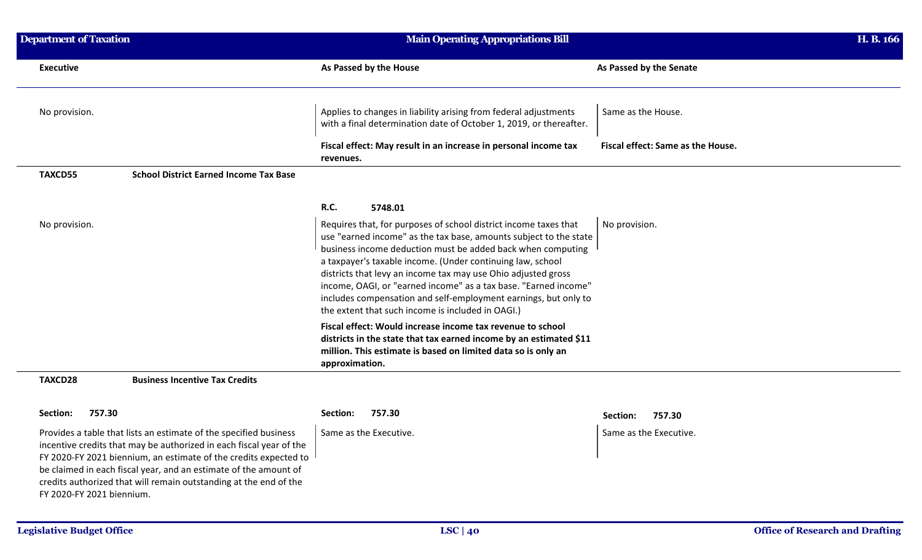| <b>Department of Taxation</b> |                                                                                                                                                                                                                                                                                                                                                       | <b>Main Operating Appropriations Bill</b>                                                                                                                                                                                                                                                                                                                                                                                                                                                                                      |                                   | H. B. 166 |
|-------------------------------|-------------------------------------------------------------------------------------------------------------------------------------------------------------------------------------------------------------------------------------------------------------------------------------------------------------------------------------------------------|--------------------------------------------------------------------------------------------------------------------------------------------------------------------------------------------------------------------------------------------------------------------------------------------------------------------------------------------------------------------------------------------------------------------------------------------------------------------------------------------------------------------------------|-----------------------------------|-----------|
| <b>Executive</b>              |                                                                                                                                                                                                                                                                                                                                                       | As Passed by the House                                                                                                                                                                                                                                                                                                                                                                                                                                                                                                         | As Passed by the Senate           |           |
| No provision.                 |                                                                                                                                                                                                                                                                                                                                                       | Applies to changes in liability arising from federal adjustments<br>with a final determination date of October 1, 2019, or thereafter.                                                                                                                                                                                                                                                                                                                                                                                         | Same as the House.                |           |
|                               |                                                                                                                                                                                                                                                                                                                                                       | Fiscal effect: May result in an increase in personal income tax<br>revenues.                                                                                                                                                                                                                                                                                                                                                                                                                                                   | Fiscal effect: Same as the House. |           |
| <b>TAXCD55</b>                | <b>School District Earned Income Tax Base</b>                                                                                                                                                                                                                                                                                                         |                                                                                                                                                                                                                                                                                                                                                                                                                                                                                                                                |                                   |           |
|                               |                                                                                                                                                                                                                                                                                                                                                       | <b>R.C.</b><br>5748.01                                                                                                                                                                                                                                                                                                                                                                                                                                                                                                         |                                   |           |
| No provision.                 |                                                                                                                                                                                                                                                                                                                                                       | Requires that, for purposes of school district income taxes that<br>use "earned income" as the tax base, amounts subject to the state<br>business income deduction must be added back when computing<br>a taxpayer's taxable income. (Under continuing law, school<br>districts that levy an income tax may use Ohio adjusted gross<br>income, OAGI, or "earned income" as a tax base. "Earned income"<br>includes compensation and self-employment earnings, but only to<br>the extent that such income is included in OAGI.) | No provision.                     |           |
|                               |                                                                                                                                                                                                                                                                                                                                                       | Fiscal effect: Would increase income tax revenue to school<br>districts in the state that tax earned income by an estimated \$11<br>million. This estimate is based on limited data so is only an<br>approximation.                                                                                                                                                                                                                                                                                                            |                                   |           |
| TAXCD28                       | <b>Business Incentive Tax Credits</b>                                                                                                                                                                                                                                                                                                                 |                                                                                                                                                                                                                                                                                                                                                                                                                                                                                                                                |                                   |           |
| 757.30<br>Section:            |                                                                                                                                                                                                                                                                                                                                                       | 757.30<br>Section:                                                                                                                                                                                                                                                                                                                                                                                                                                                                                                             | 757.30<br>Section:                |           |
| FY 2020-FY 2021 biennium.     | Provides a table that lists an estimate of the specified business<br>incentive credits that may be authorized in each fiscal year of the<br>FY 2020-FY 2021 biennium, an estimate of the credits expected to<br>be claimed in each fiscal year, and an estimate of the amount of<br>credits authorized that will remain outstanding at the end of the | Same as the Executive.                                                                                                                                                                                                                                                                                                                                                                                                                                                                                                         | Same as the Executive.            |           |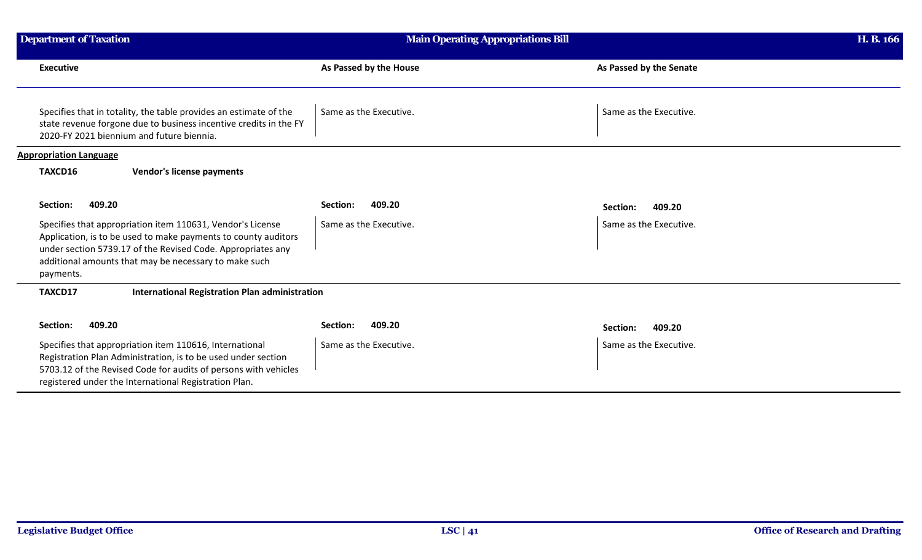| <b>Department of Taxation</b>                                                                                                                                                                                                                                     | <b>Main Operating Appropriations Bill</b> |                         | H. B. 166 |
|-------------------------------------------------------------------------------------------------------------------------------------------------------------------------------------------------------------------------------------------------------------------|-------------------------------------------|-------------------------|-----------|
| <b>Executive</b>                                                                                                                                                                                                                                                  | As Passed by the House                    | As Passed by the Senate |           |
| Specifies that in totality, the table provides an estimate of the<br>state revenue forgone due to business incentive credits in the FY<br>2020-FY 2021 biennium and future biennia.                                                                               | Same as the Executive.                    | Same as the Executive.  |           |
| <b>Appropriation Language</b>                                                                                                                                                                                                                                     |                                           |                         |           |
| TAXCD16<br><b>Vendor's license payments</b>                                                                                                                                                                                                                       |                                           |                         |           |
| 409.20<br>Section:                                                                                                                                                                                                                                                | Section:<br>409.20                        | Section:<br>409.20      |           |
| Specifies that appropriation item 110631, Vendor's License<br>Application, is to be used to make payments to county auditors<br>under section 5739.17 of the Revised Code. Appropriates any<br>additional amounts that may be necessary to make such<br>payments. | Same as the Executive.                    | Same as the Executive.  |           |
| TAXCD17<br><b>International Registration Plan administration</b>                                                                                                                                                                                                  |                                           |                         |           |
| 409.20<br>Section:                                                                                                                                                                                                                                                | 409.20<br>Section:                        | 409.20<br>Section:      |           |
| Specifies that appropriation item 110616, International<br>Registration Plan Administration, is to be used under section<br>5703.12 of the Revised Code for audits of persons with vehicles<br>registered under the International Registration Plan.              | Same as the Executive.                    | Same as the Executive.  |           |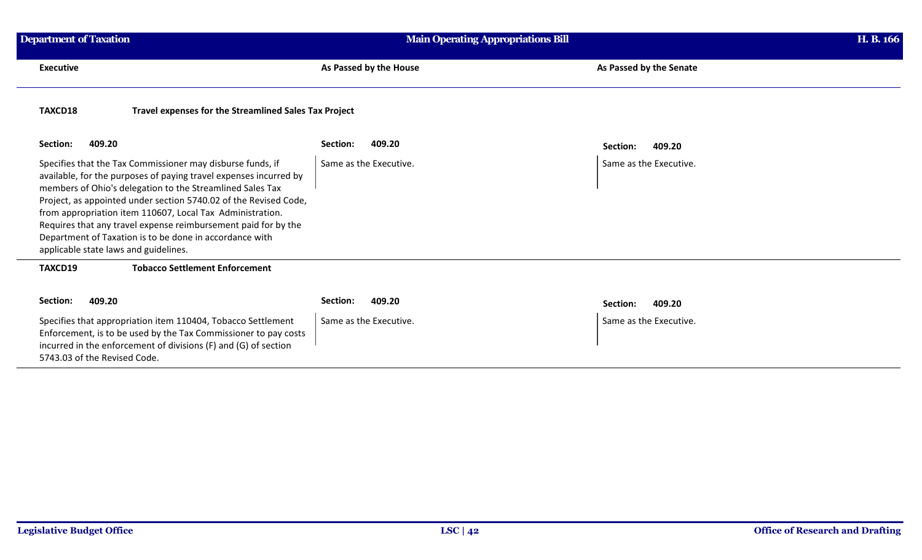| <b>Department of Taxation</b>                                                                                                                                                                                                                                                                                                                                                                                                                                                                       | <b>Main Operating Appropriations Bill</b> | H. B. 166               |
|-----------------------------------------------------------------------------------------------------------------------------------------------------------------------------------------------------------------------------------------------------------------------------------------------------------------------------------------------------------------------------------------------------------------------------------------------------------------------------------------------------|-------------------------------------------|-------------------------|
| <b>Executive</b>                                                                                                                                                                                                                                                                                                                                                                                                                                                                                    | As Passed by the House                    | As Passed by the Senate |
| TAXCD18<br>Travel expenses for the Streamlined Sales Tax Project                                                                                                                                                                                                                                                                                                                                                                                                                                    |                                           |                         |
| 409.20<br>Section:                                                                                                                                                                                                                                                                                                                                                                                                                                                                                  | 409.20<br>Section:                        | 409.20<br>Section:      |
| Specifies that the Tax Commissioner may disburse funds, if<br>available, for the purposes of paying travel expenses incurred by<br>members of Ohio's delegation to the Streamlined Sales Tax<br>Project, as appointed under section 5740.02 of the Revised Code,<br>from appropriation item 110607, Local Tax Administration.<br>Requires that any travel expense reimbursement paid for by the<br>Department of Taxation is to be done in accordance with<br>applicable state laws and guidelines. | Same as the Executive.                    | Same as the Executive.  |
| TAXCD19<br><b>Tobacco Settlement Enforcement</b>                                                                                                                                                                                                                                                                                                                                                                                                                                                    |                                           |                         |
| Section:<br>409.20                                                                                                                                                                                                                                                                                                                                                                                                                                                                                  | Section:<br>409.20                        | 409.20<br>Section:      |
| Specifies that appropriation item 110404, Tobacco Settlement<br>Enforcement, is to be used by the Tax Commissioner to pay costs<br>incurred in the enforcement of divisions (F) and (G) of section<br>5743.03 of the Revised Code.                                                                                                                                                                                                                                                                  | Same as the Executive.                    | Same as the Executive.  |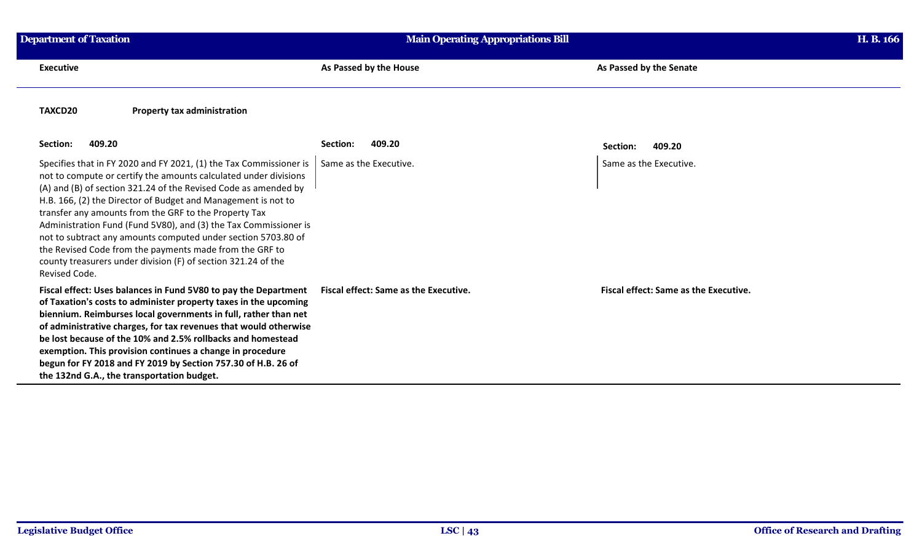| <b>Department of Taxation</b>                                                                                                                                                                                                                                                                                                                                                                                                                                                                                                                                                                                         | <b>Main Operating Appropriations Bill</b> |                                              | H. B. 166 |
|-----------------------------------------------------------------------------------------------------------------------------------------------------------------------------------------------------------------------------------------------------------------------------------------------------------------------------------------------------------------------------------------------------------------------------------------------------------------------------------------------------------------------------------------------------------------------------------------------------------------------|-------------------------------------------|----------------------------------------------|-----------|
| <b>Executive</b>                                                                                                                                                                                                                                                                                                                                                                                                                                                                                                                                                                                                      | As Passed by the House                    | As Passed by the Senate                      |           |
| TAXCD20<br><b>Property tax administration</b>                                                                                                                                                                                                                                                                                                                                                                                                                                                                                                                                                                         |                                           |                                              |           |
| 409.20<br>Section:                                                                                                                                                                                                                                                                                                                                                                                                                                                                                                                                                                                                    | 409.20<br>Section:                        | 409.20<br>Section:                           |           |
| Specifies that in FY 2020 and FY 2021, (1) the Tax Commissioner is<br>not to compute or certify the amounts calculated under divisions<br>(A) and (B) of section 321.24 of the Revised Code as amended by<br>H.B. 166, (2) the Director of Budget and Management is not to<br>transfer any amounts from the GRF to the Property Tax<br>Administration Fund (Fund 5V80), and (3) the Tax Commissioner is<br>not to subtract any amounts computed under section 5703.80 of<br>the Revised Code from the payments made from the GRF to<br>county treasurers under division (F) of section 321.24 of the<br>Revised Code. | Same as the Executive.                    | Same as the Executive.                       |           |
| Fiscal effect: Uses balances in Fund 5V80 to pay the Department<br>of Taxation's costs to administer property taxes in the upcoming<br>biennium. Reimburses local governments in full, rather than net<br>of administrative charges, for tax revenues that would otherwise<br>be lost because of the 10% and 2.5% rollbacks and homestead<br>exemption. This provision continues a change in procedure<br>begun for FY 2018 and FY 2019 by Section 757.30 of H.B. 26 of<br>the 132nd G.A., the transportation budget.                                                                                                 | Fiscal effect: Same as the Executive.     | <b>Fiscal effect: Same as the Executive.</b> |           |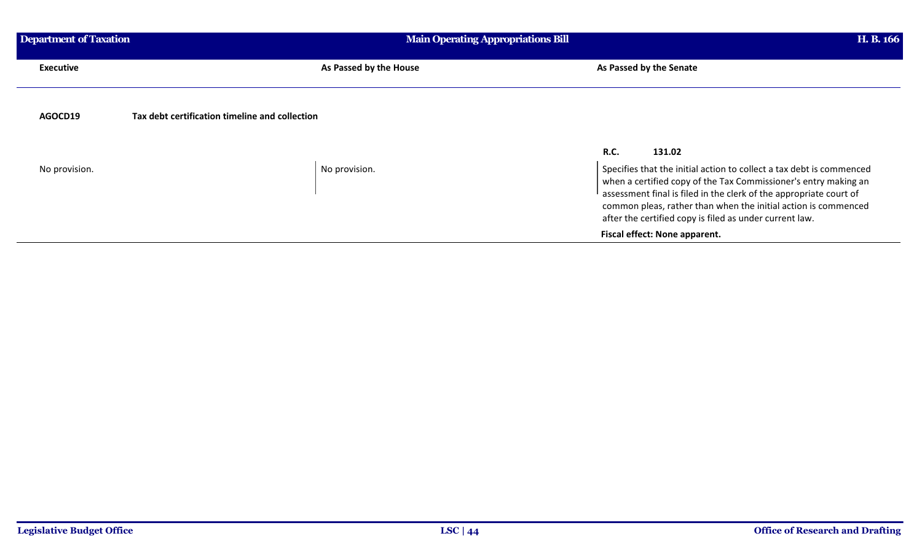| <b>Department of Taxation</b> |                                                | <b>Main Operating Appropriations Bill</b> | H. B. 166                                                                                                                                                                                                                                                                                                                                  |
|-------------------------------|------------------------------------------------|-------------------------------------------|--------------------------------------------------------------------------------------------------------------------------------------------------------------------------------------------------------------------------------------------------------------------------------------------------------------------------------------------|
| <b>Executive</b>              |                                                | As Passed by the House                    | As Passed by the Senate                                                                                                                                                                                                                                                                                                                    |
| AGOCD19                       | Tax debt certification timeline and collection |                                           |                                                                                                                                                                                                                                                                                                                                            |
|                               |                                                | <b>R.C.</b>                               | 131.02                                                                                                                                                                                                                                                                                                                                     |
| No provision.                 | No provision.                                  |                                           | Specifies that the initial action to collect a tax debt is commenced<br>when a certified copy of the Tax Commissioner's entry making an<br>assessment final is filed in the clerk of the appropriate court of<br>common pleas, rather than when the initial action is commenced<br>after the certified copy is filed as under current law. |
|                               |                                                |                                           | Fiscal effect: None apparent.                                                                                                                                                                                                                                                                                                              |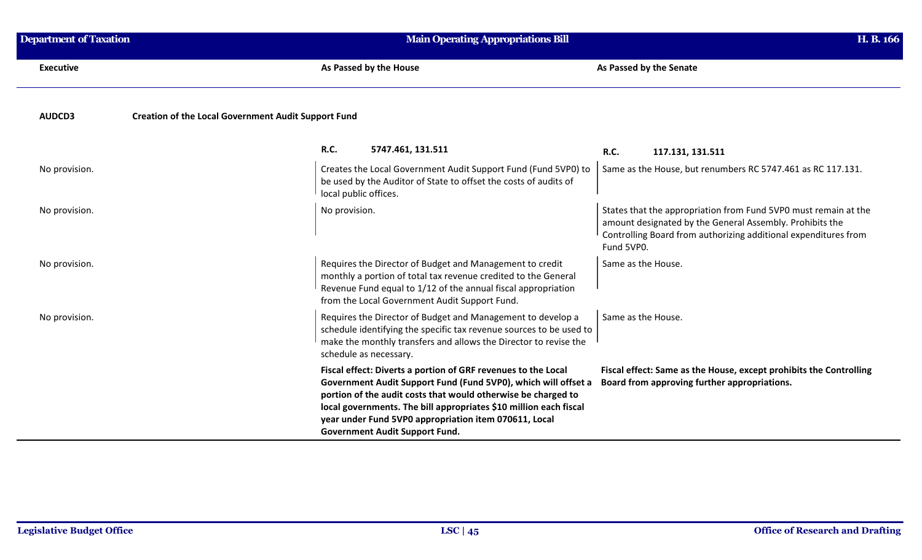| <b>Department of Taxation</b> | <b>Main Operating Appropriations Bill</b>                                                                                                                                                                                                                                                                                                                               | H. B. 166                                                                                                                                                                                                    |
|-------------------------------|-------------------------------------------------------------------------------------------------------------------------------------------------------------------------------------------------------------------------------------------------------------------------------------------------------------------------------------------------------------------------|--------------------------------------------------------------------------------------------------------------------------------------------------------------------------------------------------------------|
| <b>Executive</b>              | As Passed by the House                                                                                                                                                                                                                                                                                                                                                  | As Passed by the Senate                                                                                                                                                                                      |
| AUDCD3                        | <b>Creation of the Local Government Audit Support Fund</b>                                                                                                                                                                                                                                                                                                              |                                                                                                                                                                                                              |
|                               | <b>R.C.</b><br>5747.461, 131.511                                                                                                                                                                                                                                                                                                                                        | <b>R.C.</b><br>117.131, 131.511                                                                                                                                                                              |
| No provision.                 | Creates the Local Government Audit Support Fund (Fund 5VP0) to<br>be used by the Auditor of State to offset the costs of audits of<br>local public offices.                                                                                                                                                                                                             | Same as the House, but renumbers RC 5747.461 as RC 117.131.                                                                                                                                                  |
| No provision.                 | No provision.                                                                                                                                                                                                                                                                                                                                                           | States that the appropriation from Fund 5VP0 must remain at the<br>amount designated by the General Assembly. Prohibits the<br>Controlling Board from authorizing additional expenditures from<br>Fund 5VP0. |
| No provision.                 | Requires the Director of Budget and Management to credit<br>monthly a portion of total tax revenue credited to the General<br>Revenue Fund equal to 1/12 of the annual fiscal appropriation<br>from the Local Government Audit Support Fund.                                                                                                                            | Same as the House.                                                                                                                                                                                           |
| No provision.                 | Requires the Director of Budget and Management to develop a<br>schedule identifying the specific tax revenue sources to be used to<br>make the monthly transfers and allows the Director to revise the<br>schedule as necessary.                                                                                                                                        | Same as the House.                                                                                                                                                                                           |
|                               | Fiscal effect: Diverts a portion of GRF revenues to the Local<br>Government Audit Support Fund (Fund 5VP0), which will offset a<br>portion of the audit costs that would otherwise be charged to<br>local governments. The bill appropriates \$10 million each fiscal<br>year under Fund 5VP0 appropriation item 070611, Local<br><b>Government Audit Support Fund.</b> | Fiscal effect: Same as the House, except prohibits the Controlling<br>Board from approving further appropriations.                                                                                           |

 $\overline{\phantom{0}}$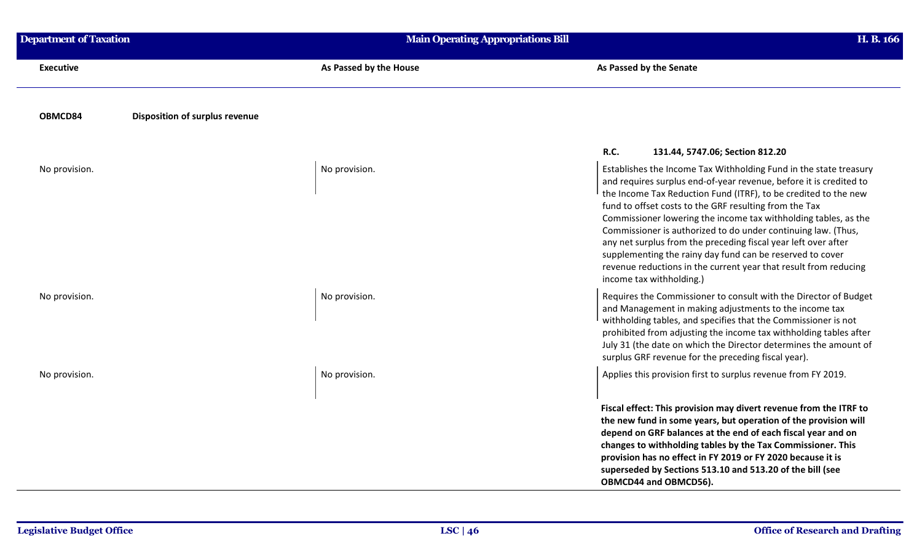| <b>Department of Taxation</b> | <b>Main Operating Appropriations Bill</b> | H. B. 166                                                                                                                                                                                                                                                                                                                                                                                                                                                                                                                                                                                                                               |
|-------------------------------|-------------------------------------------|-----------------------------------------------------------------------------------------------------------------------------------------------------------------------------------------------------------------------------------------------------------------------------------------------------------------------------------------------------------------------------------------------------------------------------------------------------------------------------------------------------------------------------------------------------------------------------------------------------------------------------------------|
| <b>Executive</b>              | As Passed by the House                    | As Passed by the Senate                                                                                                                                                                                                                                                                                                                                                                                                                                                                                                                                                                                                                 |
| OBMCD84                       | Disposition of surplus revenue            |                                                                                                                                                                                                                                                                                                                                                                                                                                                                                                                                                                                                                                         |
|                               |                                           | <b>R.C.</b><br>131.44, 5747.06; Section 812.20                                                                                                                                                                                                                                                                                                                                                                                                                                                                                                                                                                                          |
| No provision.                 | No provision.                             | Establishes the Income Tax Withholding Fund in the state treasury<br>and requires surplus end-of-year revenue, before it is credited to<br>the Income Tax Reduction Fund (ITRF), to be credited to the new<br>fund to offset costs to the GRF resulting from the Tax<br>Commissioner lowering the income tax withholding tables, as the<br>Commissioner is authorized to do under continuing law. (Thus,<br>any net surplus from the preceding fiscal year left over after<br>supplementing the rainy day fund can be reserved to cover<br>revenue reductions in the current year that result from reducing<br>income tax withholding.) |
| No provision.                 | No provision.                             | Requires the Commissioner to consult with the Director of Budget<br>and Management in making adjustments to the income tax<br>withholding tables, and specifies that the Commissioner is not<br>prohibited from adjusting the income tax withholding tables after<br>July 31 (the date on which the Director determines the amount of<br>surplus GRF revenue for the preceding fiscal year).                                                                                                                                                                                                                                            |
| No provision.                 | No provision.                             | Applies this provision first to surplus revenue from FY 2019.                                                                                                                                                                                                                                                                                                                                                                                                                                                                                                                                                                           |
|                               |                                           | Fiscal effect: This provision may divert revenue from the ITRF to<br>the new fund in some years, but operation of the provision will<br>depend on GRF balances at the end of each fiscal year and on<br>changes to withholding tables by the Tax Commissioner. This<br>provision has no effect in FY 2019 or FY 2020 because it is<br>superseded by Sections 513.10 and 513.20 of the bill (see<br>OBMCD44 and OBMCD56).                                                                                                                                                                                                                |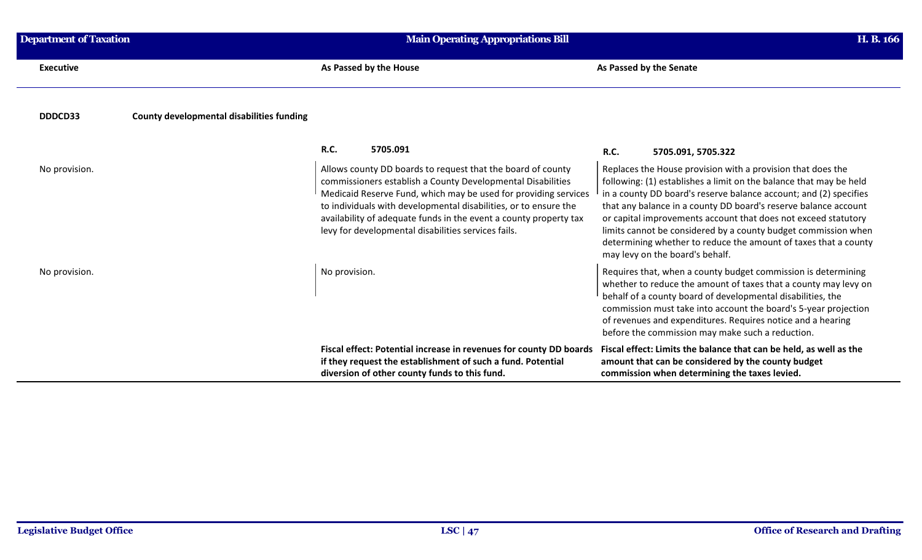| <b>Department of Taxation</b>                               | <b>Main Operating Appropriations Bill</b>                                                                                                                                                                                                                                                                                                                                                     | H. B. 166                                                                                                                                                                                                                                                                                                                                                                                                                                                                                                           |
|-------------------------------------------------------------|-----------------------------------------------------------------------------------------------------------------------------------------------------------------------------------------------------------------------------------------------------------------------------------------------------------------------------------------------------------------------------------------------|---------------------------------------------------------------------------------------------------------------------------------------------------------------------------------------------------------------------------------------------------------------------------------------------------------------------------------------------------------------------------------------------------------------------------------------------------------------------------------------------------------------------|
| <b>Executive</b>                                            | As Passed by the House                                                                                                                                                                                                                                                                                                                                                                        | As Passed by the Senate                                                                                                                                                                                                                                                                                                                                                                                                                                                                                             |
| <b>County developmental disabilities funding</b><br>DDDCD33 |                                                                                                                                                                                                                                                                                                                                                                                               |                                                                                                                                                                                                                                                                                                                                                                                                                                                                                                                     |
|                                                             | R.C.<br>5705.091                                                                                                                                                                                                                                                                                                                                                                              | R.C.<br>5705.091, 5705.322                                                                                                                                                                                                                                                                                                                                                                                                                                                                                          |
| No provision.                                               | Allows county DD boards to request that the board of county<br>commissioners establish a County Developmental Disabilities<br>Medicaid Reserve Fund, which may be used for providing services<br>to individuals with developmental disabilities, or to ensure the<br>availability of adequate funds in the event a county property tax<br>levy for developmental disabilities services fails. | Replaces the House provision with a provision that does the<br>following: (1) establishes a limit on the balance that may be held<br>in a county DD board's reserve balance account; and (2) specifies<br>that any balance in a county DD board's reserve balance account<br>or capital improvements account that does not exceed statutory<br>limits cannot be considered by a county budget commission when<br>determining whether to reduce the amount of taxes that a county<br>may levy on the board's behalf. |
| No provision.                                               | No provision.                                                                                                                                                                                                                                                                                                                                                                                 | Requires that, when a county budget commission is determining<br>whether to reduce the amount of taxes that a county may levy on<br>behalf of a county board of developmental disabilities, the<br>commission must take into account the board's 5-year projection<br>of revenues and expenditures. Requires notice and a hearing<br>before the commission may make such a reduction.                                                                                                                               |
|                                                             | Fiscal effect: Potential increase in revenues for county DD boards<br>if they request the establishment of such a fund. Potential<br>diversion of other county funds to this fund.                                                                                                                                                                                                            | Fiscal effect: Limits the balance that can be held, as well as the<br>amount that can be considered by the county budget<br>commission when determining the taxes levied.                                                                                                                                                                                                                                                                                                                                           |

÷.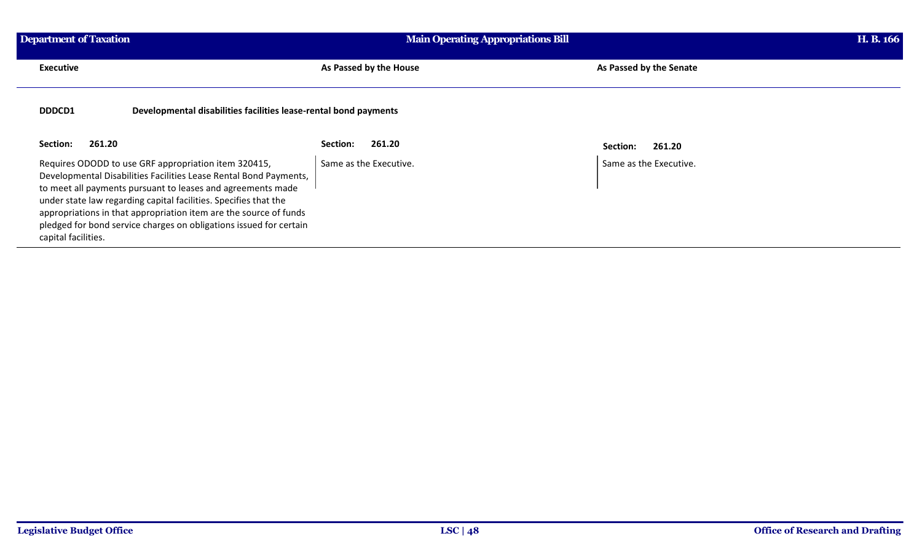| Department of Taxation                                                                                                                                                                                                                                                                                                                                                                                                         | <b>Main Operating Appropriations Bill</b> |                         |
|--------------------------------------------------------------------------------------------------------------------------------------------------------------------------------------------------------------------------------------------------------------------------------------------------------------------------------------------------------------------------------------------------------------------------------|-------------------------------------------|-------------------------|
| <b>Executive</b>                                                                                                                                                                                                                                                                                                                                                                                                               | As Passed by the House                    | As Passed by the Senate |
| DDDCD1<br>Developmental disabilities facilities lease-rental bond payments                                                                                                                                                                                                                                                                                                                                                     |                                           |                         |
| 261.20<br>Section:                                                                                                                                                                                                                                                                                                                                                                                                             | 261.20<br>Section:                        | 261.20<br>Section:      |
| Requires ODODD to use GRF appropriation item 320415,<br>Developmental Disabilities Facilities Lease Rental Bond Payments,<br>to meet all payments pursuant to leases and agreements made<br>under state law regarding capital facilities. Specifies that the<br>appropriations in that appropriation item are the source of funds<br>pledged for bond service charges on obligations issued for certain<br>capital facilities. | Same as the Executive.                    | Same as the Executive.  |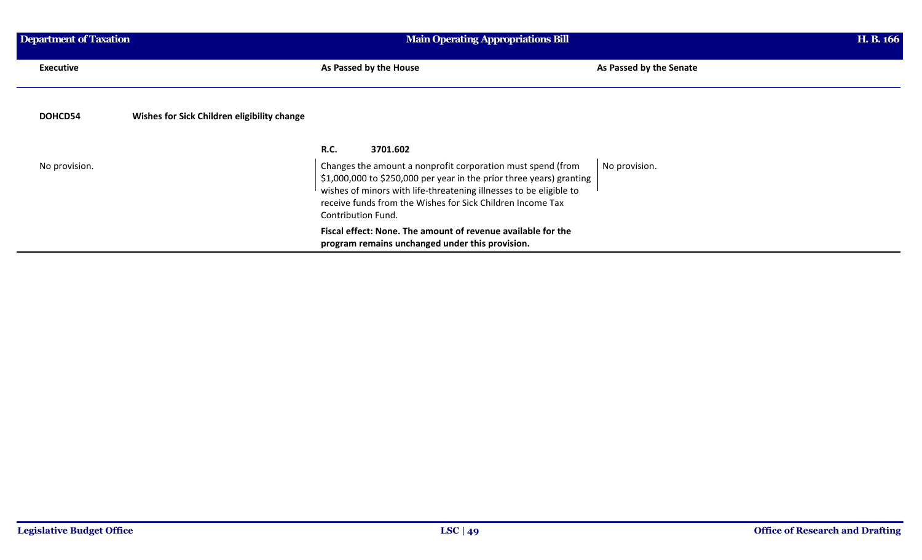| Department of Taxation |                                             | <b>Main Operating Appropriations Bill</b>                                                                                                                                                                                                                                                                         |                         |  |
|------------------------|---------------------------------------------|-------------------------------------------------------------------------------------------------------------------------------------------------------------------------------------------------------------------------------------------------------------------------------------------------------------------|-------------------------|--|
| <b>Executive</b>       |                                             | As Passed by the House                                                                                                                                                                                                                                                                                            | As Passed by the Senate |  |
| DOHCD54                | Wishes for Sick Children eligibility change |                                                                                                                                                                                                                                                                                                                   |                         |  |
| No provision.          |                                             | R.C.<br>3701.602<br>Changes the amount a nonprofit corporation must spend (from<br>\$1,000,000 to \$250,000 per year in the prior three years) granting<br>wishes of minors with life-threatening illnesses to be eligible to<br>receive funds from the Wishes for Sick Children Income Tax<br>Contribution Fund. | No provision.           |  |
|                        |                                             | Fiscal effect: None. The amount of revenue available for the<br>program remains unchanged under this provision.                                                                                                                                                                                                   |                         |  |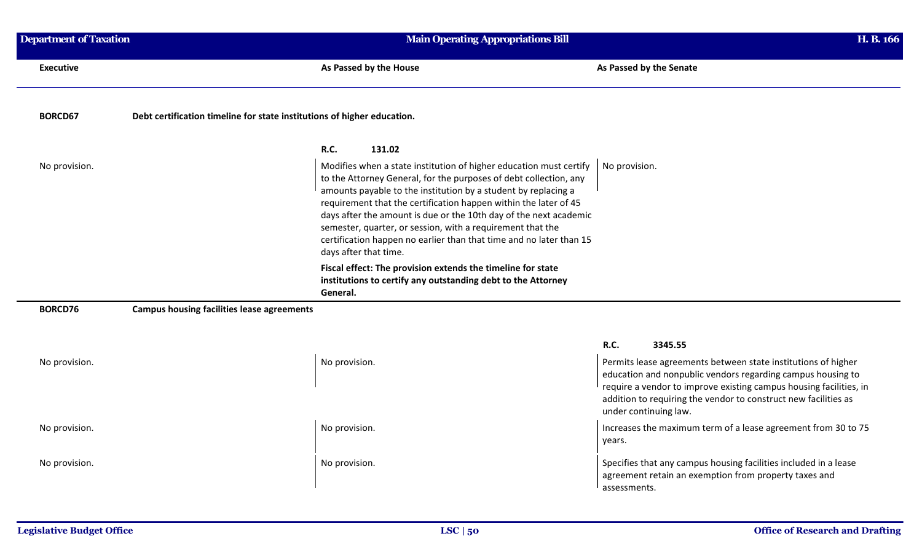| <b>Department of Taxation</b> |                                                                         | <b>Main Operating Appropriations Bill</b>                                                                                                                                                                                                                                                                                                                                                                                                                                                                        |                                                               | H. B. 166 |
|-------------------------------|-------------------------------------------------------------------------|------------------------------------------------------------------------------------------------------------------------------------------------------------------------------------------------------------------------------------------------------------------------------------------------------------------------------------------------------------------------------------------------------------------------------------------------------------------------------------------------------------------|---------------------------------------------------------------|-----------|
| <b>Executive</b>              |                                                                         | As Passed by the House                                                                                                                                                                                                                                                                                                                                                                                                                                                                                           | As Passed by the Senate                                       |           |
| <b>BORCD67</b>                | Debt certification timeline for state institutions of higher education. |                                                                                                                                                                                                                                                                                                                                                                                                                                                                                                                  |                                                               |           |
|                               |                                                                         | <b>R.C.</b><br>131.02                                                                                                                                                                                                                                                                                                                                                                                                                                                                                            |                                                               |           |
| No provision.                 |                                                                         | Modifies when a state institution of higher education must certify<br>to the Attorney General, for the purposes of debt collection, any<br>amounts payable to the institution by a student by replacing a<br>requirement that the certification happen within the later of 45<br>days after the amount is due or the 10th day of the next academic<br>semester, quarter, or session, with a requirement that the<br>certification happen no earlier than that time and no later than 15<br>days after that time. | No provision.                                                 |           |
|                               |                                                                         | Fiscal effect: The provision extends the timeline for state<br>institutions to certify any outstanding debt to the Attorney<br>General.                                                                                                                                                                                                                                                                                                                                                                          |                                                               |           |
| BORCD76                       | <b>Campus housing facilities lease agreements</b>                       |                                                                                                                                                                                                                                                                                                                                                                                                                                                                                                                  |                                                               |           |
|                               |                                                                         |                                                                                                                                                                                                                                                                                                                                                                                                                                                                                                                  | R.C.<br>3345.55                                               |           |
| No provision.                 |                                                                         | No provision.                                                                                                                                                                                                                                                                                                                                                                                                                                                                                                    | Permits lease agreements between state institutions of higher |           |

education and nonpublic vendors regarding campus housing to require a vendor to improve existing campus housing facilities, in addition to requiring the vendor to construct new facilities as under continuing law. No provision.<br>No provision.<br>No provision.<br>No provision.<br>Increases the maximum term of a lease agreement from 30 to 75 years. No provision. No provision. No provision. Specifies that any campus housing facilities included in a lease agreement retain an exemption from property taxes and assessments.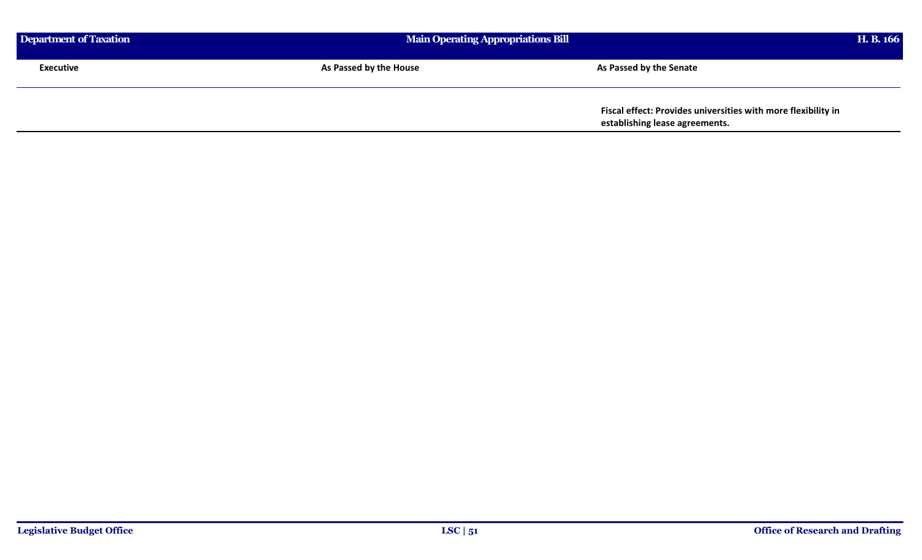| Department of Taxation |                        | <b>Main Operating Appropriations Bill</b>                                                       |  |
|------------------------|------------------------|-------------------------------------------------------------------------------------------------|--|
| Executive              | As Passed by the House | As Passed by the Senate                                                                         |  |
|                        |                        | Fiscal effect: Provides universities with more flexibility in<br>establishing lease agreements. |  |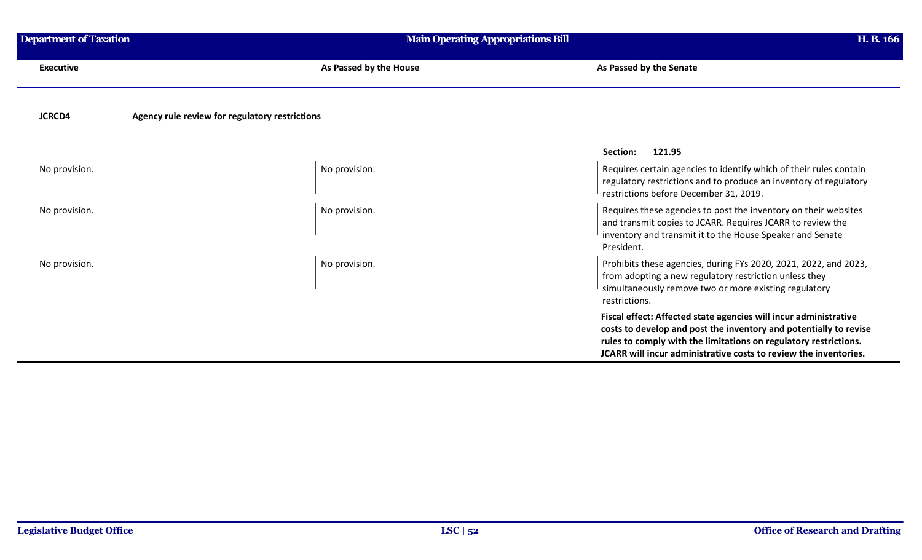| <b>Department of Taxation</b> | <b>Main Operating Appropriations Bill</b>      | H. B. 166                                                                                                                                                                                                                                                                     |
|-------------------------------|------------------------------------------------|-------------------------------------------------------------------------------------------------------------------------------------------------------------------------------------------------------------------------------------------------------------------------------|
| <b>Executive</b>              | As Passed by the House                         | As Passed by the Senate                                                                                                                                                                                                                                                       |
| <b>JCRCD4</b>                 | Agency rule review for regulatory restrictions |                                                                                                                                                                                                                                                                               |
|                               |                                                | Section:<br>121.95                                                                                                                                                                                                                                                            |
| No provision.                 | No provision.                                  | Requires certain agencies to identify which of their rules contain<br>regulatory restrictions and to produce an inventory of regulatory<br>restrictions before December 31, 2019.                                                                                             |
| No provision.                 | No provision.                                  | Requires these agencies to post the inventory on their websites<br>and transmit copies to JCARR. Requires JCARR to review the<br>inventory and transmit it to the House Speaker and Senate<br>President.                                                                      |
| No provision.                 | No provision.                                  | Prohibits these agencies, during FYs 2020, 2021, 2022, and 2023,<br>from adopting a new regulatory restriction unless they<br>simultaneously remove two or more existing regulatory<br>restrictions.                                                                          |
|                               |                                                | Fiscal effect: Affected state agencies will incur administrative<br>costs to develop and post the inventory and potentially to revise<br>rules to comply with the limitations on regulatory restrictions.<br>JCARR will incur administrative costs to review the inventories. |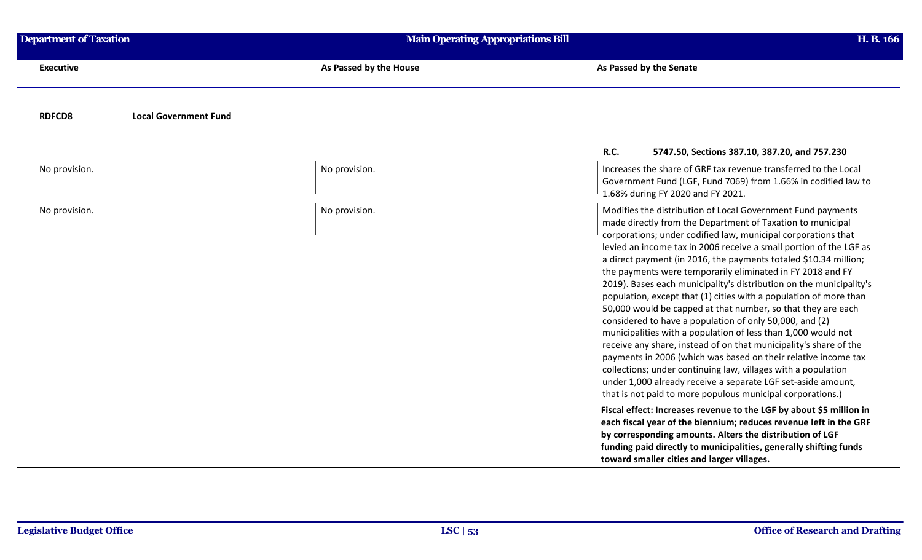| <b>Department of Taxation</b>                 | <b>Main Operating Appropriations Bill</b> |                                                                                                                                                                                                                                                                                                                                                                                                                                                                                                                                                                                                                                                                                                                                                                                                                                                                                                                                                                                                                                                                                  | H. B. 166 |  |
|-----------------------------------------------|-------------------------------------------|----------------------------------------------------------------------------------------------------------------------------------------------------------------------------------------------------------------------------------------------------------------------------------------------------------------------------------------------------------------------------------------------------------------------------------------------------------------------------------------------------------------------------------------------------------------------------------------------------------------------------------------------------------------------------------------------------------------------------------------------------------------------------------------------------------------------------------------------------------------------------------------------------------------------------------------------------------------------------------------------------------------------------------------------------------------------------------|-----------|--|
| <b>Executive</b>                              | As Passed by the House                    | As Passed by the Senate                                                                                                                                                                                                                                                                                                                                                                                                                                                                                                                                                                                                                                                                                                                                                                                                                                                                                                                                                                                                                                                          |           |  |
| <b>RDFCD8</b><br><b>Local Government Fund</b> |                                           |                                                                                                                                                                                                                                                                                                                                                                                                                                                                                                                                                                                                                                                                                                                                                                                                                                                                                                                                                                                                                                                                                  |           |  |
|                                               |                                           | <b>R.C.</b><br>5747.50, Sections 387.10, 387.20, and 757.230                                                                                                                                                                                                                                                                                                                                                                                                                                                                                                                                                                                                                                                                                                                                                                                                                                                                                                                                                                                                                     |           |  |
| No provision.                                 | No provision.                             | Increases the share of GRF tax revenue transferred to the Local<br>Government Fund (LGF, Fund 7069) from 1.66% in codified law to<br>1.68% during FY 2020 and FY 2021.                                                                                                                                                                                                                                                                                                                                                                                                                                                                                                                                                                                                                                                                                                                                                                                                                                                                                                           |           |  |
| No provision.                                 | No provision.                             | Modifies the distribution of Local Government Fund payments<br>made directly from the Department of Taxation to municipal<br>corporations; under codified law, municipal corporations that<br>levied an income tax in 2006 receive a small portion of the LGF as<br>a direct payment (in 2016, the payments totaled \$10.34 million;<br>the payments were temporarily eliminated in FY 2018 and FY<br>2019). Bases each municipality's distribution on the municipality's<br>population, except that (1) cities with a population of more than<br>50,000 would be capped at that number, so that they are each<br>considered to have a population of only 50,000, and (2)<br>municipalities with a population of less than 1,000 would not<br>receive any share, instead of on that municipality's share of the<br>payments in 2006 (which was based on their relative income tax<br>collections; under continuing law, villages with a population<br>under 1,000 already receive a separate LGF set-aside amount,<br>that is not paid to more populous municipal corporations.) |           |  |
|                                               |                                           | Fiscal effect: Increases revenue to the LGF by about \$5 million in<br>each fiscal year of the biennium; reduces revenue left in the GRF<br>by corresponding amounts. Alters the distribution of LGF<br>funding paid directly to municipalities, generally shifting funds<br>toward smaller cities and larger villages.                                                                                                                                                                                                                                                                                                                                                                                                                                                                                                                                                                                                                                                                                                                                                          |           |  |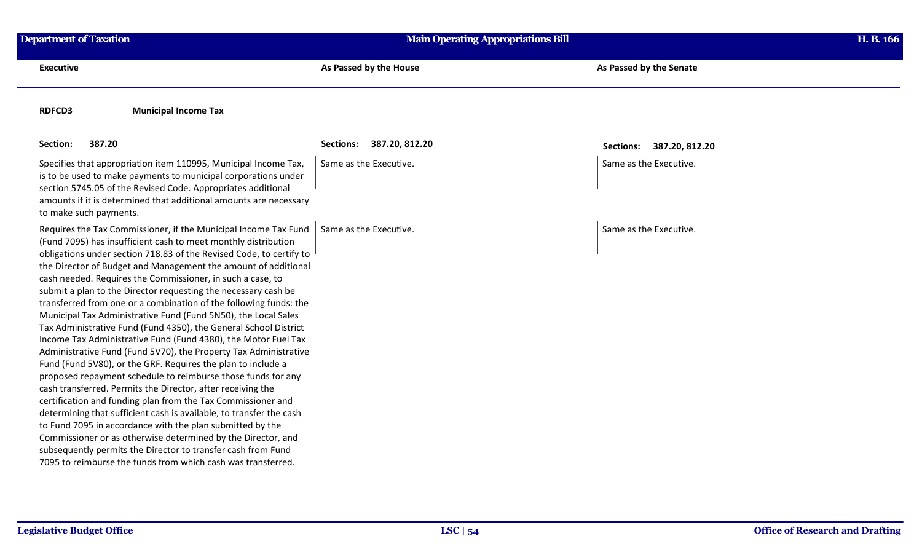| <b>Department of Taxation</b>                                                                                                                                                                                                                                                                                                                                                                                                                                                                                                                                                                                                                                                                                                                                                                                                                                                                                                                                                                                                                                                                                                                                                                                                                                                                                                                                  | <b>Main Operating Appropriations Bill</b> |                          | H. B. 166 |
|----------------------------------------------------------------------------------------------------------------------------------------------------------------------------------------------------------------------------------------------------------------------------------------------------------------------------------------------------------------------------------------------------------------------------------------------------------------------------------------------------------------------------------------------------------------------------------------------------------------------------------------------------------------------------------------------------------------------------------------------------------------------------------------------------------------------------------------------------------------------------------------------------------------------------------------------------------------------------------------------------------------------------------------------------------------------------------------------------------------------------------------------------------------------------------------------------------------------------------------------------------------------------------------------------------------------------------------------------------------|-------------------------------------------|--------------------------|-----------|
| <b>Executive</b>                                                                                                                                                                                                                                                                                                                                                                                                                                                                                                                                                                                                                                                                                                                                                                                                                                                                                                                                                                                                                                                                                                                                                                                                                                                                                                                                               | As Passed by the House                    | As Passed by the Senate  |           |
| <b>Municipal Income Tax</b><br><b>RDFCD3</b>                                                                                                                                                                                                                                                                                                                                                                                                                                                                                                                                                                                                                                                                                                                                                                                                                                                                                                                                                                                                                                                                                                                                                                                                                                                                                                                   |                                           |                          |           |
| 387.20<br>Section:                                                                                                                                                                                                                                                                                                                                                                                                                                                                                                                                                                                                                                                                                                                                                                                                                                                                                                                                                                                                                                                                                                                                                                                                                                                                                                                                             | 387.20, 812.20<br><b>Sections:</b>        | Sections: 387.20, 812.20 |           |
| Specifies that appropriation item 110995, Municipal Income Tax,<br>is to be used to make payments to municipal corporations under<br>section 5745.05 of the Revised Code. Appropriates additional<br>amounts if it is determined that additional amounts are necessary<br>to make such payments.                                                                                                                                                                                                                                                                                                                                                                                                                                                                                                                                                                                                                                                                                                                                                                                                                                                                                                                                                                                                                                                               | Same as the Executive.                    | Same as the Executive.   |           |
| Requires the Tax Commissioner, if the Municipal Income Tax Fund<br>(Fund 7095) has insufficient cash to meet monthly distribution<br>obligations under section 718.83 of the Revised Code, to certify to<br>the Director of Budget and Management the amount of additional<br>cash needed. Requires the Commissioner, in such a case, to<br>submit a plan to the Director requesting the necessary cash be<br>transferred from one or a combination of the following funds: the<br>Municipal Tax Administrative Fund (Fund 5N50), the Local Sales<br>Tax Administrative Fund (Fund 4350), the General School District<br>Income Tax Administrative Fund (Fund 4380), the Motor Fuel Tax<br>Administrative Fund (Fund 5V70), the Property Tax Administrative<br>Fund (Fund 5V80), or the GRF. Requires the plan to include a<br>proposed repayment schedule to reimburse those funds for any<br>cash transferred. Permits the Director, after receiving the<br>certification and funding plan from the Tax Commissioner and<br>determining that sufficient cash is available, to transfer the cash<br>to Fund 7095 in accordance with the plan submitted by the<br>Commissioner or as otherwise determined by the Director, and<br>subsequently permits the Director to transfer cash from Fund<br>7095 to reimburse the funds from which cash was transferred. | Same as the Executive.                    | Same as the Executive.   |           |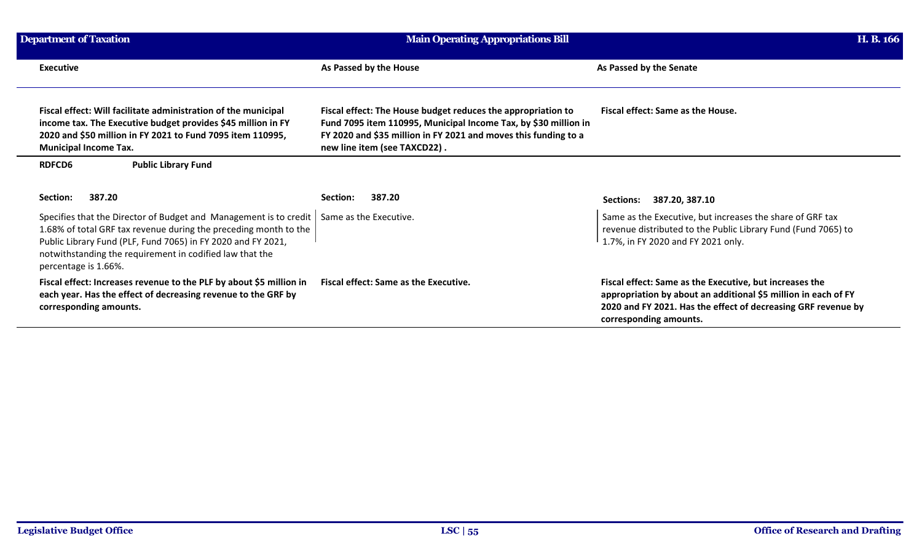| <b>Department of Taxation</b> |                                                                                                                                                                                                                                                                                                                    | <b>Main Operating Appropriations Bill</b>                                                                                                                                                                                          |                                                                                                                                                                                                                      | H. B. 166 |  |
|-------------------------------|--------------------------------------------------------------------------------------------------------------------------------------------------------------------------------------------------------------------------------------------------------------------------------------------------------------------|------------------------------------------------------------------------------------------------------------------------------------------------------------------------------------------------------------------------------------|----------------------------------------------------------------------------------------------------------------------------------------------------------------------------------------------------------------------|-----------|--|
|                               | <b>Executive</b>                                                                                                                                                                                                                                                                                                   | As Passed by the House                                                                                                                                                                                                             | As Passed by the Senate                                                                                                                                                                                              |           |  |
|                               | Fiscal effect: Will facilitate administration of the municipal<br>income tax. The Executive budget provides \$45 million in FY<br>2020 and \$50 million in FY 2021 to Fund 7095 item 110995,<br><b>Municipal Income Tax.</b>                                                                                       | Fiscal effect: The House budget reduces the appropriation to<br>Fund 7095 item 110995, Municipal Income Tax, by \$30 million in<br>FY 2020 and \$35 million in FY 2021 and moves this funding to a<br>new line item (see TAXCD22). | Fiscal effect: Same as the House.                                                                                                                                                                                    |           |  |
|                               | <b>Public Library Fund</b><br><b>RDFCD6</b>                                                                                                                                                                                                                                                                        |                                                                                                                                                                                                                                    |                                                                                                                                                                                                                      |           |  |
|                               | 387.20<br>Section:                                                                                                                                                                                                                                                                                                 | 387.20<br>Section:                                                                                                                                                                                                                 | 387.20, 387.10<br>Sections:                                                                                                                                                                                          |           |  |
|                               | Specifies that the Director of Budget and Management is to credit   Same as the Executive.<br>1.68% of total GRF tax revenue during the preceding month to the<br>Public Library Fund (PLF, Fund 7065) in FY 2020 and FY 2021,<br>notwithstanding the requirement in codified law that the<br>percentage is 1.66%. |                                                                                                                                                                                                                                    | Same as the Executive, but increases the share of GRF tax<br>revenue distributed to the Public Library Fund (Fund 7065) to<br>1.7%, in FY 2020 and FY 2021 only.                                                     |           |  |
|                               | Fiscal effect: Increases revenue to the PLF by about \$5 million in<br>each year. Has the effect of decreasing revenue to the GRF by<br>corresponding amounts.                                                                                                                                                     | <b>Fiscal effect: Same as the Executive.</b>                                                                                                                                                                                       | Fiscal effect: Same as the Executive, but increases the<br>appropriation by about an additional \$5 million in each of FY<br>2020 and FY 2021. Has the effect of decreasing GRF revenue by<br>corresponding amounts. |           |  |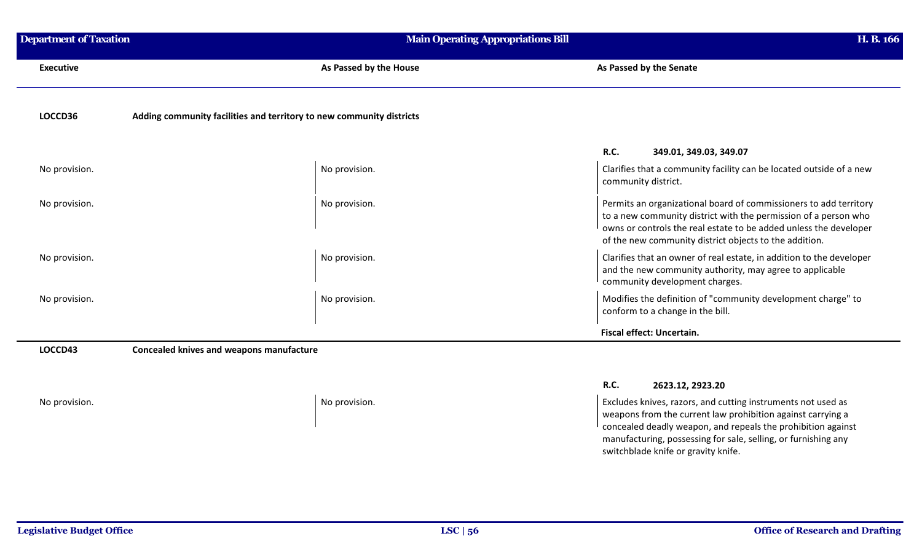| <b>Department of Taxation</b> | <b>Main Operating Appropriations Bill</b>                            | H. B. 166                                                                                                                                                                                                                                                           |
|-------------------------------|----------------------------------------------------------------------|---------------------------------------------------------------------------------------------------------------------------------------------------------------------------------------------------------------------------------------------------------------------|
| <b>Executive</b>              | As Passed by the House                                               | As Passed by the Senate                                                                                                                                                                                                                                             |
| LOCCD36                       | Adding community facilities and territory to new community districts |                                                                                                                                                                                                                                                                     |
|                               |                                                                      | <b>R.C.</b><br>349.01, 349.03, 349.07                                                                                                                                                                                                                               |
| No provision.                 | No provision.                                                        | Clarifies that a community facility can be located outside of a new<br>community district.                                                                                                                                                                          |
| No provision.                 | No provision.                                                        | Permits an organizational board of commissioners to add territory<br>to a new community district with the permission of a person who<br>owns or controls the real estate to be added unless the developer<br>of the new community district objects to the addition. |
| No provision.                 | No provision.                                                        | Clarifies that an owner of real estate, in addition to the developer<br>and the new community authority, may agree to applicable<br>community development charges.                                                                                                  |
| No provision.                 | No provision.                                                        | Modifies the definition of "community development charge" to<br>conform to a change in the bill.                                                                                                                                                                    |
|                               |                                                                      | Fiscal effect: Uncertain.                                                                                                                                                                                                                                           |
| LOCCD43                       | <b>Concealed knives and weapons manufacture</b>                      |                                                                                                                                                                                                                                                                     |

## **R.C. 2623.12, 2923.20**

No provision. No provision. And the set of the set of the set of the set of the set of the set of the set of the set of the set of the set of the set of the set of the set of the set of the set of the set of the set of the weapons from the current law prohibition against carrying a concealed deadly weapon, and repeals the prohibition against manufacturing, possessing for sale, selling, or furnishing any switchblade knife or gravity knife.